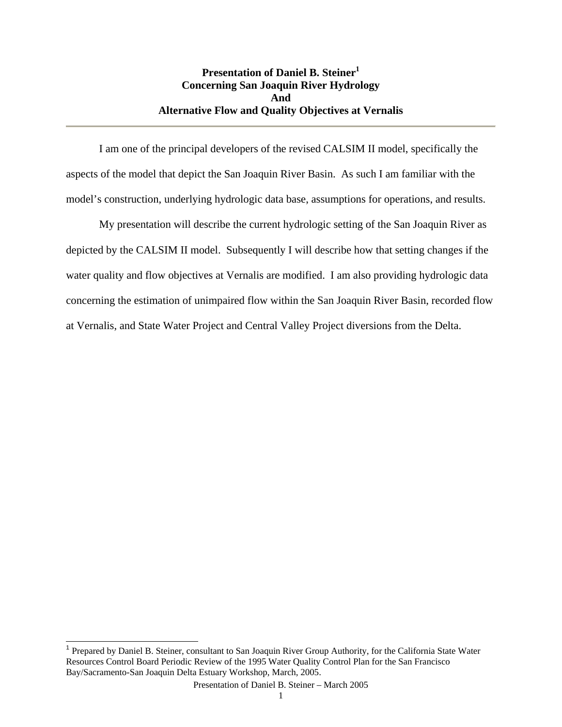## **Presentation of Daniel B. Steiner**<sup>1</sup> **Concerning San Joaquin River Hydrology And Alternative Flow and Quality Objectives at Vernalis**

 I am one of the principal developers of the revised CALSIM II model, specifically the aspects of the model that depict the San Joaquin River Basin. As such I am familiar with the model's construction, underlying hydrologic data base, assumptions for operations, and results.

 My presentation will describe the current hydrologic setting of the San Joaquin River as depicted by the CALSIM II model. Subsequently I will describe how that setting changes if the water quality and flow objectives at Vernalis are modified. I am also providing hydrologic data concerning the estimation of unimpaired flow within the San Joaquin River Basin, recorded flow at Vernalis, and State Water Project and Central Valley Project diversions from the Delta.

l

<sup>&</sup>lt;sup>1</sup> Prepared by Daniel B. Steiner, consultant to San Joaquin River Group Authority, for the California State Water Resources Control Board Periodic Review of the 1995 Water Quality Control Plan for the San Francisco Bay/Sacramento-San Joaquin Delta Estuary Workshop, March, 2005.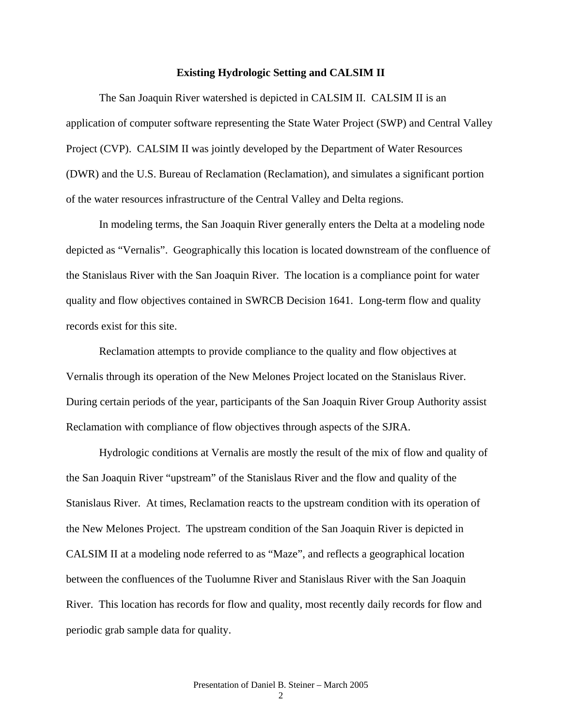#### **Existing Hydrologic Setting and CALSIM II**

 The San Joaquin River watershed is depicted in CALSIM II. CALSIM II is an application of computer software representing the State Water Project (SWP) and Central Valley Project (CVP). CALSIM II was jointly developed by the Department of Water Resources (DWR) and the U.S. Bureau of Reclamation (Reclamation), and simulates a significant portion of the water resources infrastructure of the Central Valley and Delta regions.

 In modeling terms, the San Joaquin River generally enters the Delta at a modeling node depicted as "Vernalis". Geographically this location is located downstream of the confluence of the Stanislaus River with the San Joaquin River. The location is a compliance point for water quality and flow objectives contained in SWRCB Decision 1641. Long-term flow and quality records exist for this site.

 Reclamation attempts to provide compliance to the quality and flow objectives at Vernalis through its operation of the New Melones Project located on the Stanislaus River. During certain periods of the year, participants of the San Joaquin River Group Authority assist Reclamation with compliance of flow objectives through aspects of the SJRA.

 Hydrologic conditions at Vernalis are mostly the result of the mix of flow and quality of the San Joaquin River "upstream" of the Stanislaus River and the flow and quality of the Stanislaus River. At times, Reclamation reacts to the upstream condition with its operation of the New Melones Project. The upstream condition of the San Joaquin River is depicted in CALSIM II at a modeling node referred to as "Maze", and reflects a geographical location between the confluences of the Tuolumne River and Stanislaus River with the San Joaquin River. This location has records for flow and quality, most recently daily records for flow and periodic grab sample data for quality.

 $\mathcal{D}$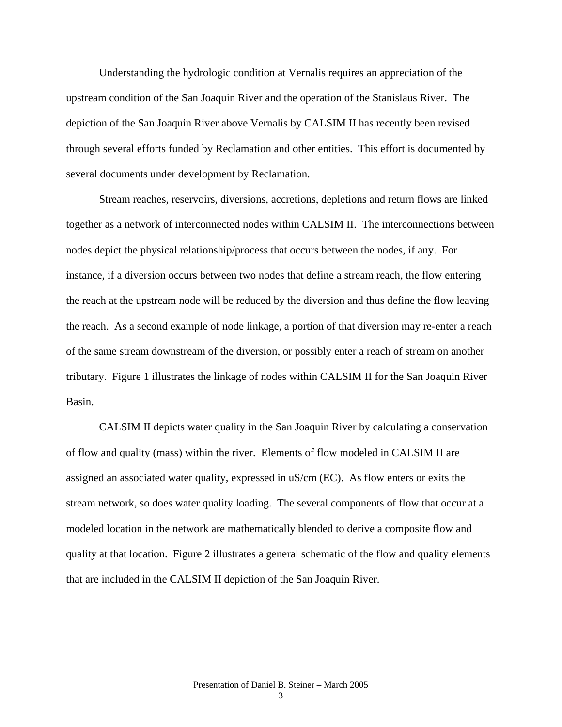Understanding the hydrologic condition at Vernalis requires an appreciation of the upstream condition of the San Joaquin River and the operation of the Stanislaus River. The depiction of the San Joaquin River above Vernalis by CALSIM II has recently been revised through several efforts funded by Reclamation and other entities. This effort is documented by several documents under development by Reclamation.

 Stream reaches, reservoirs, diversions, accretions, depletions and return flows are linked together as a network of interconnected nodes within CALSIM II. The interconnections between nodes depict the physical relationship/process that occurs between the nodes, if any. For instance, if a diversion occurs between two nodes that define a stream reach, the flow entering the reach at the upstream node will be reduced by the diversion and thus define the flow leaving the reach. As a second example of node linkage, a portion of that diversion may re-enter a reach of the same stream downstream of the diversion, or possibly enter a reach of stream on another tributary. Figure 1 illustrates the linkage of nodes within CALSIM II for the San Joaquin River Basin.

CALSIM II depicts water quality in the San Joaquin River by calculating a conservation of flow and quality (mass) within the river. Elements of flow modeled in CALSIM II are assigned an associated water quality, expressed in uS/cm (EC). As flow enters or exits the stream network, so does water quality loading. The several components of flow that occur at a modeled location in the network are mathematically blended to derive a composite flow and quality at that location. Figure 2 illustrates a general schematic of the flow and quality elements that are included in the CALSIM II depiction of the San Joaquin River.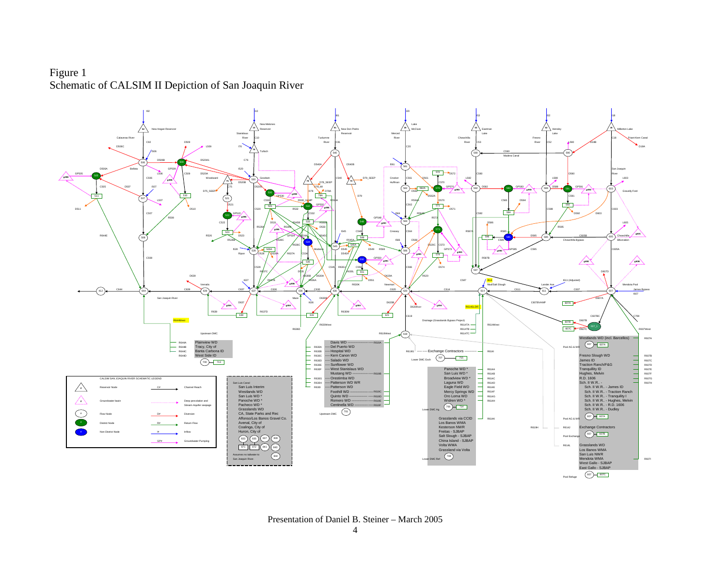## Figure 1 Schematic of CALSIM II Depiction of San Joaquin River



Presentation of Daniel B. Steiner – March 2005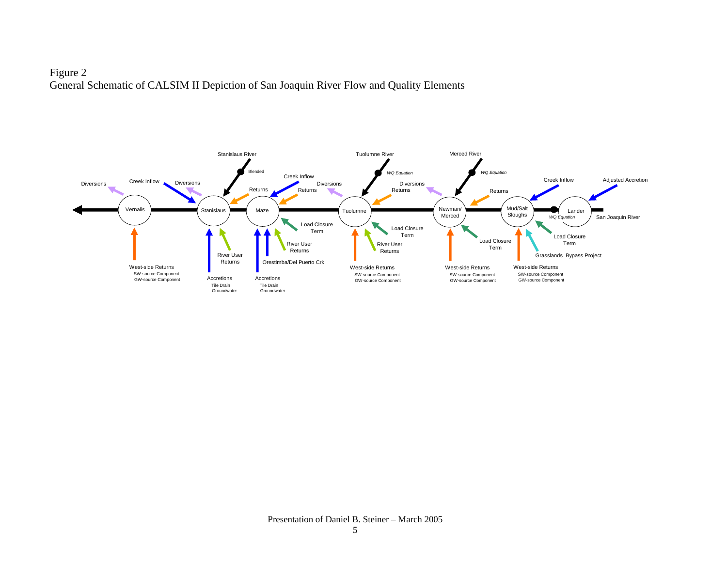# Figure 2 General Schematic of CALSIM II Depiction of San Joaquin River Flow and Quality Elements

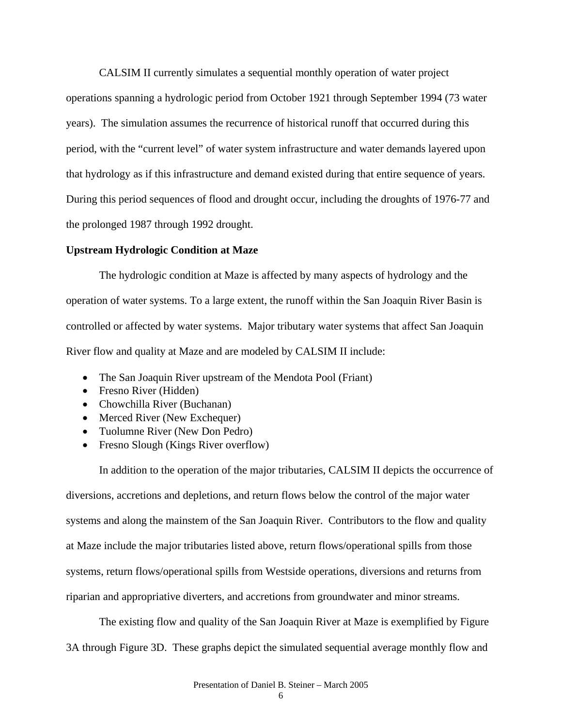CALSIM II currently simulates a sequential monthly operation of water project

operations spanning a hydrologic period from October 1921 through September 1994 (73 water years). The simulation assumes the recurrence of historical runoff that occurred during this period, with the "current level" of water system infrastructure and water demands layered upon that hydrology as if this infrastructure and demand existed during that entire sequence of years. During this period sequences of flood and drought occur, including the droughts of 1976-77 and the prolonged 1987 through 1992 drought.

### **Upstream Hydrologic Condition at Maze**

The hydrologic condition at Maze is affected by many aspects of hydrology and the operation of water systems. To a large extent, the runoff within the San Joaquin River Basin is controlled or affected by water systems. Major tributary water systems that affect San Joaquin River flow and quality at Maze and are modeled by CALSIM II include:

- The San Joaquin River upstream of the Mendota Pool (Friant)
- Fresno River (Hidden)
- Chowchilla River (Buchanan)
- Merced River (New Exchequer)
- Tuolumne River (New Don Pedro)
- Fresno Slough (Kings River overflow)

In addition to the operation of the major tributaries, CALSIM II depicts the occurrence of diversions, accretions and depletions, and return flows below the control of the major water systems and along the mainstem of the San Joaquin River. Contributors to the flow and quality at Maze include the major tributaries listed above, return flows/operational spills from those systems, return flows/operational spills from Westside operations, diversions and returns from riparian and appropriative diverters, and accretions from groundwater and minor streams.

The existing flow and quality of the San Joaquin River at Maze is exemplified by Figure 3A through Figure 3D. These graphs depict the simulated sequential average monthly flow and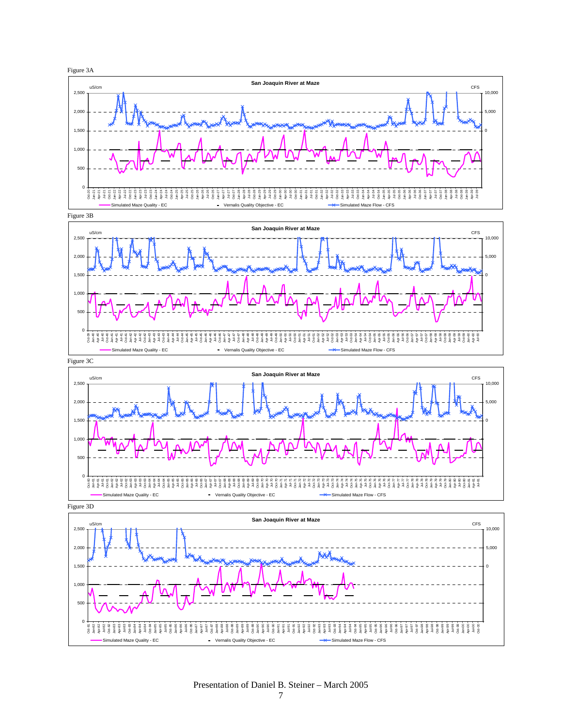





Figure 3D



Presentation of Daniel B. Steiner – March 2005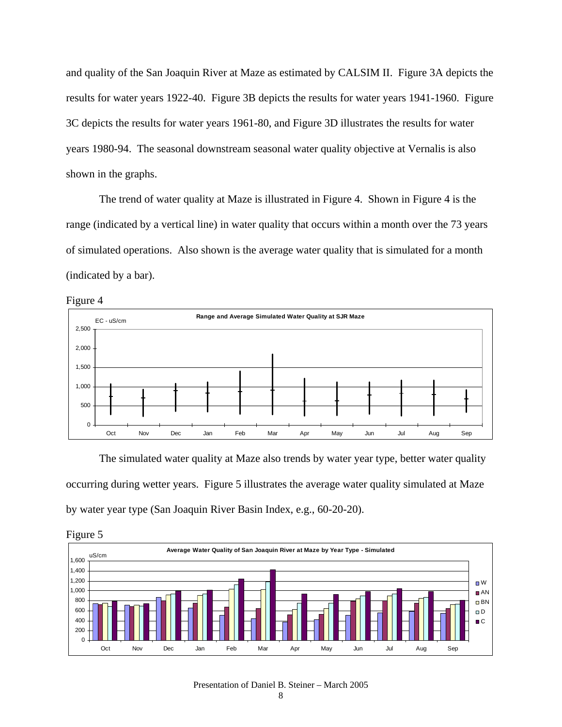and quality of the San Joaquin River at Maze as estimated by CALSIM II. Figure 3A depicts the results for water years 1922-40. Figure 3B depicts the results for water years 1941-1960. Figure 3C depicts the results for water years 1961-80, and Figure 3D illustrates the results for water years 1980-94. The seasonal downstream seasonal water quality objective at Vernalis is also shown in the graphs.

 The trend of water quality at Maze is illustrated in Figure 4. Shown in Figure 4 is the range (indicated by a vertical line) in water quality that occurs within a month over the 73 years of simulated operations. Also shown is the average water quality that is simulated for a month (indicated by a bar).



The simulated water quality at Maze also trends by water year type, better water quality occurring during wetter years. Figure 5 illustrates the average water quality simulated at Maze by water year type (San Joaquin River Basin Index, e.g., 60-20-20).



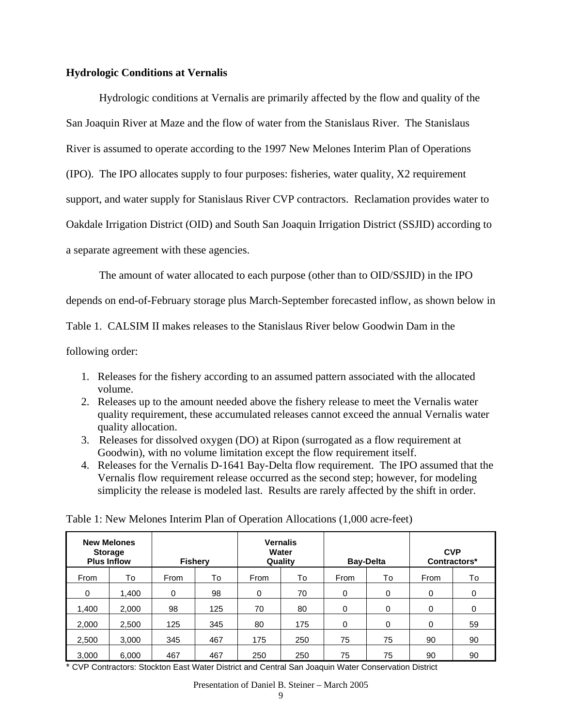### **Hydrologic Conditions at Vernalis**

Hydrologic conditions at Vernalis are primarily affected by the flow and quality of the San Joaquin River at Maze and the flow of water from the Stanislaus River. The Stanislaus River is assumed to operate according to the 1997 New Melones Interim Plan of Operations (IPO). The IPO allocates supply to four purposes: fisheries, water quality, X2 requirement support, and water supply for Stanislaus River CVP contractors. Reclamation provides water to Oakdale Irrigation District (OID) and South San Joaquin Irrigation District (SSJID) according to a separate agreement with these agencies.

The amount of water allocated to each purpose (other than to OID/SSJID) in the IPO

depends on end-of-February storage plus March-September forecasted inflow, as shown below in

Table 1. CALSIM II makes releases to the Stanislaus River below Goodwin Dam in the

following order:

- 1. Releases for the fishery according to an assumed pattern associated with the allocated volume.
- 2. Releases up to the amount needed above the fishery release to meet the Vernalis water quality requirement, these accumulated releases cannot exceed the annual Vernalis water quality allocation.
- 3. Releases for dissolved oxygen (DO) at Ripon (surrogated as a flow requirement at Goodwin), with no volume limitation except the flow requirement itself.
- 4. Releases for the Vernalis D-1641 Bay-Delta flow requirement. The IPO assumed that the Vernalis flow requirement release occurred as the second step; however, for modeling simplicity the release is modeled last. Results are rarely affected by the shift in order.

|       | <b>New Melones</b><br><b>Storage</b><br><b>Plus Inflow</b> |      | <b>Fishery</b> |      | <b>Vernalis</b><br>Water<br>Quality |      | <b>Bay-Delta</b> |      | <b>CVP</b><br>Contractors* |  |
|-------|------------------------------------------------------------|------|----------------|------|-------------------------------------|------|------------------|------|----------------------------|--|
| From  | To                                                         | From | To             | From | To                                  | From | To               | From | To                         |  |
| 0     | 1,400                                                      | 0    | 98             | 0    | 70                                  | 0    | 0                | 0    | 0                          |  |
| 1,400 | 2,000                                                      | 98   | 125            | 70   | 80                                  | 0    | 0                | 0    | 0                          |  |
| 2,000 | 2,500                                                      | 125  | 345            | 80   | 175                                 | 0    | $\mathbf 0$      | 0    | 59                         |  |
| 2,500 | 3,000                                                      | 345  | 467            | 175  | 250                                 | 75   | 75               | 90   | 90                         |  |
| 3,000 | 6,000                                                      | 467  | 467            | 250  | 250                                 | 75   | 75               | 90   | 90                         |  |

Table 1: New Melones Interim Plan of Operation Allocations (1,000 acre-feet)

\* CVP Contractors: Stockton East Water District and Central San Joaquin Water Conservation District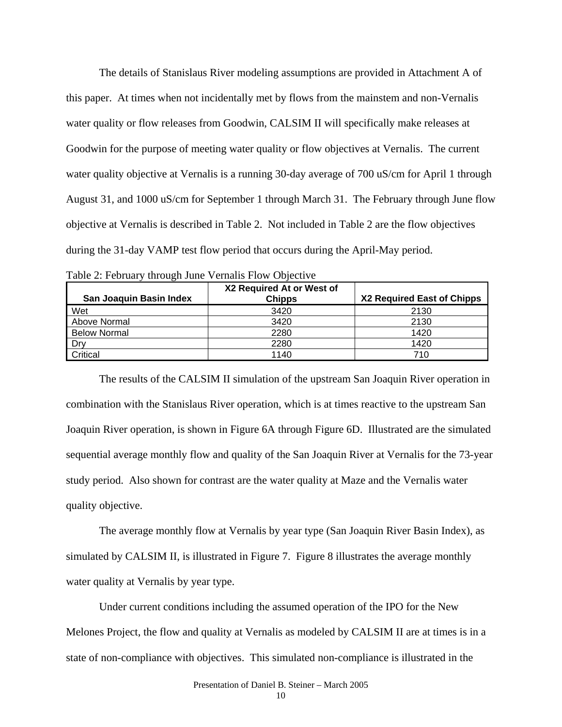The details of Stanislaus River modeling assumptions are provided in Attachment A of this paper. At times when not incidentally met by flows from the mainstem and non-Vernalis water quality or flow releases from Goodwin, CALSIM II will specifically make releases at Goodwin for the purpose of meeting water quality or flow objectives at Vernalis. The current water quality objective at Vernalis is a running 30-day average of 700 uS/cm for April 1 through August 31, and 1000 uS/cm for September 1 through March 31. The February through June flow objective at Vernalis is described in Table 2. Not included in Table 2 are the flow objectives during the 31-day VAMP test flow period that occurs during the April-May period.

| San Joaquin Basin Index | X2 Required At or West of<br><b>Chipps</b> | X2 Required East of Chipps |
|-------------------------|--------------------------------------------|----------------------------|
| Wet                     | 3420                                       | 2130                       |
| Above Normal            | 3420                                       | 2130                       |
| <b>Below Normal</b>     | 2280                                       | 1420                       |
| Drv                     | 2280                                       | 1420                       |
| Critical                | 1140                                       | 710                        |

| Table 2: February through June Vernalis Flow Objective |  |  |
|--------------------------------------------------------|--|--|
|--------------------------------------------------------|--|--|

 The results of the CALSIM II simulation of the upstream San Joaquin River operation in combination with the Stanislaus River operation, which is at times reactive to the upstream San Joaquin River operation, is shown in Figure 6A through Figure 6D. Illustrated are the simulated sequential average monthly flow and quality of the San Joaquin River at Vernalis for the 73-year study period. Also shown for contrast are the water quality at Maze and the Vernalis water quality objective.

 The average monthly flow at Vernalis by year type (San Joaquin River Basin Index), as simulated by CALSIM II, is illustrated in Figure 7. Figure 8 illustrates the average monthly water quality at Vernalis by year type.

 Under current conditions including the assumed operation of the IPO for the New Melones Project, the flow and quality at Vernalis as modeled by CALSIM II are at times is in a state of non-compliance with objectives. This simulated non-compliance is illustrated in the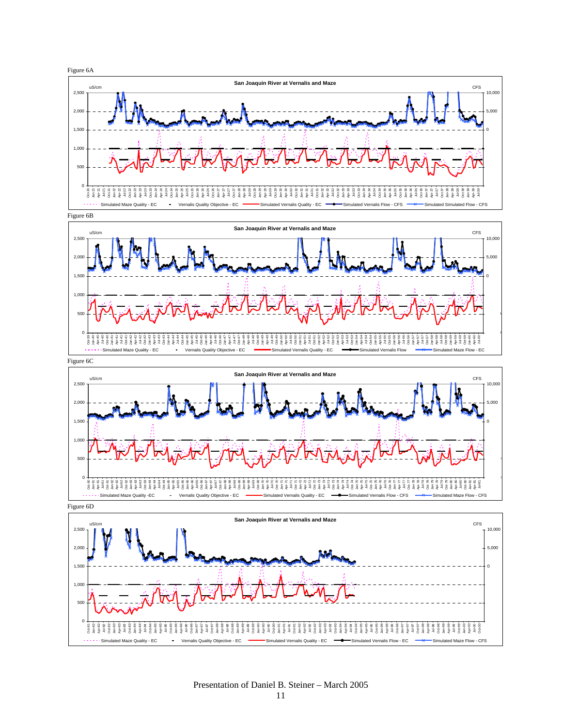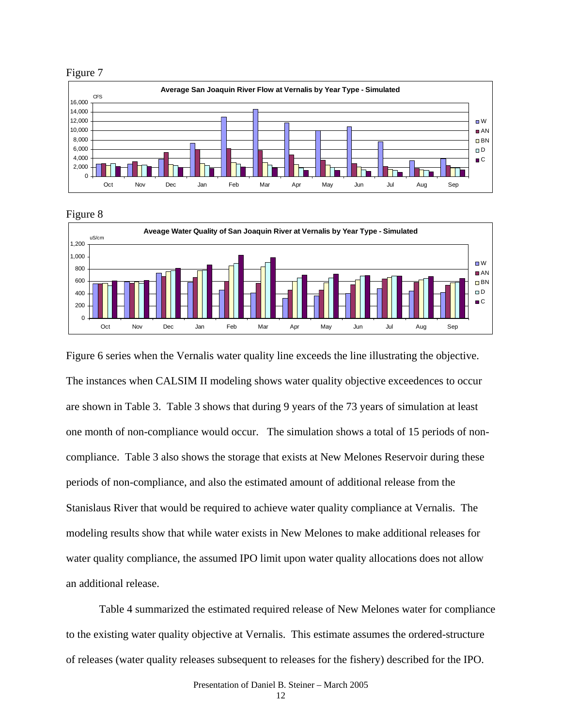





Figure 6 series when the Vernalis water quality line exceeds the line illustrating the objective. The instances when CALSIM II modeling shows water quality objective exceedences to occur are shown in Table 3. Table 3 shows that during 9 years of the 73 years of simulation at least one month of non-compliance would occur. The simulation shows a total of 15 periods of noncompliance. Table 3 also shows the storage that exists at New Melones Reservoir during these periods of non-compliance, and also the estimated amount of additional release from the Stanislaus River that would be required to achieve water quality compliance at Vernalis. The modeling results show that while water exists in New Melones to make additional releases for water quality compliance, the assumed IPO limit upon water quality allocations does not allow an additional release.

 Table 4 summarized the estimated required release of New Melones water for compliance to the existing water quality objective at Vernalis. This estimate assumes the ordered-structure of releases (water quality releases subsequent to releases for the fishery) described for the IPO.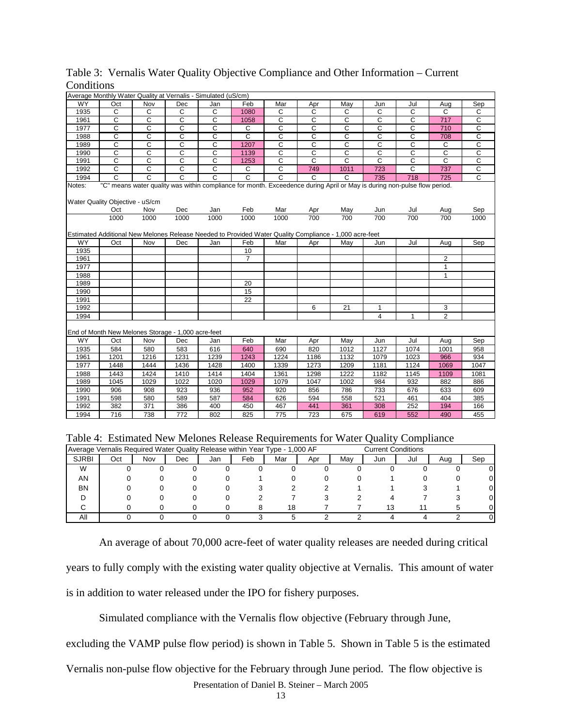|           |                                 |              | Average Monthly Water Quality at Vernalis - Simulated (uS/cm)                                                            |                       |                       |                       |                |                |                |              |                |                       |
|-----------|---------------------------------|--------------|--------------------------------------------------------------------------------------------------------------------------|-----------------------|-----------------------|-----------------------|----------------|----------------|----------------|--------------|----------------|-----------------------|
| <b>WY</b> | Oct                             | Nov          | Dec                                                                                                                      | Jan                   | Feb                   | Mar                   | Apr            | May            | Jun            | Jul          | Aug            | Sep                   |
| 1935      | C                               | C            | C                                                                                                                        | C                     | 1080                  | $\mathsf{C}$          | C              | C              | C              | $\mathsf{C}$ | С              | С                     |
| 1961      | C                               | C            | C                                                                                                                        | C                     | 1058                  | C                     | C              | C              | C              | C            | 717            | C                     |
| 1977      | C                               | $\mathsf{C}$ | $\mathsf{C}$                                                                                                             | $\mathsf{C}$          | $\mathsf{C}$          | $\mathsf{C}$          | Ċ              | $\mathsf{C}$   | $\mathsf{C}$   | C            | 710            | C                     |
| 1988      | $\overline{c}$                  | C            | С                                                                                                                        | C                     | $\overline{c}$        | C                     | С              | C              | $\overline{c}$ | C            | 708            | C                     |
| 1989      | С                               | С            | C                                                                                                                        | С                     | 1207                  | C                     | С              | С              | С              | С            | С              | $\overline{C}$        |
| 1990      | C                               | C            | $\overline{c}$                                                                                                           | $\mathbf C$           | 1139                  | C                     | C              | $\overline{c}$ | C              | $\mathbf C$  | $\mathsf{C}$   | $\overline{C}$        |
| 1991      | $\overline{c}$                  | C            | $\overline{c}$                                                                                                           | $\overline{c}$        | 1253                  | C                     | $\overline{c}$ | $\overline{c}$ | $\overline{c}$ | C            | $\overline{c}$ | $\overline{\text{c}}$ |
| 1992      | $\overline{c}$                  | $\mathsf{C}$ | C                                                                                                                        | C                     | C                     | $\mathsf{C}$          | 749            | 1011           | 723            | C            | 737            | $\overline{C}$        |
| 1994      | $\overline{c}$                  | C            | C                                                                                                                        | $\overline{\text{c}}$ | $\overline{\text{c}}$ | $\overline{\text{c}}$ | C              | C              | 735            | 718          | 725            | C                     |
| Notes:    | Water Quality Objective - uS/cm |              | "C" means water quality was within compliance for month. Exceedence during April or May is during non-pulse flow period. |                       |                       |                       |                |                |                |              |                |                       |
|           | Oct                             | Nov          | Dec                                                                                                                      | Jan                   | Feb                   | Mar                   | Apr            | May            | Jun            | Jul          | Aug            | Sep                   |
|           | 1000                            | 1000         | 1000                                                                                                                     | 1000                  | 1000                  | 1000                  | 700            | 700            | 700            | 700          | 700            | 1000                  |
|           |                                 |              | Estimated Additional New Melones Release Needed to Provided Water Quality Compliance - 1,000 acre-feet                   |                       |                       |                       |                |                |                |              |                |                       |
| WY        | Oct                             | Nov          | Dec                                                                                                                      | Jan                   | Feb                   | Mar                   | Apr            | May            | Jun            | Jul          | Aug            | Sep                   |
| 1935      |                                 |              |                                                                                                                          |                       | 10                    |                       |                |                |                |              |                |                       |
| 1961      |                                 |              |                                                                                                                          |                       | $\overline{7}$        |                       |                |                |                |              | 2              |                       |
| 1977      |                                 |              |                                                                                                                          |                       |                       |                       |                |                |                |              | $\mathbf{1}$   |                       |
| 1988      |                                 |              |                                                                                                                          |                       |                       |                       |                |                |                |              | $\mathbf{1}$   |                       |
| 1989      |                                 |              |                                                                                                                          |                       | 20                    |                       |                |                |                |              |                |                       |
| 1990      |                                 |              |                                                                                                                          |                       | 15                    |                       |                |                |                |              |                |                       |
| 1991      |                                 |              |                                                                                                                          |                       | 22                    |                       |                |                |                |              |                |                       |
| 1992      |                                 |              |                                                                                                                          |                       |                       |                       | 6              | 21             | $\mathbf{1}$   |              | 3              |                       |
| 1994      |                                 |              |                                                                                                                          |                       |                       |                       |                |                | $\overline{4}$ | $\mathbf{1}$ | $\overline{2}$ |                       |
|           |                                 |              | End of Month New Melones Storage - 1,000 acre-feet                                                                       |                       |                       |                       |                |                |                |              |                |                       |
| <b>WY</b> | Oct                             | Nov          | Dec                                                                                                                      | Jan                   | Feb                   | Mar                   | Apr            | May            | Jun            | Jul          | Aug            | Sep                   |
| 1935      | 584                             | 580          | 583                                                                                                                      | 616                   | 640                   | 690                   | 820            | 1012           | 1127           | 1074         | 1001           | 958                   |
| 1961      | 1201                            | 1216         | 1231                                                                                                                     | 1239                  | 1243                  | 1224                  | 1186           | 1132           | 1079           | 1023         | 966            | 934                   |
| 1977      | 1448                            | 1444         | 1436                                                                                                                     | 1428                  | 1400                  | 1339                  | 1273           | 1209           | 1181           | 1124         | 1069           | 1047                  |
| 1988      | 1443                            | 1424         | 1410                                                                                                                     | 1414                  | 1404                  | 1361                  | 1298           | 1222           | 1182           | 1145         | 1109           | 1081                  |
| 1989      | 1045                            | 1029         | 1022                                                                                                                     | 1020                  | 1029                  | 1079                  | 1047           | 1002           | 984            | 932          | 882            | 886                   |
| 1990      | 906                             | 908          | 923                                                                                                                      | 936                   | 952                   | 920                   | 856            | 786            | 733            | 676          | 633            | 609                   |
| 1991      | 598                             | 580          | 589                                                                                                                      | 587                   | 584                   | 626                   | 594            | 558            | 521            | 461          | 404            | 385                   |
| 1992      | 382                             | 371          | 386                                                                                                                      | 400                   | 450                   | 467                   | 441            | 361            | 308            | 252          | 194            | 166                   |
| 1994      | 716                             | 738          | 772                                                                                                                      | 802                   | 825                   | 775                   | 723            | 675            | 619            | 552          | 490            | 455                   |
|           |                                 |              |                                                                                                                          |                       |                       |                       |                |                |                |              |                |                       |

## Table 3: Vernalis Water Quality Objective Compliance and Other Information – Current **Conditions**

| Table 4: Estimated New Melones Release Requirements for Water Quality Compliance |  |  |  |
|----------------------------------------------------------------------------------|--|--|--|
|                                                                                  |  |  |  |

|              | Average Vernalis Required Water Quality Release within Year Type - 1,000 AF<br><b>Current Conditions</b> |     |     |     |     |     |     |     |     |     |     |     |
|--------------|----------------------------------------------------------------------------------------------------------|-----|-----|-----|-----|-----|-----|-----|-----|-----|-----|-----|
| <b>SJRBI</b> | Oct                                                                                                      | Nov | Dec | Jan | Feb | Mar | Apr | Mav | Jun | Jul | Aug | Sep |
| W            |                                                                                                          |     |     |     |     |     |     |     |     |     |     | 0   |
| ΑN           |                                                                                                          |     |     |     |     |     |     |     |     |     |     | 0   |
| ΒN           |                                                                                                          |     |     |     |     |     |     |     |     |     |     | 0   |
|              |                                                                                                          |     |     |     |     |     |     |     |     |     |     | 0   |
| ⌒            |                                                                                                          |     |     |     |     | 18  |     |     |     |     |     | 0   |
| Αll          |                                                                                                          |     |     |     |     |     |     |     |     |     |     | 0   |

 An average of about 70,000 acre-feet of water quality releases are needed during critical years to fully comply with the existing water quality objective at Vernalis. This amount of water is in addition to water released under the IPO for fishery purposes.

Simulated compliance with the Vernalis flow objective (February through June,

excluding the VAMP pulse flow period) is shown in Table 5. Shown in Table 5 is the estimated

Presentation of Daniel B. Steiner – March 2005 Vernalis non-pulse flow objective for the February through June period. The flow objective is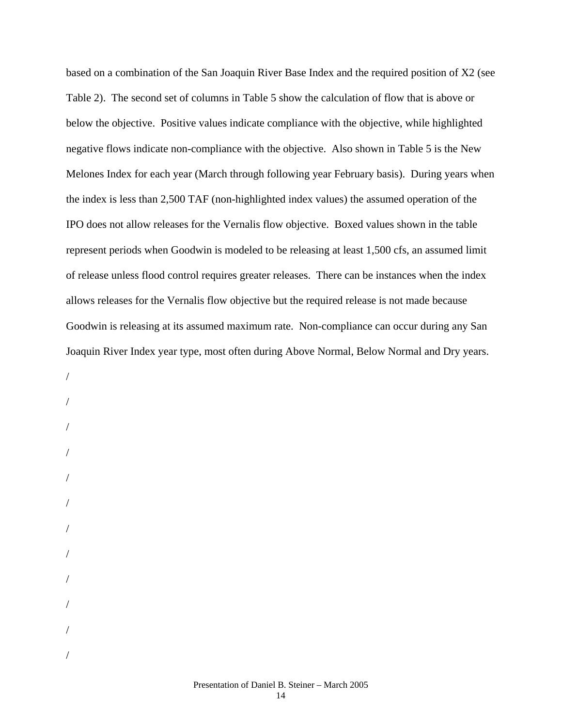based on a combination of the San Joaquin River Base Index and the required position of X2 (see Table 2). The second set of columns in Table 5 show the calculation of flow that is above or below the objective. Positive values indicate compliance with the objective, while highlighted negative flows indicate non-compliance with the objective. Also shown in Table 5 is the New Melones Index for each year (March through following year February basis). During years when the index is less than 2,500 TAF (non-highlighted index values) the assumed operation of the IPO does not allow releases for the Vernalis flow objective. Boxed values shown in the table represent periods when Goodwin is modeled to be releasing at least 1,500 cfs, an assumed limit of release unless flood control requires greater releases. There can be instances when the index allows releases for the Vernalis flow objective but the required release is not made because Goodwin is releasing at its assumed maximum rate. Non-compliance can occur during any San Joaquin River Index year type, most often during Above Normal, Below Normal and Dry years.

/ / / / / / / / / / /

/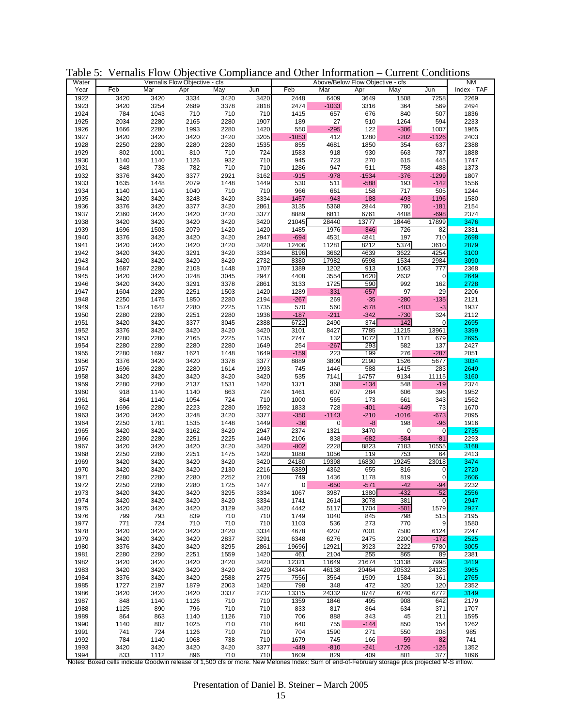| Water |                                                                                                                                                |      | Vernalis Flow Objective - cfs |      |      |              | Above/Below Flow Objective - cfs |         |             |                       | <b>NM</b>    |
|-------|------------------------------------------------------------------------------------------------------------------------------------------------|------|-------------------------------|------|------|--------------|----------------------------------|---------|-------------|-----------------------|--------------|
| Year  | Feb                                                                                                                                            | Mar  | Apr                           | May  | Jun  | Feb          | Mar                              | Apr     | May         | Jun                   | Index - TAF  |
| 1922  | 3420                                                                                                                                           | 3420 | 3334                          | 3420 | 3420 | 2448         | 6409                             | 3649    | 1508        | 7258                  | 2269         |
| 1923  | 3420                                                                                                                                           | 3254 | 2689                          | 3378 | 2818 | 2474         | $-1033$                          | 3316    | 364         | 569                   | 2494         |
| 1924  | 784                                                                                                                                            | 1043 | 710                           | 710  | 710  | 1415         | 657                              | 676     | 840         | 507                   | 1836         |
| 1925  | 2034                                                                                                                                           | 2280 | 2165                          | 2280 | 1907 | 189          | 27                               | 510     | 1264        | 594                   | 2233         |
| 1926  | 1666                                                                                                                                           | 2280 | 1993                          | 2280 | 1420 | 550          | $-295$                           | 122     | $-306$      | 1007                  | 1965         |
| 1927  | 3420                                                                                                                                           | 3420 | 3420                          | 3420 | 3205 | $-1053$      | 412                              | 1280    | $-202$      | $-1126$               | 2403         |
|       |                                                                                                                                                |      |                               |      |      |              |                                  |         |             |                       |              |
| 1928  | 2250                                                                                                                                           | 2280 | 2280                          | 2280 | 1535 | 855          | 4681                             | 1850    | 354         | 637                   | 2388         |
| 1929  | 802                                                                                                                                            | 1001 | 810                           | 710  | 724  | 1583         | 918                              | 930     | 663         | 787                   | 1888         |
| 1930  | 1140                                                                                                                                           | 1140 | 1126                          | 932  | 710  | 945          | 723                              | 270     | 615         | 445                   | 1747         |
| 1931  | 848                                                                                                                                            | 738  | 782                           | 710  | 710  | 1286         | 947                              | 511     | 758         | 488                   | 1373         |
| 1932  | 3376                                                                                                                                           | 3420 | 3377                          | 2921 | 3162 | $-915$       | $-978$                           | $-1534$ | $-376$      | $-1299$               | 1807         |
| 1933  | 1635                                                                                                                                           | 1448 | 2079                          | 1448 | 1449 | 530          | 511                              | $-588$  | 193         | $-142$                | 1556         |
| 1934  | 1140                                                                                                                                           | 1140 | 1040                          | 710  | 710  | 966          | 661                              | 158     | 717         | 505                   | 1244         |
| 1935  | 3420                                                                                                                                           | 3420 | 3248                          | 3420 | 3334 | $-1457$      | $-943$                           | $-188$  | $-493$      | $-1196$               | 1580         |
| 1936  | 3376                                                                                                                                           | 3420 | 3377                          | 3420 | 2861 | 3135         | 5368                             | 2844    | 780         | $-181$                | 2154         |
|       |                                                                                                                                                |      |                               |      |      | 8889         |                                  |         |             |                       |              |
| 1937  | 2360                                                                                                                                           | 3420 | 3420                          | 3420 | 3377 |              | 6811                             | 6761    | 4408        | $-698$                | 2374         |
| 1938  | 3420                                                                                                                                           | 3420 | 3420                          | 3420 | 3420 | 21045        | 28440                            | 13777   | 18446       | 17899                 | 3476         |
| 1939  | 1696                                                                                                                                           | 1503 | 2079                          | 1420 | 1420 | 1485         | 1976                             | $-346$  | 726         | 82                    | 2331         |
| 1940  | 3376                                                                                                                                           | 3420 | 3420                          | 3420 | 2947 | $-694$       | 4531                             | 4841    | 197         | 710                   | 2698         |
| 1941  | 3420                                                                                                                                           | 3420 | 3420                          | 3420 | 3420 | 12406        | 11281                            | 8212    | 5374        | 3610                  | 2879         |
| 1942  | 3420                                                                                                                                           | 3420 | 3291                          | 3420 | 3334 | 8196         | 3662                             | 4639    | 3622        | 4254                  | 3100         |
| 1943  | 3420                                                                                                                                           | 3420 | 3420                          | 3420 | 2732 | 8380         | 17982                            | 6598    | 1534        | 2984                  | 3090         |
| 1944  | 1687                                                                                                                                           | 2280 | 2108                          | 1448 | 1707 | 1389         | 1202                             | 913     | 1063        | 777                   | 2368         |
| 1945  | 3420                                                                                                                                           | 3420 | 3248                          | 3045 | 2947 | 4408         | 3554                             | 1620    | 2632        | 0                     | 2649         |
| 1946  | 3420                                                                                                                                           | 3420 | 3291                          | 3378 | 2861 | 3133         | 1725                             | 590     | 992         | 162                   | 2728         |
|       |                                                                                                                                                |      |                               |      |      |              |                                  |         |             |                       |              |
| 1947  | 1604                                                                                                                                           | 2280 | 2251                          | 1503 | 1420 | 1289         | $-331$                           | $-657$  | 97          | 29                    | 2206         |
| 1948  | 2250                                                                                                                                           | 1475 | 1850                          | 2280 | 2194 | $-267$       | 269                              | $-35$   | $-280$      | $-135$                | 2121         |
| 1949  | 1574                                                                                                                                           | 1642 | 2280                          | 2225 | 1735 | 570          | 560                              | $-578$  | $-403$      | $-3$                  | 1937         |
| 1950  | 2280                                                                                                                                           | 2280 | 2251                          | 2280 | 1936 | $-187$       | $-211$                           | $-342$  | $-730$      | 324                   | 2112         |
| 1951  | 3420                                                                                                                                           | 3420 | 3377                          | 3045 | 2388 | 6722         | 2490                             | 374     | $-142$      | 0                     | 2695         |
| 1952  | 3376                                                                                                                                           | 3420 | 3420                          | 3420 | 3420 | 3101         | 8427                             | 7785    | 11215       | 13961                 | 3399         |
| 1953  | 2280                                                                                                                                           | 2280 | 2165                          | 2225 | 1735 | 2747         | 132                              | 1072    | 1171        | 679                   | 2695         |
| 1954  | 2280                                                                                                                                           | 2280 | 2280                          | 2280 | 1649 | 254          | $-267$                           | 293     | 582         | 137                   | 2427         |
| 1955  | 2280                                                                                                                                           | 1697 | 1621                          | 1448 | 1649 | $-159$       | 223                              | 199     | 276         | $-287$                | 2051         |
|       |                                                                                                                                                |      |                               |      |      |              |                                  |         |             |                       |              |
| 1956  | 3376                                                                                                                                           | 3420 | 3420                          | 3378 | 3377 | 8889         | 3809                             | 2190    | 1526        | 5677                  | 3034         |
| 1957  | 1696                                                                                                                                           | 2280 | 2280                          | 1614 | 1993 | 745          | 1446                             | 588     | 1415        | 283                   | 2649         |
| 1958  | 3420                                                                                                                                           | 3420 | 3420                          | 3420 | 3420 | 535          | 7141                             | 14757   | 9134        | 11115                 | 3160         |
| 1959  | 2280                                                                                                                                           | 2280 | 2137                          | 1531 | 1420 | 1371         | 368                              | $-134$  | 548         | $-19$                 | 2374         |
| 1960  | 918                                                                                                                                            | 1140 | 1140                          | 863  | 724  | 1461         | 607                              | 284     | 606         | 396                   | 1952         |
| 1961  | 864                                                                                                                                            | 1140 | 1054                          | 724  | 710  | 1000         | 565                              | 173     | 661         | 343                   | 1562         |
| 1962  | 1696                                                                                                                                           | 2280 | 2223                          | 2280 | 1592 | 1833         | 728                              | $-401$  | $-449$      | 73                    | 1670         |
| 1963  | 3420                                                                                                                                           | 3420 | 3248                          | 3420 | 3377 | $-350$       | $-1143$                          | $-210$  | $-1016$     | $-673$                | 2095         |
| 1964  | 2250                                                                                                                                           | 1781 | 1535                          | 1448 | 1449 | $-36$        | 0                                | -8      | 198         | $-96$                 | 1916         |
|       |                                                                                                                                                |      |                               |      |      |              |                                  |         |             |                       |              |
| 1965  | 3420                                                                                                                                           | 3420 | 3162                          | 3420 | 2947 | 2374         | 1321                             | 3470    | 0           | 0                     | 2735         |
| 1966  | 2280                                                                                                                                           | 2280 | 2251                          | 2225 | 1449 | 2106         | 838                              | $-682$  | $-584$      | $-81$                 | 2293         |
| 1967  | 3420                                                                                                                                           | 3420 | 3420                          | 3420 | 3420 | $-802$       | 2228                             | 8823    | 7183        | 10555                 | 3168         |
| 1968  | 2250                                                                                                                                           | 2280 | 2251                          | 1475 | 1420 | 1088         | 1056                             | 119     | 753         | 64                    | 2413         |
| 1969  | 3420                                                                                                                                           | 3420 | 3420                          | 3420 | 3420 | 24180        | 19398                            | 16830   | 19245       | 23018                 | 3474         |
| 1970  | 3420                                                                                                                                           | 3420 | 3420                          | 2130 | 2216 | 6389         | 4362                             | 655     | 816         | 0                     | 2720         |
| 1971  | 2280                                                                                                                                           | 2280 | 2280                          | 2252 | 2108 | 749          | 1436                             | 1178    | 819         | $\overline{0}$        | 2606         |
| 1972  | 2250                                                                                                                                           | 2280 | 2280                          | 1725 | 1477 | 0            | $-650$                           | $-571$  | $-42$       | $-94$                 | 2232         |
| 1973  | 3420                                                                                                                                           | 3420 | 3420                          | 3295 | 3334 |              | 3987                             | 1380    |             |                       |              |
| 1974  | 3420                                                                                                                                           | 3420 | 3420                          | 3420 | 3334 | 1067<br>1741 | 2614                             | 3078    | -432<br>381 | -52<br>$\overline{0}$ | 2556<br>2947 |
|       |                                                                                                                                                |      |                               |      |      |              |                                  |         |             |                       |              |
| 1975  | 3420                                                                                                                                           | 3420 | 3420                          | 3129 | 3420 | 4442         | 5117                             | 1704    | $-501$      | 1579                  | 2927         |
| 1976  | 799                                                                                                                                            | 793  | 839                           | 710  | 710  | 1749         | 1040                             | 845     | 798         | 515                   | 2195         |
| 1977  | 771                                                                                                                                            | 724  | 710                           | 710  | 710  | 1103         | 536                              | 273     | 770         | $\overline{9}$        | 1580         |
| 1978  | 3420                                                                                                                                           | 3420 | 3420                          | 3420 | 3334 | 4678         | 4207                             | 7001    | 7500        | 6124                  | 2247         |
| 1979  | 3420                                                                                                                                           | 3420 | 3420                          | 2837 | 3291 | 6348         | 6276                             | 2475    | 2200        | $-172$                | 2525         |
| 1980  | 3376                                                                                                                                           | 3420 | 3420                          | 3295 | 2861 | 19696        | 12921                            | 3923    | 2222        | 5780                  | 3005         |
| 1981  | 2280                                                                                                                                           | 2280 | 2251                          | 1559 | 1420 | 461          | 2104                             | 255     | 865         | 89                    | 2381         |
| 1982  | 3420                                                                                                                                           | 3420 | 3420                          | 3420 | 3420 | 12321        | 11649                            | 21674   | 13138       | 7998                  | 3419         |
| 1983  | 3420                                                                                                                                           | 3420 | 3420                          | 3420 | 3420 | 34344        | 46138                            | 20464   | 20532       | 24128                 | 3965         |
|       |                                                                                                                                                |      |                               |      |      |              |                                  |         |             | 361                   |              |
| 1984  | 3376                                                                                                                                           | 3420 | 3420                          | 2588 | 2775 | 7556         | 3564                             | 1509    | 1584        |                       | 2765         |
| 1985  | 1727                                                                                                                                           | 2197 | 1879                          | 2003 | 1420 | 798          | 348                              | 472     | 320         | 120                   | 2352         |
| 1986  | 3420                                                                                                                                           | 3420 | 3420                          | 3337 | 2732 | 13315        | 24332                            | 8747    | 6740        | 6772                  | 3149         |
| 1987  | 848                                                                                                                                            | 1140 | 1126                          | 710  | 710  | 1359         | 1846                             | 495     | 908         | 642                   | 2179         |
| 1988  | 1125                                                                                                                                           | 890  | 796                           | 710  | 710  | 833          | 817                              | 864     | 634         | 371                   | 1707         |
| 1989  | 864                                                                                                                                            | 863  | 1140                          | 1126 | 710  | 706          | 888                              | 343     | 45          | 211                   | 1595         |
| 1990  | 1140                                                                                                                                           | 807  | 1025                          | 710  | 710  | 640          | 755                              | $-144$  | 850         | 154                   | 1262         |
| 1991  | 741                                                                                                                                            | 724  | 1126                          | 710  | 710  | 704          | 1590                             | 271     | 550         | 208                   | 985          |
| 1992  | 784                                                                                                                                            | 1140 | 1068                          | 738  | 710  | 1679         | 745                              | 166     | $-59$       | $-82$                 | 741          |
|       |                                                                                                                                                |      |                               |      |      |              |                                  |         |             |                       |              |
| 1993  | 3420                                                                                                                                           | 3420 | 3420                          | 3420 | 3377 | $-449$       | $-810$                           | $-241$  | $-1726$     | $-125$                | 1352         |
| 1994  | 833                                                                                                                                            | 1112 | 896                           | 710  | 710  | 1609         | 829                              | 409     | 801         | 377                   | 1096         |
|       | Notes: Boxed cells indicate Goodwin release of 1,500 cfs or more. New Melones Index: Sum of end-of-February storage plus projected M-S inflow. |      |                               |      |      |              |                                  |         |             |                       |              |

Table 5: Vernalis Flow Objective Compliance and Other Information – Current Conditions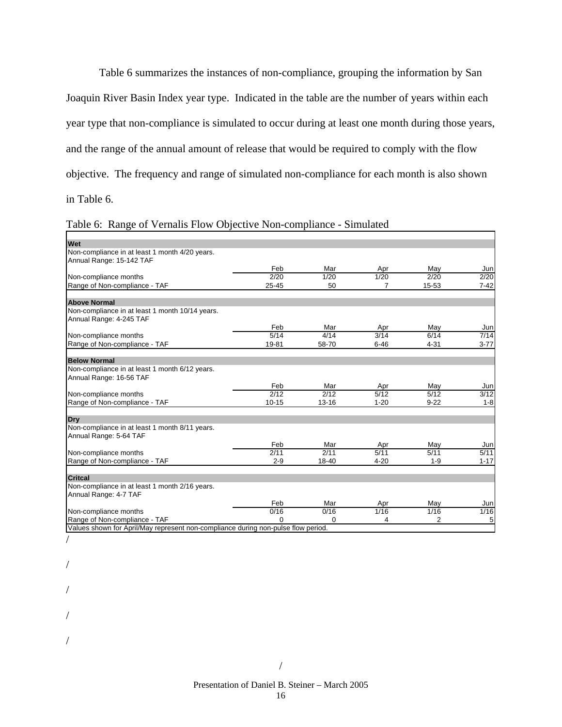Table 6 summarizes the instances of non-compliance, grouping the information by San Joaquin River Basin Index year type. Indicated in the table are the number of years within each year type that non-compliance is simulated to occur during at least one month during those years, and the range of the annual amount of release that would be required to comply with the flow objective. The frequency and range of simulated non-compliance for each month is also shown in Table 6.

| Table 6: Range of Vernalis Flow Objective Non-compliance - Simulated |  |  |
|----------------------------------------------------------------------|--|--|
|----------------------------------------------------------------------|--|--|

| Wet                                                                               |               |           |          |          |          |
|-----------------------------------------------------------------------------------|---------------|-----------|----------|----------|----------|
| Non-compliance in at least 1 month 4/20 years.                                    |               |           |          |          |          |
| Annual Range: 15-142 TAF                                                          |               |           |          |          |          |
|                                                                                   | Feb           | Mar       | Apr      | Mav      | Jun      |
| Non-compliance months                                                             | 2/20          | 1/20      | 1/20     | 2/20     | 2/20     |
| Range of Non-compliance - TAF                                                     | 25-45         | 50        | 7        | 15-53    | $7 - 42$ |
| <b>Above Normal</b>                                                               |               |           |          |          |          |
| Non-compliance in at least 1 month 10/14 years.                                   |               |           |          |          |          |
| Annual Range: 4-245 TAF                                                           |               |           |          |          |          |
|                                                                                   | Feb           | Mar       | Apr      | May      | Jun      |
| Non-compliance months                                                             | 5/14          | 4/14      | 3/14     | 6/14     | 7/14     |
| Range of Non-compliance - TAF                                                     | 19-81         | 58-70     | $6 - 46$ | $4 - 31$ | $3 - 77$ |
|                                                                                   |               |           |          |          |          |
| <b>Below Normal</b>                                                               |               |           |          |          |          |
| Non-compliance in at least 1 month 6/12 years.                                    |               |           |          |          |          |
| Annual Range: 16-56 TAF                                                           |               |           |          |          |          |
|                                                                                   | Feb           | Mar       | Apr      | May      | Jun      |
| Non-compliance months                                                             | $\sqrt{2/12}$ | 2/12      | 5/12     | 5/12     | 3/12     |
| Range of Non-compliance - TAF                                                     | $10 - 15$     | $13 - 16$ | $1 - 20$ | $9 - 22$ | $1 - 8$  |
|                                                                                   |               |           |          |          |          |
| Drv                                                                               |               |           |          |          |          |
| Non-compliance in at least 1 month 8/11 years.                                    |               |           |          |          |          |
| Annual Range: 5-64 TAF                                                            |               |           |          |          |          |
|                                                                                   | Feb           | Mar       | Apr      | May      | Jun      |
| Non-compliance months                                                             | 2/11          | 2/11      | 5/11     | 5/11     | 5/11     |
| Range of Non-compliance - TAF                                                     | $2 - 9$       | 18-40     | $4 - 20$ | $1 - 9$  | $1 - 17$ |
| <b>Critcal</b>                                                                    |               |           |          |          |          |
| Non-compliance in at least 1 month 2/16 years.                                    |               |           |          |          |          |
| Annual Range: 4-7 TAF                                                             |               |           |          |          |          |
|                                                                                   |               |           |          |          |          |
|                                                                                   | Feb           | Mar       | Apr      | May      | Jun      |
| Non-compliance months                                                             | 0/16          | 0/16      | 1/16     | 1/16     | 1/16     |
| Range of Non-compliance - TAF                                                     | ŋ             | 0         | 4        | 2        | 5        |
| Values shown for April/May represent non-compliance during non-pulse flow period. |               |           |          |          |          |

<sup>/</sup> 

/

/

/

/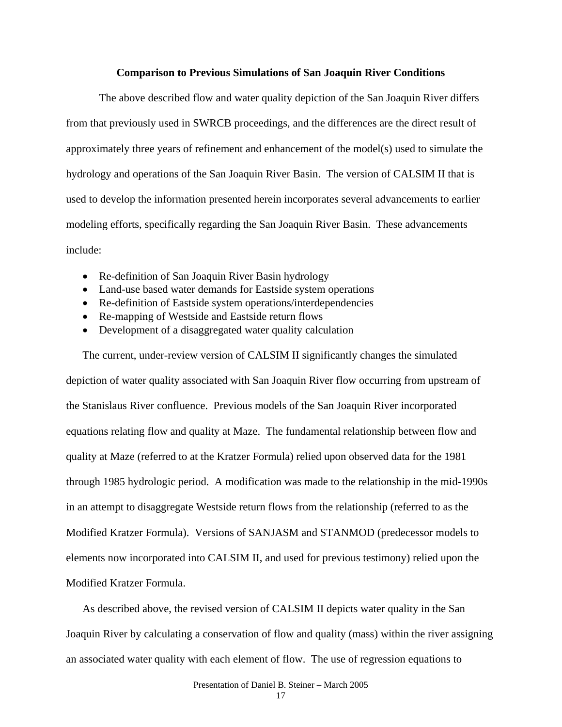### **Comparison to Previous Simulations of San Joaquin River Conditions**

The above described flow and water quality depiction of the San Joaquin River differs from that previously used in SWRCB proceedings, and the differences are the direct result of approximately three years of refinement and enhancement of the model(s) used to simulate the hydrology and operations of the San Joaquin River Basin. The version of CALSIM II that is used to develop the information presented herein incorporates several advancements to earlier modeling efforts, specifically regarding the San Joaquin River Basin. These advancements include:

- Re-definition of San Joaquin River Basin hydrology
- Land-use based water demands for Eastside system operations
- Re-definition of Eastside system operations/interdependencies
- Re-mapping of Westside and Eastside return flows
- Development of a disaggregated water quality calculation

The current, under-review version of CALSIM II significantly changes the simulated depiction of water quality associated with San Joaquin River flow occurring from upstream of the Stanislaus River confluence. Previous models of the San Joaquin River incorporated equations relating flow and quality at Maze. The fundamental relationship between flow and quality at Maze (referred to at the Kratzer Formula) relied upon observed data for the 1981 through 1985 hydrologic period. A modification was made to the relationship in the mid-1990s in an attempt to disaggregate Westside return flows from the relationship (referred to as the Modified Kratzer Formula). Versions of SANJASM and STANMOD (predecessor models to elements now incorporated into CALSIM II, and used for previous testimony) relied upon the Modified Kratzer Formula.

As described above, the revised version of CALSIM II depicts water quality in the San Joaquin River by calculating a conservation of flow and quality (mass) within the river assigning an associated water quality with each element of flow. The use of regression equations to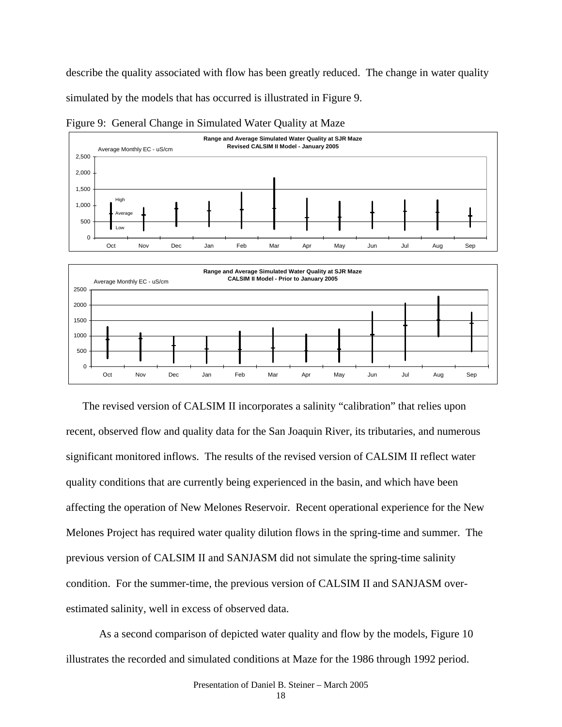describe the quality associated with flow has been greatly reduced. The change in water quality simulated by the models that has occurred is illustrated in Figure 9.



Figure 9: General Change in Simulated Water Quality at Maze



The revised version of CALSIM II incorporates a salinity "calibration" that relies upon recent, observed flow and quality data for the San Joaquin River, its tributaries, and numerous significant monitored inflows. The results of the revised version of CALSIM II reflect water quality conditions that are currently being experienced in the basin, and which have been affecting the operation of New Melones Reservoir. Recent operational experience for the New Melones Project has required water quality dilution flows in the spring-time and summer. The previous version of CALSIM II and SANJASM did not simulate the spring-time salinity condition. For the summer-time, the previous version of CALSIM II and SANJASM overestimated salinity, well in excess of observed data.

 As a second comparison of depicted water quality and flow by the models, Figure 10 illustrates the recorded and simulated conditions at Maze for the 1986 through 1992 period.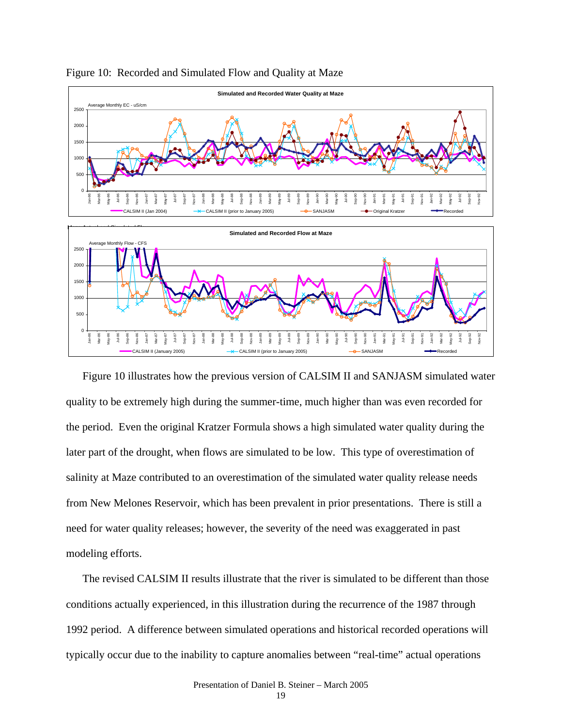

### Figure 10: Recorded and Simulated Flow and Quality at Maze

Figure 10 illustrates how the previous version of CALSIM II and SANJASM simulated water quality to be extremely high during the summer-time, much higher than was even recorded for the period. Even the original Kratzer Formula shows a high simulated water quality during the later part of the drought, when flows are simulated to be low. This type of overestimation of salinity at Maze contributed to an overestimation of the simulated water quality release needs from New Melones Reservoir, which has been prevalent in prior presentations. There is still a need for water quality releases; however, the severity of the need was exaggerated in past modeling efforts.

The revised CALSIM II results illustrate that the river is simulated to be different than those conditions actually experienced, in this illustration during the recurrence of the 1987 through 1992 period. A difference between simulated operations and historical recorded operations will typically occur due to the inability to capture anomalies between "real-time" actual operations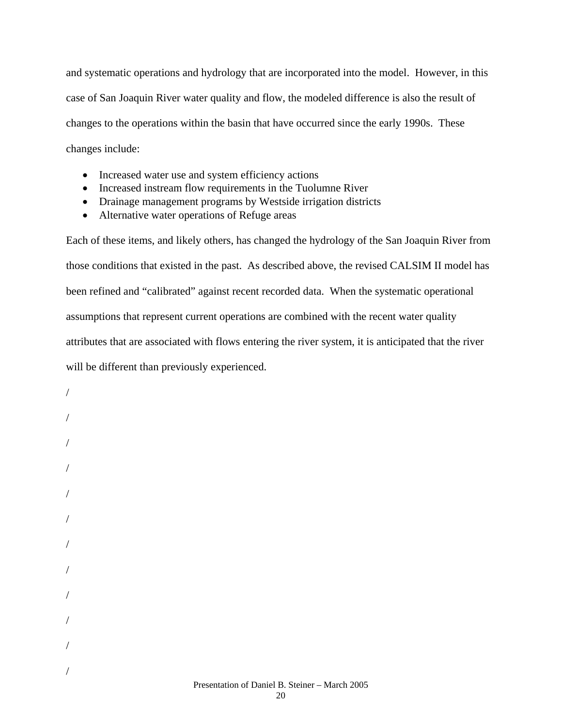and systematic operations and hydrology that are incorporated into the model. However, in this case of San Joaquin River water quality and flow, the modeled difference is also the result of changes to the operations within the basin that have occurred since the early 1990s. These changes include:

- Increased water use and system efficiency actions
- Increased instream flow requirements in the Tuolumne River
- Drainage management programs by Westside irrigation districts
- Alternative water operations of Refuge areas

Each of these items, and likely others, has changed the hydrology of the San Joaquin River from those conditions that existed in the past. As described above, the revised CALSIM II model has been refined and "calibrated" against recent recorded data. When the systematic operational assumptions that represent current operations are combined with the recent water quality attributes that are associated with flows entering the river system, it is anticipated that the river will be different than previously experienced.

Presentation of Daniel B. Steiner – March 2005 / / / / / / / / / / / /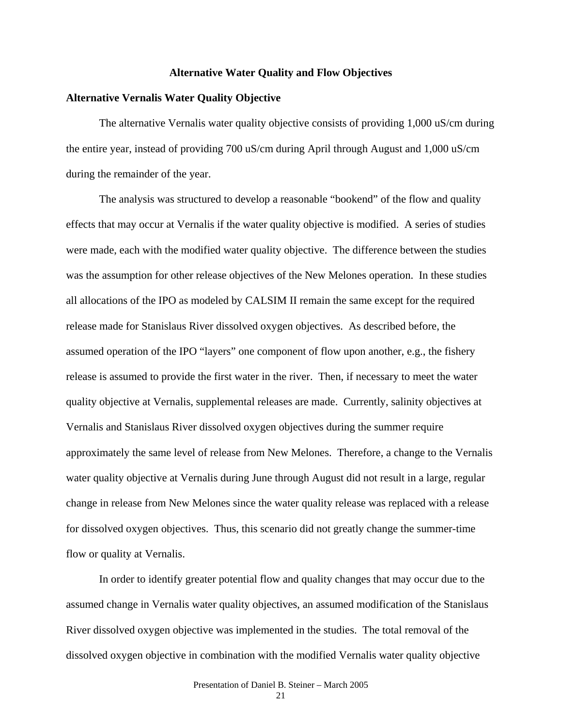### **Alternative Water Quality and Flow Objectives**

### **Alternative Vernalis Water Quality Objective**

The alternative Vernalis water quality objective consists of providing 1,000 uS/cm during the entire year, instead of providing 700 uS/cm during April through August and 1,000 uS/cm during the remainder of the year.

 The analysis was structured to develop a reasonable "bookend" of the flow and quality effects that may occur at Vernalis if the water quality objective is modified. A series of studies were made, each with the modified water quality objective. The difference between the studies was the assumption for other release objectives of the New Melones operation. In these studies all allocations of the IPO as modeled by CALSIM II remain the same except for the required release made for Stanislaus River dissolved oxygen objectives. As described before, the assumed operation of the IPO "layers" one component of flow upon another, e.g., the fishery release is assumed to provide the first water in the river. Then, if necessary to meet the water quality objective at Vernalis, supplemental releases are made. Currently, salinity objectives at Vernalis and Stanislaus River dissolved oxygen objectives during the summer require approximately the same level of release from New Melones. Therefore, a change to the Vernalis water quality objective at Vernalis during June through August did not result in a large, regular change in release from New Melones since the water quality release was replaced with a release for dissolved oxygen objectives. Thus, this scenario did not greatly change the summer-time flow or quality at Vernalis.

 In order to identify greater potential flow and quality changes that may occur due to the assumed change in Vernalis water quality objectives, an assumed modification of the Stanislaus River dissolved oxygen objective was implemented in the studies. The total removal of the dissolved oxygen objective in combination with the modified Vernalis water quality objective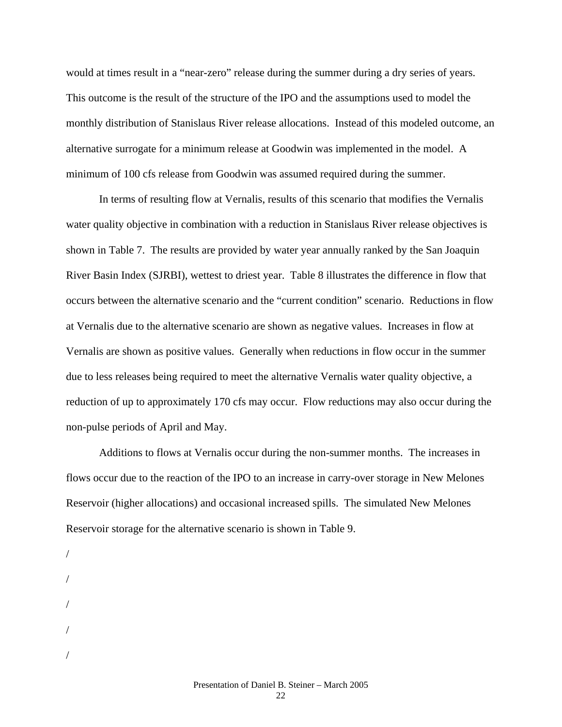would at times result in a "near-zero" release during the summer during a dry series of years. This outcome is the result of the structure of the IPO and the assumptions used to model the monthly distribution of Stanislaus River release allocations. Instead of this modeled outcome, an alternative surrogate for a minimum release at Goodwin was implemented in the model. A minimum of 100 cfs release from Goodwin was assumed required during the summer.

 In terms of resulting flow at Vernalis, results of this scenario that modifies the Vernalis water quality objective in combination with a reduction in Stanislaus River release objectives is shown in Table 7. The results are provided by water year annually ranked by the San Joaquin River Basin Index (SJRBI), wettest to driest year. Table 8 illustrates the difference in flow that occurs between the alternative scenario and the "current condition" scenario. Reductions in flow at Vernalis due to the alternative scenario are shown as negative values. Increases in flow at Vernalis are shown as positive values. Generally when reductions in flow occur in the summer due to less releases being required to meet the alternative Vernalis water quality objective, a reduction of up to approximately 170 cfs may occur. Flow reductions may also occur during the non-pulse periods of April and May.

 Additions to flows at Vernalis occur during the non-summer months. The increases in flows occur due to the reaction of the IPO to an increase in carry-over storage in New Melones Reservoir (higher allocations) and occasional increased spills. The simulated New Melones Reservoir storage for the alternative scenario is shown in Table 9.

- / /
- /
- /
- /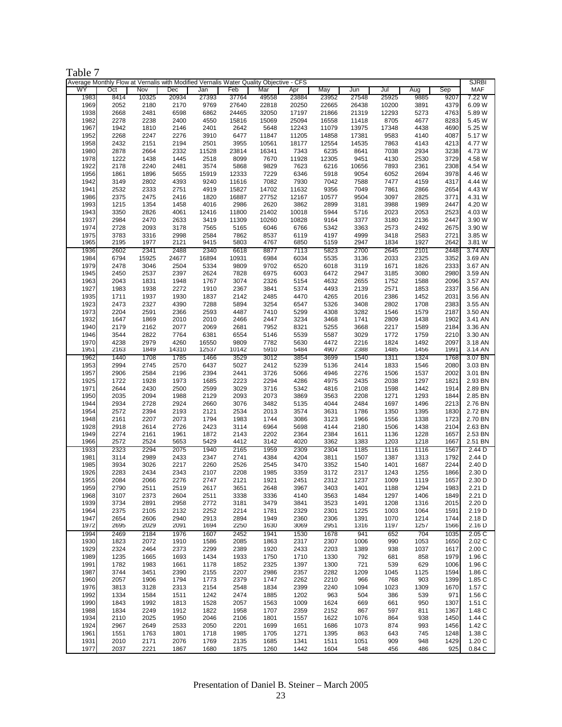| ante |  |
|------|--|
|------|--|

|              | Average Monthly Flow at Vernalis with Modified Vernalis Water Quality Objective - CFS |              |              |              |              |                |                |                |                |              |              |              | <b>SJRBI</b>       |
|--------------|---------------------------------------------------------------------------------------|--------------|--------------|--------------|--------------|----------------|----------------|----------------|----------------|--------------|--------------|--------------|--------------------|
| WY           | Oct                                                                                   | Nov          | Dec          | Jan          | Feb          | Mar            | Apr            | May            | Jun            | Jul          | Aug          | Sep          | <b>MAF</b>         |
| 1983         | 8414                                                                                  | 10325        | 20934        | 27393        | 37764        | 49558          | 23884          | 23952          | 27548          | 25925        | 9885         | 9207         | 7.22 W             |
| 1969         | 2052                                                                                  | 2180         | 2170         | 9769         | 27640        | 22818          | 20250          | 22665          | 26438          | 10200        | 3891         | 4379         | 6.09 W             |
| 1938         | 2668                                                                                  | 2481         | 6598         | 6862         | 24465        | 32050          | 17197          | 21866          | 21319          | 12293        | 5273         | 4763         | 5.89 W             |
| 1982         | 2278                                                                                  | 2238         | 2400         | 4550         | 15816        | 15069          | 25094          | 16558          | 11418          | 8705         | 4677         | 8283         | 5.45 W             |
| 1967         | 1942                                                                                  | 1810         | 2146         | 2401         | 2642         | 5648           | 12243          | 11079          | 13975          | 17348        | 4438         | 4690         | 5.25 W<br>5.17 W   |
| 1952<br>1958 | 2268<br>2432                                                                          | 2247<br>2151 | 2276<br>2194 | 3910<br>2501 | 6477<br>3955 | 11847<br>10561 | 11205<br>18177 | 14858<br>12554 | 17381<br>14535 | 9583<br>7863 | 4140<br>4143 | 4087<br>4213 | 4.77 W             |
| 1980         | 2878                                                                                  | 2664         | 2332         | 11528        | 23814        | 16341          | 7343           | 6235           | 8641           | 7038         | 2934         | 3238         | 4.73 W             |
| 1978         | 1222                                                                                  | 1438         | 1445         | 2518         | 8099         | 7670           | 11928          | 12305          | 9451           | 4130         | 2530         | 3729         | 4.58 W             |
| 1922         | 2178                                                                                  | 2240         | 2481         | 3574         | 5868         | 9829           | 7623           | 6216           | 10656          | 7893         | 2361         | 2308         | 4.54 W             |
| 1956         | 1861                                                                                  | 1896         | 5655         | 15919        | 12333        | 7229           | 6346           | 5918           | 9054           | 6052         | 2694         | 3978         | 4.46 W             |
| 1942         | 3149                                                                                  | 2802         | 4393         | 9240         | 11616        | 7082           | 7930           | 7042           | 7588           | 7477         | 4159         | 4317         | 4.44 W             |
| 1941         | 2532                                                                                  | 2333         | 2751         | 4919         | 15827        | 14702          | 11632          | 9356           | 7049           | 7861         | 2866         | 2654         | 4.43 W             |
| 1986         | 2375                                                                                  | 2475         | 2416         | 1820         | 16887        | 27752          | 12167          | 10577          | 9504           | 3097         | 2825         | 3771         | 4.31 W             |
| 1993         | 1215                                                                                  | 1354         | 1458         | 4016         | 2986         | 2620           | 3862           | 2899           | 3181           | 3988         | 1989         | 2447         | 4.20 W             |
| 1943         | 3350                                                                                  | 2826         | 4061         | 12416        | 11800        | 21402          | 10018          | 5944           | 5716           | 2023         | 2053         | 2523         | 4.03 W             |
| 1937         | 2984                                                                                  | 2470         | 2633         | 3419         | 11309        | 10260          | 10828          | 9164           | 3377           | 3180         | 2136         | 2447         | 3.90 W             |
| 1974         | 2728                                                                                  | 2093         | 3178         | 7565         | 5165         | 6046           | 6766           | 5342           | 3363           | 2573         | 2492         | 2675         | 3.90 W             |
| 1975         | 3783                                                                                  | 3316         | 2998         | 2584         | 7862         | 8537           | 6119           | 4197           | 4999           | 3418         | 2583         | 2721         | 3.85 W             |
| 1965         | 2195                                                                                  | 1977         | 2121         | 9415         | 5803         | 4767           | 6850           | 5159           | 2947           | 1834         | 1927         | 2642         | 3.81 W             |
| 1936         | 2602                                                                                  | 2341         | 2488         | 2340         | 6618         | 8877           | 7113           | 5823           | 2700           | 2645         | 2101         | 2448         | 3.74 AN            |
| 1984         | 6794                                                                                  | 15925        | 24677        | 16894        | 10931        | 6984           | 6034           | 5535           | 3136           | 2033         | 2325         | 3352         | 3.69 AN            |
| 1979         | 2478                                                                                  | 3046         | 2504         | 5334         | 9809         | 9702           | 6520           | 6018           | 3119           | 1671         | 1826         | 2333         | 3.67 AN            |
| 1945         | 2450                                                                                  | 2537         | 2397<br>1948 | 2624<br>1767 | 7828         | 6975<br>2326   | 6003           | 6472<br>4632   | 2947<br>2655   | 3185<br>1752 | 3080<br>1588 | 2980<br>2096 | 3.59 AN<br>3.57 AN |
| 1963         | 2043                                                                                  | 1831         | 2272         |              | 3074         |                | 5154<br>5374   |                | 2139           |              |              | 2337         | 3.56 AN            |
| 1927<br>1935 | 1983<br>1711                                                                          | 1938<br>1937 | 1930         | 1910<br>1837 | 2367<br>2142 | 3841<br>2485   | 4470           | 4493<br>4265   | 2016           | 2571<br>2386 | 1853<br>1452 | 2031         | 3.56 AN            |
| 1923         | 2473                                                                                  | 2327         | 4390         | 7288         | 5894         | 3254           | 6547           | 5326           | 3408           | 2802         | 1708         | 2383         | 3.55 AN            |
| 1973         | 2204                                                                                  | 2591         | 2366         | 2593         | 4487         | 7410           | 5299           | 4308           | 3282           | 1546         | 1579         | 2187         | 3.50 AN            |
| 1932         | 1647                                                                                  | 1869         | 2010         | 2010         | 2466         | 2447           | 3234           | 3468           | 1741           | 2809         | 1438         | 1902         | 3.41 AN            |
| 1940         | 2179                                                                                  | 2162         | 2077         | 2069         | 2681         | 7952           | 8321           | 5255           | 3668           | 2217         | 1589         | 2184         | 3.36 AN            |
| 1946         | 3544                                                                                  | 2822         | 7764         | 6381         | 6554         | 5146           | 5539           | 5587           | 3029           | 1772         | 1759         | 2210         | 3.30 AN            |
| 1970         | 4238                                                                                  | 2979         | 4260         | 16550        | 9809         | 7782           | 5630           | 4472           | 2216           | 1824         | 1492         | 2097         | 3.18 AN            |
| 1951         | 2163                                                                                  | 1849         | 14310        | 12537        | 10142        | 5910           | 5484           | 4907           | 2388           | 1485         | 1456         | 1991         | 3.14 AN            |
| 1962         | 1440                                                                                  | 1708         | 1785         | 1466         | 3529         | 3012           | 3854           | 3699           | 1540           | 1311         | 1324         | 1768         | 3.07 BN            |
| 1953         | 2994                                                                                  | 2745         | 2570         | 6437         | 5027         | 2412           | 5239           | 5136           | 2414           | 1833         | 1546         | 2080         | 3.03 BN            |
| 1957         | 2906                                                                                  | 2584         | 2196         | 2394         | 2441         | 3726           | 5066           | 4946           | 2276           | 1506         | 1537         | 2002         | 3.01 BN            |
| 1925         | 1722                                                                                  | 1928         | 1973         | 1685         | 2223         | 2294           | 4286           | 4975           | 2435           | 2038         | 1297         | 1821         | 2.93 BN            |
| 1971         | 2644                                                                                  | 2430         | 2500         | 2599         | 3029         | 3716           | 5342           | 4816           | 2108           | 1598         | 1442         | 1914         | 2.89 BN            |
| 1950         | 2035                                                                                  | 2094         | 1988         | 2129         | 2093         | 2073           | 3869           | 3563           | 2208           | 1271         | 1293         | 1844         | 2.85 BN            |
| 1944         | 2934                                                                                  | 2728         | 2924         | 2660         | 3076         | 3482           | 5135           | 4044           | 2484           | 1697         | 1496         | 2213         | 2.76 BN            |
| 1954         | 2572                                                                                  | 2394         | 2193         | 2121         | 2534         | 2013           | 3574           | 3631           | 1786           | 1350         | 1395         | 1830         | 2.72 BN            |
| 1948<br>1928 | 2161<br>2918                                                                          | 2207         | 2073<br>2726 | 1794<br>2423 | 1983         | 1744<br>6964   | 3086           | 3123<br>4144   | 1966<br>2180   | 1556         | 1338<br>1438 | 1723<br>2104 | 2.70 BN<br>2.63 BN |
| 1949         | 2274                                                                                  | 2614<br>2161 | 1961         | 1872         | 3114<br>2143 | 2202           | 5698<br>2364   | 2384           | 1611           | 1506<br>1136 | 1228         | 1657         | 2.53 BN            |
| 1966         | 2572                                                                                  | 2524         | 5653         | 5429         | 4412         | 3142           | 4020           | 3362           | 1383           | 1203         | 1218         | 1667         | 2.51 BN            |
| 1933         | 2323                                                                                  | 2294         | 2075         | 1940         | 2165         | 1959           | 2309           | 2304           | 1185           | 1116         | 1116         | 1567         | 2.44 D             |
| 1981         | 3114                                                                                  | 2989         | 2433         | 2347         | 2741         | 4384           | 4204           | 3811           | 1507           | 1387         | 1313         | 1792         | 2.44 D             |
| 1985         | 3934                                                                                  | 3026         | 2217         | 2260         | 2526         | 2545           | 3470           | 3352           | 1540           | 1401         | 1687         | 2244         | 2.40 D             |
| 1926         | 2283                                                                                  | 2434         | 2343         | 2107         | 2208         | 1985           | 3359           | 3172           | 2317           | 1243         | 1255         | 1866         | 2.30 D             |
| 1955         | 2084                                                                                  | 2066         | 2276         | 2747         | 2121         | 1921           | 2451           | 2312           | 1237           | 1009         | 1119         | 1657         | 2.30 D             |
| 1959         | 2790                                                                                  | 2511         | 2519         | 2617         | 3651         | 2648           | 3967           | 3403           | 1401           | 1188         | 1294         | 1983         | 2.21 D             |
| 1968         | 3107                                                                                  | 2373         | 2604         | 2511         | 3338         | 3336           | 4140           | 3563           | 1484           | 1297         | 1406         | 1849         | 2.21 D             |
| 1939         | 3734                                                                                  | 2891         | 2958         | 2772         | 3181         | 3479           | 3841           | 3523           | 1491           | 1208         | 1316         | 2015         | 2.20 D             |
| 1964         | 2375                                                                                  | 2105         | 2132         | 2252         | 2214         | 1781           | 2329           | 2301           | 1225           | 1003         | 1064         | 1591         | 2.19 D             |
| 1947         | 2654                                                                                  | 2606         | 2940         | 2913         | 2894         | 1949           | 2360           | 2306           | 1391           | 1070         | 1214         | 1744         | 2.18 D             |
| 1972         | 2695                                                                                  | 2029         | 2091         | 1694         | 2250         | 1630           | 3069           | 2951           | 1316           | 1197         | 1257         | 1566         | 2.16 D             |
| 1994         | 2469                                                                                  | 2184         | 1976         | 1607         | 2452         | 1941           | 1530           | 1678           | 941            | 652          | 704          | 1035         | 2.05 C             |
| 1930<br>1929 | 1823<br>2324                                                                          | 2072<br>2464 | 1910<br>2373 | 1586<br>2299 | 2085<br>2389 | 1863<br>1920   | 2317<br>2433   | 2307<br>2203   | 1006<br>1389   | 990<br>938   | 1053<br>1037 | 1650<br>1617 | 2.02 C<br>2.00C    |
| 1989         | 1235                                                                                  | 1665         | 1693         | 1434         | 1933         | 1750           | 1710           | 1330           | 792            | 681          | 858          | 1979         | 1.96 C             |
| 1991         | 1782                                                                                  | 1983         | 1661         | 1178         | 1852         | 2325           | 1397           | 1300           | 721            | 539          | 629          | 1006         | 1.96 C             |
| 1987         | 3744                                                                                  | 3451         | 2390         | 2155         | 2207         | 2986           | 2357           | 2282           | 1209           | 1045         | 1125         | 1594         | 1.86 C             |
| 1960         | 2057                                                                                  | 1906         | 1794         | 1773         | 2379         | 1747           | 2262           | 2210           | 966            | 768          | 903          | 1399         | 1.85 C             |
| 1976         | 3813                                                                                  | 3128         | 2313         | 2154         | 2548         | 1834           | 2399           | 2240           | 1094           | 1023         | 1309         | 1670         | 1.57 C             |
| 1992         | 1334                                                                                  | 1584         | 1511         | 1242         | 2474         | 1885           | 1202           | 963            | 504            | 386          | 539          | 971          | 1.56 C             |
| 1990         | 1843                                                                                  | 1992         | 1813         | 1528         | 2057         | 1563           | 1009           | 1624           | 669            | 661          | 950          | 1307         | 1.51 C             |
| 1988         | 1834                                                                                  | 2249         | 1912         | 1822         | 1958         | 1707           | 2359           | 2152           | 867            | 597          | 811          | 1367         | 1.48 C             |
| 1934         | 2110                                                                                  | 2025         | 1950         | 2046         | 2106         | 1801           | 1557           | 1622           | 1076           | 864          | 938          | 1450         | 1.44 C             |
| 1924         | 2967                                                                                  | 2649         | 2533         | 2050         | 2201         | 1699           | 1651           | 1686           | 1073           | 874          | 993          | 1456         | 1.42 C             |
| 1961         | 1551                                                                                  | 1763         | 1801         | 1718         | 1985         | 1705           | 1271           | 1395           | 863            | 643          | 745          | 1248         | 1.38 C             |
| 1931         | 2010                                                                                  | 2171         | 2076         | 1769         | 2135         | 1685           | 1341           | 1511           | 1051           | 909          | 948          | 1429         | 1.20 C             |
| 1977         | 2037                                                                                  | 2221         | 1867         | 1680         | 1875         | 1260           | 1442           | 1604           | 548            | 456          | 486          | 925          | 0.84C              |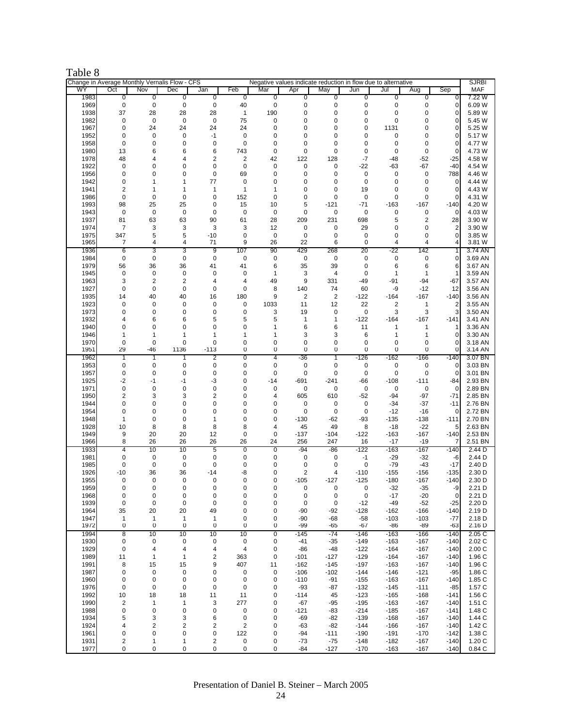# Table 8

|              |                         |                   | Change in Average Monthly Vernalis Flow - CFS |                         |                         |                | Negative values indicate reduction in flow due to alternative |                      |                   |                                   |                  |                         | <b>SJRBI</b>       |
|--------------|-------------------------|-------------------|-----------------------------------------------|-------------------------|-------------------------|----------------|---------------------------------------------------------------|----------------------|-------------------|-----------------------------------|------------------|-------------------------|--------------------|
| WY           | Oct                     | Nov               | Dec                                           | Jan                     | Feb                     | Mar            | Apr                                                           | May                  | Jun               | Jul                               | Aug              | Sep                     | <b>MAF</b>         |
| 1983         | 0                       | 0                 | 0                                             | $\overline{0}$          | $\overline{0}$          | 0              | $\overline{0}$                                                | $\overline{0}$       | $\overline{0}$    | 0                                 | $\overline{0}$   | $\mathbf 0$             | 7.22 W             |
| 1969         | 0                       | 0                 | $\pmb{0}$                                     | 0                       | 40                      | 0              | 0                                                             | 0                    | 0                 | 0                                 | 0                | $\mathbf 0$             | 6.09 W             |
| 1938<br>1982 | 37<br>0                 | 28<br>0           | 28<br>0                                       | 28<br>0                 | 1<br>75                 | 190<br>0       | 0<br>0                                                        | $\mathbf 0$<br>0     | 0<br>0            | 0<br>0                            | 0<br>0           | $\mathbf 0$<br>0        | 5.89 W<br>5.45 W   |
| 1967         | 0                       | 24                | 24                                            | 24                      | 24                      | 0              | $\mathbf 0$                                                   | $\mathbf 0$          | 0                 | 1131                              | 0                | $\mathbf 0$             | 5.25 W             |
| 1952         | 0                       | 0                 | 0                                             | $-1$                    | 0                       | 0              | 0                                                             | 0                    | 0                 | 0                                 | 0                | 0                       | 5.17 W             |
| 1958         | 0                       | 0                 | $\mathbf 0$                                   | 0                       | 0                       | 0              | 0                                                             | 0                    | 0                 | 0                                 | 0                | 0                       | 4.77 W             |
| 1980         | 13                      | 6                 | 6                                             | 6                       | 743                     | 0              | 0                                                             | 0                    | 0                 | 0                                 | $\mathbf 0$      | 0                       | 4.73 W             |
| 1978         | 48                      | 4                 | $\overline{4}$                                | 2                       | $\overline{\mathbf{c}}$ | 42             | 122                                                           | 128                  | $-7$              | $-48$                             | $-52$            | $-25$                   | 4.58 W             |
| 1922         | 0                       | 0                 | 0                                             | 0                       | $\mathbf 0$             | 0              | $\mathbf 0$                                                   | 0                    | $-22$             | -63                               | -67              | -40                     | 4.54 W             |
| 1956         | 0                       | 0                 | 0                                             | 0                       | 69                      | 0              | 0                                                             | 0                    | 0                 | 0                                 | $\mathbf 0$      | 788                     | 4.46 W             |
| 1942         | 0                       | 1                 | $\mathbf{1}$                                  | 77                      | $\mathbf 0$             | 0              | 0                                                             | $\mathbf 0$          | 0                 | 0                                 | $\mathbf 0$      | $\mathbf{0}$            | 4.44 W             |
| 1941         | $\overline{\mathbf{c}}$ | 1                 | $\mathbf{1}$                                  | 1                       | $\mathbf{1}$            | 1              | 0                                                             | $\mathbf 0$          | 19                | 0                                 | 0                | 0                       | 4.43 W             |
| 1986         | 0                       | $\mathbf 0$       | $\mathbf 0$                                   | $\pmb{0}$               | 152                     | 0              | 0                                                             | $\mathbf 0$          | 0                 | 0                                 | $\mathbf 0$      | $\mathbf 0$             | 4.31 W             |
| 1993         | 98                      | 25                | 25                                            | 0                       | 15                      | 10             | 5                                                             | $-121$               | $-71$             | $-163$                            | $-167$           | $-140$                  | 4.20 W             |
| 1943         | $\mathbf 0$             | 0                 | $\pmb{0}$                                     | 0                       | 0                       | 0              | 0                                                             | 0                    | 0                 | 0                                 | $\mathbf 0$      | $\mathbf 0$             | 4.03 W             |
| 1937         | 81                      | 63                | 63                                            | 90                      | 61                      | 28             | 209                                                           | 231                  | 698               | 5                                 | 2                | 28                      | 3.90 W             |
| 1974         | 7                       | 3                 | 3                                             | 3                       | 3                       | 12             | 0                                                             | 0                    | 29                | 0                                 | 0                | $\overline{\mathbf{c}}$ | 3.90 W             |
| 1975         | 347                     | 5                 | 5                                             | $-10$                   | 0                       | $\mathbf 0$    | $\mathbf 0$                                                   | $\mathbf 0$          | 0                 | $\mathbf 0$                       | 0                | $\mathbf 0$             | 3.85 W             |
| 1965         | 7                       | 4                 | 4                                             | 71                      | 9                       | 26             | 22                                                            | 6                    | 0                 | 4                                 | 4                | $\overline{4}$          | 3.81 W             |
| 1936         | $\overline{6}$          | 3                 | 3                                             | पु                      | 107                     | 90             | 429                                                           | 268                  | 20                | -22                               | 142              | 1                       | 3.74 AN            |
| 1984         | 0                       | 0                 | $\pmb{0}$                                     | 0                       | 0                       | 0              | $\mathbf 0$                                                   | 0                    | 0                 | 0                                 | 0                | $\mathbf{0}$            | 3.69 AN            |
| 1979         | 56                      | 36                | 36                                            | 41                      | 41                      | 6              | 35                                                            | 39                   | 0                 | 6                                 | 6                | 6                       | 3.67 AN            |
| 1945         | 0                       | 0                 | 0                                             | 0                       | 0                       | 1              | 3                                                             | 4                    | 0                 | 1                                 | $\mathbf{1}$     | 1                       | 3.59 AN            |
| 1963         | 3                       | 2                 | $\overline{2}$                                | 4                       | $\overline{4}$          | 49             | 9                                                             | 331                  | $-49$             | -91                               | $-94$            | -67                     | 3.57 AN            |
| 1927         | 0                       | 0                 | $\pmb{0}$                                     | 0                       | 0                       | 8              | 140                                                           | 74                   | 60                | -9                                | $-12$            | 12                      | 3.56 AN            |
| 1935<br>1923 | 14<br>0                 | 40<br>0           | 40<br>$\mathbf 0$                             | 16<br>$\pmb{0}$         | 180<br>0                | 9<br>1033      | $\overline{2}$<br>11                                          | $\overline{2}$<br>12 | $-122$<br>22      | $-164$<br>$\overline{\mathbf{c}}$ | $-167$<br>1      | $-140$                  | 3.56 AN<br>3.55 AN |
| 1973         | 0                       | 0                 | 0                                             | 0                       | 0                       | 3              | 19                                                            | 0                    | 0                 | 3                                 | 3                | $\overline{c}$<br>3     | 3.50 AN            |
| 1932         | 4                       | 6                 | 6                                             | 5                       | 5                       | 5              | $\mathbf{1}$                                                  | 1                    | $-122$            | $-164$                            | $-167$           | $-141$                  | 3.41 AN            |
| 1940         | 0                       | 0                 | 0                                             | 0                       | 0                       | 1              | 6                                                             | 6                    | 11                | 1                                 | 1                |                         | 3.36 AN            |
| 1946         | 1                       | 1                 | 1                                             | $\mathbf{1}$            | 1                       | 1              | 3                                                             | 3                    | 6                 | 1                                 | $\mathbf{1}$     | 0                       | 3.30 AN            |
| 1970         | 0                       | 0                 | $\mathbf 0$                                   | 0                       | 0                       | 0              | $\mathbf 0$                                                   | $\pmb{0}$            | 0                 | 0                                 | $\mathbf 0$      | $\mathbf{0}$            | 3.18 AN            |
| 1951         | 29                      | $-46$             | 1136                                          | $-113$                  | 0                       | 0              | $\mathbf 0$                                                   | 0                    | 0                 | $\mathbf 0$                       | 0                | $\mathbf 0$             | 3.14 AN            |
| 1962         | 1                       | $\mathbf{1}$      | 1                                             | 2                       | $\overline{0}$          | 4              | -36                                                           | 1                    | $-126$            | $-162$                            | $-166$           | $-140$                  | 3.07 BN            |
| 1953         | 0                       | 0                 | 0                                             | 0                       | 0                       | 0              | 0                                                             | 0                    | 0                 | 0                                 | 0                | 0                       | 3.03 BN            |
| 1957         | 0                       | $\mathbf 0$       | $\mathbf 0$                                   | 0                       | 0                       | 0              | 0                                                             | 0                    | $\mathbf 0$       | $\mathbf 0$                       | $\mathbf 0$      | $\mathbf 0$             | 3.01 BN            |
| 1925         | $-2$                    | $-1$              | $-1$                                          | -3                      | 0                       | $-14$          | -691                                                          | $-241$               | $-66$             | $-108$                            | $-111$           | $-84$                   | 2.93 BN            |
| 1971         | $\mathbf 0$             | 0                 | $\pmb{0}$                                     | $\pmb{0}$               | 0                       | 0              | 0                                                             | 0                    | 0                 | 0                                 | $\mathbf 0$      | $\mathbf 0$             | 2.89 BN            |
| 1950         | $\overline{\mathbf{c}}$ | 3                 | 3                                             | 2                       | 0                       | 4              | 605                                                           | 610                  | $-52$             | $-94$                             | $-97$            | $-71$                   | 2.85 BN            |
| 1944         | 0                       | 0                 | 0                                             | 0                       | 0                       | 0              | $\mathbf 0$                                                   | $\mathbf 0$          | 0                 | $-34$                             | $-37$            | $-11$                   | 2.76 BN            |
| 1954         | 0                       | $\mathbf 0$       | $\mathbf 0$                                   | 0                       | $\mathbf 0$             | 0              | 0                                                             | $\mathbf 0$          | 0                 | $-12$                             | $-16$            | 0                       | 2.72 BN            |
| 1948         | 1                       | 0                 | 0                                             | 1                       | 0                       | 0              | $-130$                                                        | $-62$                | $-93$             | $-135$                            | $-138$           | $-111$                  | 2.70 BN            |
| 1928         | 10                      | 8                 | 8                                             | 8                       | 8                       | 4              | 45                                                            | 49                   | 8                 | $-18$                             | $-22$            | 5                       | 2.63 BN            |
| 1949         | 9                       | 20                | 20                                            | 12                      | 0                       | 0              | $-137$                                                        | $-104$               | $-122$            | $-163$                            | $-167$           | $-140$                  | 2.53 BN            |
| 1966         | 8                       | 26                | 26                                            | 26                      | 26                      | 24             | 256                                                           | 247                  | 16                | $-17$                             | $-19$            | 7                       | 2.51 BN            |
| 1933         | 4                       | 10                | 10                                            | 5                       | $\overline{0}$          | $\overline{0}$ | $-94$                                                         | $-86$                | $-122$            | $-163$                            | $-167$           | $-140$                  | 2.44 <sub>D</sub>  |
| 1981<br>1985 | 0<br>0                  | 0<br>0            | 0<br>$\pmb{0}$                                | 0<br>0                  | 0<br>0                  | 0<br>0         | $\mathbf 0$<br>0                                              | 0<br>0               | $-1$<br>$\pmb{0}$ | $-29$<br>$-79$                    | $-32$<br>$-43$   | -6<br>$-17$             | 2.44 D<br>2.40 D   |
| 1926         |                         |                   |                                               |                         |                         |                |                                                               | 4                    |                   |                                   |                  |                         |                    |
| 1955         | $-10$<br>0              | 36<br>$\mathbf 0$ | 36<br>$\mathbf 0$                             | $-14$<br>0              | -8<br>0                 | 0<br>0         | $\overline{2}$<br>$-105$                                      | $-127$               | $-110$<br>$-125$  | $-155$<br>$-180$                  | $-156$<br>$-167$ | $-135$<br>$-140$        | 2.30 D<br>2.30 D   |
| 1959         | 0                       | 0                 | $\mathbf 0$                                   | 0                       | 0                       | 0              | 0                                                             | 0                    | 0                 | $-32$                             | $-35$            | -9                      | 2.21 D             |
| 1968         | 0                       | 0                 | 0                                             | 0                       | 0                       | 0              | 0                                                             | 0                    | 0                 | $-17$                             | $-20$            | $\mathbf 0$             | 2.21 D             |
| 1939         | 0                       | 0                 | $\pmb{0}$                                     | $\pmb{0}$               | 0                       | 0              | $\mathbf 0$                                                   | 0                    | $-12$             | $-49$                             | $-52$            | $-25$                   | 2.20 D             |
| 1964         | 35                      | 20                | 20                                            | 49                      | 0                       | 0              | $-90$                                                         | -92                  | $-128$            | $-162$                            | $-166$           | $-140$                  | 2.19 D             |
| 1947         | $\mathbf{1}$            | 1                 | $\mathbf{1}$                                  | $\mathbf{1}$            | 0                       | 0              | $-90$                                                         | -68                  | $-58$             | $-103$                            | $-103$           | $-77$                   | 2.18 D             |
| 1972         | 0                       | 0                 | 0                                             | 0                       | 0                       | 0              | $-99$                                                         | -65                  | -67               | -86                               | -89              | -63                     | 2.16 D             |
| 1994         | 8                       | 10                | 10                                            | 10                      | 10                      | 0              | $-145$                                                        | -74                  | $-146$            | $-163$                            | $-166$           | $-140$                  | 2.05 C             |
| 1930         | 0                       | 0                 | 0                                             | $\pmb{0}$               | $\pmb{0}$               | 0              | $-41$                                                         | $-35$                | $-149$            | $-163$                            | $-167$           | $-140$                  | 2.02 C             |
| 1929         | 0                       | 4                 | 4                                             | 4                       | 4                       | 0              | $-86$                                                         | $-48$                | $-122$            | $-164$                            | $-167$           | $-140$                  | 2.00 C             |
| 1989         | 11                      | 1                 | $\mathbf{1}$                                  | 2                       | 363                     | 0              | $-101$                                                        | $-127$               | $-129$            | $-164$                            | $-167$           | $-140$                  | 1.96 C             |
| 1991         | 8                       | 15                | 15                                            | 9                       | 407                     | 11             | $-162$                                                        | $-145$               | $-197$            | $-163$                            | $-167$           | $-140$                  | 1.96 C             |
| 1987         | 0                       | 0                 | 0                                             | 0                       | 0                       | 0              | $-106$                                                        | $-102$               | $-144$            | $-146$                            | $-121$           | $-95$                   | 1.86 C             |
| 1960         | 0                       | 0                 | 0                                             | 0                       | 0                       | 0              | $-110$                                                        | $-91$                | $-155$            | $-163$                            | $-167$           | $-140$                  | 1.85 C             |
| 1976         | 0                       | 0                 | 0                                             | 0                       | 0                       | 0              | $-93$                                                         | -87                  | $-132$            | $-145$                            | $-111$           | $-85$                   | 1.57 C             |
| 1992         | $10$                    | 18                | 18                                            | 11                      | 11                      | 0              | $-114$                                                        | 45                   | $-123$            | $-165$                            | $-168$           | $-141$                  | 1.56 C             |
| 1990         | 2                       | 1                 | $\mathbf{1}$                                  | 3                       | 277                     | 0              | $-67$                                                         | -95                  | $-195$            | $-163$                            | $-167$           | $-140$                  | 1.51 C             |
| 1988         | 0                       | 0                 | 0                                             | 0                       | 0                       | 0              | $-121$                                                        | -83                  | $-214$            | $-185$                            | $-167$           | $-141$                  | 1.48 C             |
| 1934         | 5                       | 3                 | 3                                             | 6                       | 0                       | 0              | $-69$                                                         | -82                  | $-139$            | $-168$                            | $-167$           | $-140$                  | 1.44 C             |
| 1924         | 4                       | 2                 | $\overline{\mathbf{c}}$                       | 2                       | $\overline{\mathbf{c}}$ | 0              | $-63$                                                         | $-82$                | $-144$            | $-166$                            | $-167$           | $-140$                  | 1.42 C             |
| 1961         | 0                       | 0                 | 0                                             | 0                       | 122                     | 0              | $-94$                                                         | $-111$               | $-190$            | $-191$                            | $-170$           | $-142$                  | 1.38 C             |
| 1931         | 2                       | 1                 | 1                                             | $\overline{\mathbf{c}}$ | 0                       | 0              | $-73$                                                         | $-75$                | $-148$            | $-182$                            | $-167$           | $-140$                  | 1.20 C             |
| 1977         | 0                       | $\pmb{0}$         | $\pmb{0}$                                     | 0                       | 0                       | 0              | -84                                                           | $-127$               | $-170$            | $-163$                            | $-167$           | $-140$                  | 0.84C              |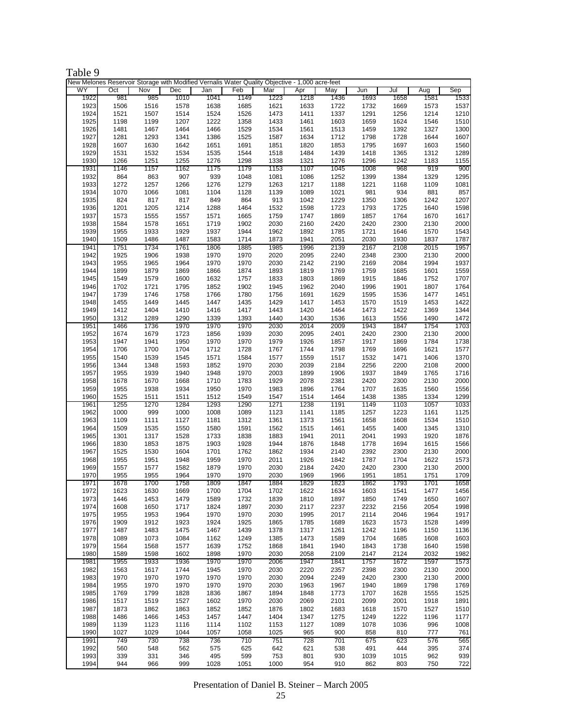| 'able |  |
|-------|--|
|-------|--|

|      | New Melones Reservoir Storage with Modified Vernalis Water Quality Objective - 1,000 acre-feet |      |      |      |      |      |      |      |      |      |      |      |
|------|------------------------------------------------------------------------------------------------|------|------|------|------|------|------|------|------|------|------|------|
| WY   | Oct                                                                                            | Nov  | Dec  | Jan  | Feb  | Mar  | Apr  | May  | Jun  | Jul  | Aug  | Sep  |
| 1922 | 981                                                                                            | 985  | 1010 | 1041 | 1149 | 1223 | 1218 | 1436 | 1693 | 1658 | 1581 | 1533 |
| 1923 | 1506                                                                                           | 1516 | 1578 | 1638 | 1685 | 1621 | 1633 | 1722 | 1732 | 1669 | 1573 | 1537 |
| 1924 | 1521                                                                                           | 1507 | 1514 | 1524 | 1526 | 1473 | 1411 | 1337 | 1291 | 1256 | 1214 | 1210 |
| 1925 | 1198                                                                                           | 1199 | 1207 | 1222 | 1358 | 1433 | 1461 | 1603 | 1659 | 1624 | 1546 | 1510 |
| 1926 | 1481                                                                                           | 1467 | 1464 | 1466 | 1529 | 1534 | 1561 | 1513 | 1459 | 1392 | 1327 | 1300 |
| 1927 | 1281                                                                                           | 1293 | 1341 | 1386 | 1525 | 1587 | 1634 | 1712 | 1798 | 1728 | 1644 | 1607 |
| 1928 | 1607                                                                                           | 1630 | 1642 | 1651 | 1691 | 1851 | 1820 | 1853 | 1795 | 1697 | 1603 | 1560 |
|      |                                                                                                |      |      |      |      |      |      |      |      |      |      |      |
| 1929 | 1531                                                                                           | 1532 | 1534 | 1535 | 1544 | 1518 | 1484 | 1439 | 1418 | 1365 | 1312 | 1289 |
| 1930 | 1266                                                                                           | 1251 | 1255 | 1276 | 1298 | 1338 | 1321 | 1276 | 1296 | 1242 | 1183 | 1155 |
| 1931 | 1146                                                                                           | 1157 | 1162 | 1175 | 1179 | 1153 | 1107 | 1045 | 1008 | 968  | 919  | 900  |
| 1932 | 864                                                                                            | 863  | 907  | 939  | 1048 | 1081 | 1086 | 1252 | 1399 | 1384 | 1329 | 1295 |
| 1933 | 1272                                                                                           | 1257 | 1266 | 1276 | 1279 | 1263 | 1217 | 1188 | 1221 | 1168 | 1109 | 1081 |
| 1934 | 1070                                                                                           | 1066 | 1081 | 1104 | 1128 | 1139 | 1089 | 1021 | 981  | 934  | 881  | 857  |
| 1935 | 824                                                                                            | 817  | 817  | 849  | 864  | 913  | 1042 | 1229 | 1350 | 1306 | 1242 | 1207 |
| 1936 | 1201                                                                                           | 1205 | 1214 | 1288 | 1464 | 1532 | 1598 | 1723 | 1793 | 1725 | 1640 | 1598 |
| 1937 | 1573                                                                                           | 1555 | 1557 | 1571 | 1665 | 1759 | 1747 | 1869 | 1857 | 1764 | 1670 | 1617 |
| 1938 | 1584                                                                                           | 1578 | 1651 | 1719 | 1902 | 2030 | 2160 | 2420 | 2420 | 2300 | 2130 | 2000 |
| 1939 | 1955                                                                                           | 1933 | 1929 | 1937 | 1944 | 1962 | 1892 | 1785 | 1721 | 1646 | 1570 | 1543 |
| 1940 | 1509                                                                                           | 1486 | 1487 | 1583 | 1714 | 1873 | 1941 | 2051 | 2030 | 1930 | 1837 | 1787 |
| 1941 |                                                                                                | 1734 | 1761 | 1806 | 1885 | 1985 | 1996 | 2139 | 2167 | 2108 | 2015 | 1957 |
|      | 1751                                                                                           |      |      |      |      |      |      |      |      |      |      |      |
| 1942 | 1925                                                                                           | 1906 | 1938 | 1970 | 1970 | 2020 | 2095 | 2240 | 2348 | 2300 | 2130 | 2000 |
| 1943 | 1955                                                                                           | 1965 | 1964 | 1970 | 1970 | 2030 | 2142 | 2190 | 2169 | 2084 | 1994 | 1937 |
| 1944 | 1899                                                                                           | 1879 | 1869 | 1866 | 1874 | 1893 | 1819 | 1769 | 1759 | 1685 | 1601 | 1559 |
| 1945 | 1549                                                                                           | 1579 | 1600 | 1632 | 1757 | 1833 | 1803 | 1869 | 1915 | 1846 | 1752 | 1707 |
| 1946 | 1702                                                                                           | 1721 | 1795 | 1852 | 1902 | 1945 | 1962 | 2040 | 1996 | 1901 | 1807 | 1764 |
| 1947 | 1739                                                                                           | 1746 | 1758 | 1766 | 1780 | 1756 | 1691 | 1629 | 1595 | 1536 | 1477 | 1451 |
| 1948 | 1455                                                                                           | 1449 | 1445 | 1447 | 1435 | 1429 | 1417 | 1453 | 1570 | 1519 | 1453 | 1422 |
| 1949 | 1412                                                                                           | 1404 | 1410 | 1416 | 1417 | 1443 | 1420 | 1464 | 1473 | 1422 | 1369 | 1344 |
| 1950 | 1312                                                                                           | 1289 | 1290 | 1339 | 1393 | 1440 | 1430 | 1536 | 1613 | 1556 | 1490 | 1472 |
| 1951 | 1466                                                                                           | 1736 | 1970 | 1970 | 1970 | 2030 | 2014 | 2009 | 1943 | 1847 | 1754 | 1703 |
| 1952 | 1674                                                                                           | 1679 | 1723 | 1856 | 1939 | 2030 | 2095 | 2401 | 2420 | 2300 | 2130 | 2000 |
| 1953 | 1947                                                                                           | 1941 | 1950 | 1970 | 1970 | 1979 | 1926 | 1857 | 1917 | 1869 | 1784 | 1738 |
| 1954 | 1706                                                                                           | 1700 | 1704 | 1712 | 1728 | 1767 | 1744 | 1798 | 1769 | 1696 | 1621 | 1577 |
| 1955 | 1540                                                                                           | 1539 | 1545 | 1571 | 1584 | 1577 | 1559 | 1517 | 1532 | 1471 | 1406 | 1370 |
|      |                                                                                                |      |      |      |      |      |      |      |      |      |      |      |
| 1956 | 1344                                                                                           | 1348 | 1593 | 1852 | 1970 | 2030 | 2039 | 2184 | 2256 | 2200 | 2108 | 2000 |
| 1957 | 1955                                                                                           | 1939 | 1940 | 1948 | 1970 | 2003 | 1899 | 1906 | 1937 | 1849 | 1765 | 1716 |
| 1958 | 1678                                                                                           | 1670 | 1668 | 1710 | 1783 | 1929 | 2078 | 2381 | 2420 | 2300 | 2130 | 2000 |
| 1959 | 1955                                                                                           | 1938 | 1934 | 1950 | 1970 | 1983 | 1896 | 1764 | 1707 | 1635 | 1560 | 1556 |
| 1960 | 1525                                                                                           | 1511 | 1511 | 1512 | 1549 | 1547 | 1514 | 1464 | 1438 | 1385 | 1334 | 1299 |
| 1961 | 1255                                                                                           | 1270 | 1284 | 1293 | 1290 | 1271 | 1238 | 1191 | 1149 | 1103 | 1057 | 1033 |
| 1962 | 1000                                                                                           | 999  | 1000 | 1008 | 1089 | 1123 | 1141 | 1185 | 1257 | 1223 | 1161 | 1125 |
| 1963 | 1109                                                                                           | 1111 | 1127 | 1181 | 1312 | 1361 | 1373 | 1561 | 1658 | 1608 | 1534 | 1510 |
| 1964 | 1509                                                                                           | 1535 | 1550 | 1580 | 1591 | 1562 | 1515 | 1461 | 1455 | 1400 | 1345 | 1310 |
| 1965 | 1301                                                                                           | 1317 | 1528 | 1733 | 1838 | 1883 | 1941 | 2011 | 2041 | 1993 | 1920 | 1876 |
| 1966 | 1830                                                                                           | 1853 | 1875 | 1903 | 1928 | 1944 | 1876 | 1848 | 1778 | 1694 | 1615 | 1566 |
| 1967 | 1525                                                                                           | 1530 | 1604 | 1701 | 1762 | 1862 | 1934 | 2140 | 2392 | 2300 | 2130 | 2000 |
| 1968 | 1955                                                                                           | 1951 | 1948 | 1959 | 1970 | 2011 | 1926 | 1842 | 1787 | 1704 | 1622 | 1573 |
| 1969 | 1557                                                                                           | 1577 | 1582 | 1879 | 1970 | 2030 | 2184 | 2420 | 2420 | 2300 | 2130 | 2000 |
| 1970 | 1955                                                                                           | 1955 | 1964 | 1970 | 1970 | 2030 | 1969 | 1966 | 1951 | 1851 | 1751 | 1709 |
|      | 1678                                                                                           | 1700 | 1758 | 1809 | 1847 |      |      |      | 1862 | 1793 | 1701 | 1658 |
| 1971 |                                                                                                |      |      |      |      | 1884 | 1829 | 1823 |      |      |      |      |
| 1972 | 1623                                                                                           | 1630 | 1669 | 1700 | 1704 | 1702 | 1622 | 1634 | 1603 | 1541 | 1477 | 1456 |
| 1973 | 1446                                                                                           | 1453 | 1479 | 1589 | 1732 | 1839 | 1810 | 1897 | 1850 | 1749 | 1650 | 1607 |
| 1974 | 1608                                                                                           | 1650 | 1717 | 1824 | 1897 | 2030 | 2117 | 2237 | 2232 | 2156 | 2054 | 1998 |
| 1975 | 1955                                                                                           | 1953 | 1964 | 1970 | 1970 | 2030 | 1995 | 2017 | 2114 | 2046 | 1964 | 1917 |
| 1976 | 1909                                                                                           | 1912 | 1923 | 1924 | 1925 | 1865 | 1785 | 1689 | 1623 | 1573 | 1528 | 1499 |
| 1977 | 1487                                                                                           | 1483 | 1475 | 1467 | 1439 | 1378 | 1317 | 1261 | 1242 | 1196 | 1150 | 1136 |
| 1978 | 1089                                                                                           | 1073 | 1084 | 1162 | 1249 | 1385 | 1473 | 1589 | 1704 | 1685 | 1608 | 1603 |
| 1979 | 1564                                                                                           | 1568 | 1577 | 1639 | 1752 | 1868 | 1841 | 1940 | 1843 | 1738 | 1640 | 1598 |
| 1980 | 1589                                                                                           | 1598 | 1602 | 1898 | 1970 | 2030 | 2058 | 2109 | 2147 | 2124 | 2032 | 1982 |
| 1981 | 1955                                                                                           | 1933 | 1936 | 1970 | 1970 | 2006 | 1947 | 1841 | 1757 | 1672 | 1597 | 1573 |
| 1982 | 1563                                                                                           | 1617 | 1744 | 1945 | 1970 | 2030 | 2220 | 2357 | 2398 | 2300 | 2130 | 2000 |
| 1983 | 1970                                                                                           | 1970 | 1970 | 1970 | 1970 | 2030 | 2094 | 2249 | 2420 | 2300 | 2130 | 2000 |
| 1984 | 1955                                                                                           | 1970 | 1970 | 1970 | 1970 | 2030 | 1963 | 1967 | 1940 | 1869 | 1798 | 1769 |
| 1985 | 1769                                                                                           | 1799 | 1828 | 1836 | 1867 | 1894 | 1848 | 1773 | 1707 | 1628 | 1555 | 1525 |
| 1986 | 1517                                                                                           | 1519 | 1527 | 1602 | 1970 | 2030 | 2069 | 2101 | 2099 | 2001 | 1918 | 1891 |
| 1987 | 1873                                                                                           | 1862 | 1863 | 1852 | 1852 | 1876 | 1802 | 1683 | 1618 | 1570 | 1527 | 1510 |
| 1988 | 1486                                                                                           | 1466 | 1453 | 1457 | 1447 | 1404 | 1347 | 1275 | 1249 | 1222 | 1196 | 1177 |
| 1989 | 1139                                                                                           | 1123 | 1116 | 1114 | 1102 | 1153 | 1127 | 1089 | 1078 | 1036 | 996  | 1008 |
| 1990 | 1027                                                                                           | 1029 | 1044 | 1057 | 1058 | 1025 | 965  | 900  | 858  | 810  | 777  | 761  |
|      |                                                                                                |      |      |      |      |      |      |      |      |      |      |      |
| 1991 | 749                                                                                            | 730  | 738  | 736  | 710  | 751  | 728  | 701  | 675  | 623  | 576  | 565  |
| 1992 | 560                                                                                            | 548  | 562  | 575  | 625  | 642  | 621  | 538  | 491  | 444  | 395  | 374  |
| 1993 | 339                                                                                            | 331  | 346  | 495  | 599  | 753  | 801  | 930  | 1039 | 1015 | 962  | 939  |
| 1994 | 944                                                                                            | 966  | 999  | 1028 | 1051 | 1000 | 954  | 910  | 862  | 803  | 750  | 722  |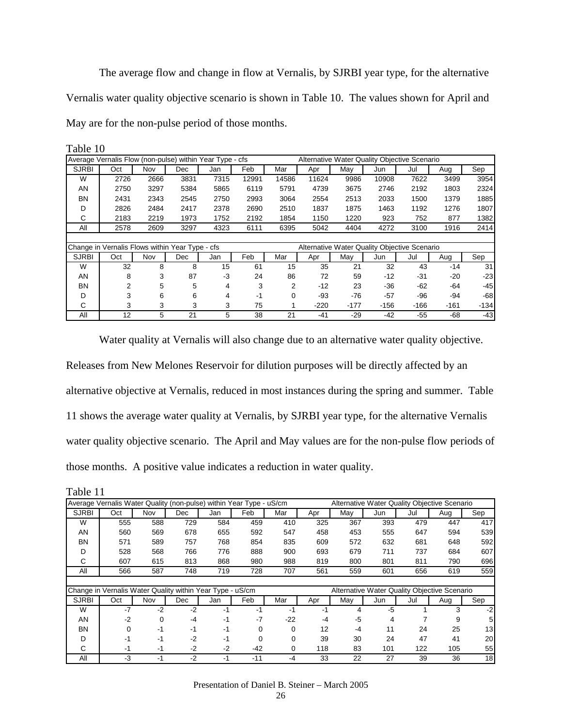The average flow and change in flow at Vernalis, by SJRBI year type, for the alternative Vernalis water quality objective scenario is shown in Table 10. The values shown for April and May are for the non-pulse period of those months.

|              | Average Vernalis Flow (non-pulse) within Year Type - cfs |      |      |      |       | Alternative Water Quality Objective Scenario |        |        |        |                                              |        |        |  |
|--------------|----------------------------------------------------------|------|------|------|-------|----------------------------------------------|--------|--------|--------|----------------------------------------------|--------|--------|--|
| <b>SJRBI</b> | Oct                                                      | Nov  | Dec  | Jan  | Feb   | Mar                                          | Apr    | May    | Jun    | Jul                                          | Aug    | Sep    |  |
| W            | 2726                                                     | 2666 | 3831 | 7315 | 12991 | 14586                                        | 11624  | 9986   | 10908  | 7622                                         | 3499   | 3954   |  |
| AN           | 2750                                                     | 3297 | 5384 | 5865 | 6119  | 5791                                         | 4739   | 3675   | 2746   | 2192                                         | 1803   | 2324   |  |
| BN           | 2431                                                     | 2343 | 2545 | 2750 | 2993  | 3064                                         | 2554   | 2513   | 2033   | 1500                                         | 1379   | 1885   |  |
| D            | 2826                                                     | 2484 | 2417 | 2378 | 2690  | 2510                                         | 1837   | 1875   | 1463   | 1192                                         | 1276   | 1807   |  |
| С            | 2183                                                     | 2219 | 1973 | 1752 | 2192  | 1854                                         | 1150   | 1220   | 923    | 752                                          | 877    | 1382   |  |
| All          | 2578                                                     | 2609 | 3297 | 4323 | 6111  | 6395                                         | 5042   | 4404   | 4272   | 3100                                         | 1916   | 2414   |  |
|              |                                                          |      |      |      |       |                                              |        |        |        |                                              |        |        |  |
|              | Change in Vernalis Flows within Year Type - cfs          |      |      |      |       |                                              |        |        |        | Alternative Water Quality Objective Scenario |        |        |  |
| <b>SJRBI</b> | Oct                                                      | Nov  | Dec  | Jan  | Feb   | Mar                                          | Apr    | May    | Jun    | Jul                                          | Aug    | Sep    |  |
| W            | 32                                                       | 8    | 8    | 15   | 61    | 15                                           | 35     | 21     | 32     | 43                                           | -14    | 31     |  |
| AN           | 8                                                        | 3    | 87   | $-3$ | 24    | 86                                           | 72     | 59     | $-12$  | $-31$                                        | $-20$  | $-23$  |  |
| BN           | 2                                                        | 5    | 5    | 4    | 3     | 2                                            | $-12$  | 23     | $-36$  | $-62$                                        | $-64$  | $-45$  |  |
| D            | 3                                                        | 6    | 6    | 4    | $-1$  | 0                                            | $-93$  | $-76$  | $-57$  | $-96$                                        | $-94$  | -68    |  |
| С            | 3                                                        | 3    | 3    | 3    | 75    |                                              | $-220$ | $-177$ | $-156$ | $-166$                                       | $-161$ | $-134$ |  |
| All          | 12                                                       | 5    | 21   | 5    | 38    | 21                                           | $-41$  | $-29$  | $-42$  | $-55$                                        | $-68$  | -43    |  |

Table 10

Water quality at Vernalis will also change due to an alternative water quality objective.

Releases from New Melones Reservoir for dilution purposes will be directly affected by an alternative objective at Vernalis, reduced in most instances during the spring and summer. Table 11 shows the average water quality at Vernalis, by SJRBI year type, for the alternative Vernalis water quality objective scenario. The April and May values are for the non-pulse flow periods of those months. A positive value indicates a reduction in water quality.

| Table 11     |                                                                     |          |      |      |          |          |     |     |                                              |     |     |      |
|--------------|---------------------------------------------------------------------|----------|------|------|----------|----------|-----|-----|----------------------------------------------|-----|-----|------|
|              | Average Vernalis Water Quality (non-pulse) within Year Type - uS/cm |          |      |      |          |          |     |     | Alternative Water Quality Objective Scenario |     |     |      |
| <b>SJRBI</b> | Oct                                                                 | Nov      | Dec  | Jan  | Feb      | Mar      | Apr | May | Jun                                          | Jul | Aug | Sep  |
| W            | 555                                                                 | 588      | 729  | 584  | 459      | 410      | 325 | 367 | 393                                          | 479 | 447 | 417  |
| AN           | 560                                                                 | 569      | 678  | 655  | 592      | 547      | 458 | 453 | 555                                          | 647 | 594 | 539  |
| BN           | 571                                                                 | 589      | 757  | 768  | 854      | 835      | 609 | 572 | 632                                          | 681 | 648 | 592  |
| D            | 528                                                                 | 568      | 766  | 776  | 888      | 900      | 693 | 679 | 711                                          | 737 | 684 | 607  |
| С            | 607                                                                 | 615      | 813  | 868  | 980      | 988      | 819 | 800 | 801                                          | 811 | 790 | 696  |
| All          | 566                                                                 | 587      | 748  | 719  | 728      | 707      | 561 | 559 | 601                                          | 656 | 619 | 559  |
|              |                                                                     |          |      |      |          |          |     |     |                                              |     |     |      |
|              | Change in Vernalis Water Quality within Year Type - uS/cm           |          |      |      |          |          |     |     | Alternative Water Quality Objective Scenario |     |     |      |
| <b>SJRBI</b> | Oct                                                                 | Nov      | Dec  | Jan  | Feb      | Mar      | Apr | May | Jun                                          | Jul | Aug | Sep  |
| W            | $-7$                                                                | $-2$     | $-2$ | -1   | -1       | $-1$     | -1  | 4   | -5                                           |     | 3   | $-2$ |
| AN           | $-2$                                                                | $\Omega$ | $-4$ | $-1$ | $-7$     | $-22$    | -4  | -5  | 4                                            |     | 9   | 5    |
| ΒN           | $\Omega$                                                            | -1       | -1   | -1   | 0        | $\Omega$ | 12  | -4  | 11                                           | 24  | 25  | 13   |
| D            | $-1$                                                                | $-1$     | $-2$ | -1   | $\Omega$ | $\Omega$ | 39  | 30  | 24                                           | 47  | 41  | 20   |
| С            | -1                                                                  | -1       | $-2$ | $-2$ | $-42$    | $\Omega$ | 118 | 83  | 101                                          | 122 | 105 | 55   |
| All          | -3                                                                  | -1       | $-2$ | -1   | $-11$    | -4       | 33  | 22  | 27                                           | 39  | 36  | 18   |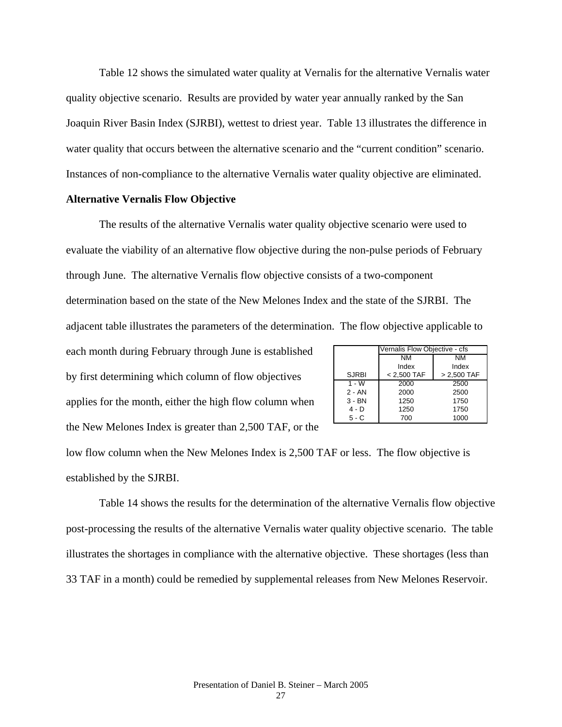Table 12 shows the simulated water quality at Vernalis for the alternative Vernalis water quality objective scenario. Results are provided by water year annually ranked by the San Joaquin River Basin Index (SJRBI), wettest to driest year. Table 13 illustrates the difference in water quality that occurs between the alternative scenario and the "current condition" scenario. Instances of non-compliance to the alternative Vernalis water quality objective are eliminated.

### **Alternative Vernalis Flow Objective**

The results of the alternative Vernalis water quality objective scenario were used to evaluate the viability of an alternative flow objective during the non-pulse periods of February through June. The alternative Vernalis flow objective consists of a two-component determination based on the state of the New Melones Index and the state of the SJRBI. The

adjacent table illustrates the parameters of the determination. The flow objective applicable to

each month during February through June is established

by first determining which column of flow objectives applies for the month, either the high flow column when the New Melones Index is greater than 2,500 TAF, or the

|              | Vernalis Flow Objective - cfs |               |
|--------------|-------------------------------|---------------|
|              | NM                            | NM            |
|              | Index                         | Index         |
| <b>SJRBI</b> | $< 2,500$ TAF                 | $> 2,500$ TAF |
| $1 - W$      | 2000                          | 2500          |
| $2 - AN$     | 2000                          | 2500          |
| $3 - BN$     | 1250                          | 1750          |
| $4 - D$      | 1250                          | 1750          |
| $5 - C$      | 700                           | 1000          |

low flow column when the New Melones Index is 2,500 TAF or less. The flow objective is established by the SJRBI.

Table 14 shows the results for the determination of the alternative Vernalis flow objective post-processing the results of the alternative Vernalis water quality objective scenario. The table illustrates the shortages in compliance with the alternative objective. These shortages (less than 33 TAF in a month) could be remedied by supplemental releases from New Melones Reservoir.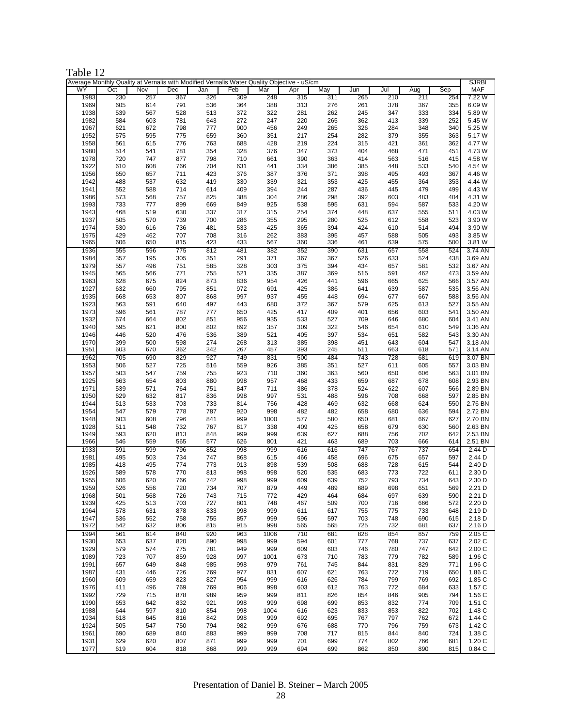| Table |  |
|-------|--|
|-------|--|

|              | Average Monthly Quality at Vernalis with Modified Vernalis Water Quality Objective - uS/cm |            |            |            |            |            |            |            |            |            |            |            | SJRBI             |
|--------------|--------------------------------------------------------------------------------------------|------------|------------|------------|------------|------------|------------|------------|------------|------------|------------|------------|-------------------|
| WY           | Oct                                                                                        | Nov        | Dec        | Jan        | Feb        | Mar        | Apr        | May        | Jun        | Jul        | Aug        | Sep        | <b>MAF</b>        |
| 1983         | 230                                                                                        | 257        | 367        | 326        | 309        | 248        | 315        | 311        | 265        | 210        | 211        | 254        | 7.22 W            |
| 1969         | 605                                                                                        | 614        | 791        | 536        | 364        | 388        | 313        | 276        | 261        | 378        | 367        | 355        | 6.09 W            |
| 1938         | 539                                                                                        | 567        | 528        | 513        | 372        | 322        | 281        | 262        | 245        | 347        | 333        | 334        | 5.89 W            |
| 1982         | 584                                                                                        | 603        | 781        | 643        | 272        | 247        | 220        | 265        | 362        | 413        | 339        | 252        | 5.45 W            |
| 1967         | 621                                                                                        | 672        | 798        | 777        | 900        | 456        | 249        | 265        | 326        | 284        | 348        | 340        | 5.25 W            |
| 1952         | 575                                                                                        | 595        | 775        | 659        | 360        | 351        | 217        | 254        | 282        | 379        | 355        | 363        | 5.17 W            |
| 1958         | 561                                                                                        | 615        | 776        | 763        | 688        | 428        | 219        | 224        | 315        | 421        | 361        | 362        | 4.77 W            |
| 1980         | 514                                                                                        | 541        | 781        | 354        | 328        | 376        | 347        | 373        | 404        | 468        | 471        | 451        | 4.73 W            |
| 1978         | 720                                                                                        | 747        | 877        | 798        | 710        | 661        | 390        | 363        | 414        | 563        | 516        | 415        | 4.58 W            |
| 1922         | 610                                                                                        | 608        | 766        | 704        | 631        | 441        | 334        | 386        | 385        | 448        | 533        | 540        | 4.54 W            |
| 1956         | 650                                                                                        | 657        | 711        | 423        | 376        | 387        | 376        | 371        | 398        | 495        | 493        | 367        | 4.46 W            |
| 1942         | 488                                                                                        | 537        | 632        | 419        | 330        | 339        | 321        | 353        | 425        | 455        | 364        | 353        | 4.44 W            |
| 1941         | 552                                                                                        | 588        | 714        | 614        | 409        | 394        | 244        | 287        | 436        | 445        | 479        | 499        | 4.43 W            |
| 1986         | 573                                                                                        | 568        | 757        | 825        | 388        | 304        | 286        | 298        | 392        | 603        | 483        | 404        | 4.31 W            |
|              |                                                                                            |            |            |            |            |            |            |            |            |            |            |            |                   |
| 1993         | 733                                                                                        | 777        | 899        | 669        | 849        | 925        | 538        | 595        | 631        | 594        | 587        | 533        | 4.20 W            |
| 1943         | 468                                                                                        | 519        | 630        | 337        | 317        | 315        | 254        | 374        | 448        | 637        | 555        | 511        | 4.03 W            |
| 1937         | 505                                                                                        | 570        | 739        | 700        | 286        | 355        | 295        | 280        | 525        | 612        | 558        | 523        | 3.90 W            |
| 1974         | 530                                                                                        | 616        | 736        | 481        | 533        | 425        | 365        | 394        | 424        | 610        | 514        | 494        | 3.90 W            |
| 1975         | 429                                                                                        | 462        | 707        | 708        | 316        | 262        | 383        | 395        | 457        | 588        | 505        | 493        | 3.85 W            |
| 1965         | 606                                                                                        | 650        | 815        | 423        | 433        | 567        | 360        | 336        | 461        | 639        | 575        | 500        | 3.81 W            |
| 1936         | 555                                                                                        | 596        | 775        | 812        | 481        | 382        | 352        | 390        | 631        | 657        | 558        | 524        | 3.74 AN           |
| 1984         | 357                                                                                        | 195        | 305        | 351        | 291        | 371        | 367        | 367        | 526        | 633        | 524        | 438        | 3.69 AN           |
| 1979         | 557                                                                                        | 496        | 751        | 585        | 328        | 303        | 375        | 394        | 434        | 657        | 581        | 532        | 3.67 AN           |
| 1945         | 565                                                                                        | 566        | 771        | 755        | 521        | 335        | 387        | 369        | 515        | 591        | 462        | 473        | 3.59 AN           |
| 1963         | 628                                                                                        | 675        | 824        | 873        | 836        | 954        | 426        | 441        | 596        | 665        | 625        | 566        | 3.57 AN           |
| 1927         | 632                                                                                        | 660        | 795        | 851        | 972        | 691        | 425        | 386        | 641        | 639        | 587        | 535        | 3.56 AN           |
| 1935         | 668                                                                                        | 653        | 807        | 868        | 997        | 937        | 455        | 448        | 694        | 677        | 667        | 588        | 3.56 AN           |
| 1923         | 563                                                                                        | 591        | 640        | 497        | 443        | 680        | 372        | 367        | 579        | 625        | 613        | 527        | 3.55 AN           |
| 1973         | 596                                                                                        | 561        | 787        | 777        | 650        | 425        | 417        | 409        | 401        | 656        | 603        | 541        | 3.50 AN           |
| 1932         | 674                                                                                        | 664        | 802        | 851        | 956        | 935        | 533        | 527        | 709        | 646        | 680        | 604        | 3.41 AN           |
| 1940         | 595                                                                                        | 621        | 800        | 802        | 892        | 357        | 309        | 322        | 546        | 654        | 610        | 549        | 3.36 AN           |
| 1946         |                                                                                            |            |            |            |            |            |            |            |            |            |            | 543        | 3.30 AN           |
|              | 446                                                                                        | 520        | 476        | 536        | 389        | 521        | 405        | 397        | 534        | 651        | 582        |            |                   |
| 1970         | 399                                                                                        | 500        | 598        | 274        | 268        | 313        | 385        | 398        | 451        | 643        | 604        | 547        | 3.18 AN           |
| 1951         | 603                                                                                        | 670        | 362        | 342        | 267        | 457        | 393        | 245        | 511        | 663        | 618        | 571        | 3.14 AN           |
| 1962         | 705                                                                                        | 690        | 829        | 927        | 749        | 831        | 500        | 484        | 743        | 728        | 681        | 619        | 3.07 BN           |
| 1953         | 506                                                                                        | 527        | 725        | 516        | 559        | 926        | 385        | 351        | 527        | 611        | 605        | 557        | 3.03 BN           |
| 1957         | 503                                                                                        | 547        | 759        | 755        | 923        | 710        | 360        | 363        | 560        | 650        | 606        | 563        | 3.01 BN           |
| 1925         | 663                                                                                        | 654        | 803        | 880        | 998        | 957        | 468        | 433        | 659        | 687        | 678        | 608        | 2.93 BN           |
| 1971         | 539                                                                                        | 571        | 764        | 751        | 847        | 711        | 386        | 378        | 524        | 622        | 607        | 566        | 2.89 BN           |
| 1950         | 629                                                                                        | 632        | 817        | 836        | 998        | 997        | 531        | 488        | 596        | 708        | 668        | 597        | 2.85 BN           |
| 1944         | 513                                                                                        | 533        | 703        | 733        | 814        | 756        | 428        | 469        | 632        | 668        | 624        | 550        | 2.76 BN           |
| 1954         | 547                                                                                        | 579        | 778        | 787        | 920        | 998        | 482        | 482        | 658        | 680        | 636        | 594        | 2.72 BN           |
| 1948         | 603                                                                                        | 608        | 796        | 841        | 999        | 1000       | 577        | 580        | 650        | 681        | 667        | 627        | 2.70 BN           |
| 1928         | 511                                                                                        | 548        | 732        | 767        | 817        | 338        | 409        | 425        | 658        | 679        | 630        | 560        | 2.63 BN           |
| 1949         | 593                                                                                        | 620        | 813        | 848        | 999        | 999        | 639        | 627        | 688        | 756        | 702        | 642        | 2.53 BN           |
| 1966         | 546                                                                                        | 559        | 565        | 577        | 626        | 801        | 421        | 463        | 689        | 703        | 666        | 614        | 2.51 BN           |
| 1933         | 591                                                                                        | 599        | 796        | 852        | 998        | 999        | 616        | 616        | 747        | 767        | 737        | 654        | 2.44 <sub>D</sub> |
| 1981         | 495                                                                                        | 503        | 734        | 747        | 868        | 615        | 466        | 458        | 696        | 675        | 657        | 597        | 2.44 D            |
| 1985         | 418                                                                                        | 495        | 774        | 773        | 913        | 898        | 539        | 508        | 688        | 728        | 615        | 544        | 2.40 D            |
| 1926         | 589                                                                                        | 578        | 770        | 813        | 998        | 998        | 520        | 535        | 683        | 773        | 722        | 611        | 2.30 D            |
| 1955         | 606                                                                                        | 620        | 766        | 742        | 998        | 999        | 609        | 639        | 752        | 793        | 734        | 643        | 2.30 D            |
| 1959         | 526                                                                                        | 556        | 720        | 734        | 707        | 879        | 449        | 489        | 689        | 698        | 651        | 569        | 2.21 D            |
| 1968         | 501                                                                                        | 568        | 726        | 743        | 715        | 772        | 429        | 464        | 684        | 697        | 639        | 590        | 2.21 D            |
| 1939         | 425                                                                                        | 513        | 703        | 727        | 801        | 748        | 467        | 509        | 700        | 716        | 666        | 572        | 2.20 D            |
| 1964         | 578                                                                                        | 631        | 878        | 833        | 998        | 999        | 611        | 617        | 755        | 775        | 733        | 648        | 2.19 D            |
|              |                                                                                            |            |            |            |            |            |            |            |            |            |            |            |                   |
| 1947<br>1972 | 536<br>542                                                                                 | 552<br>632 | 758<br>806 | 755<br>815 | 857<br>915 | 999<br>998 | 596<br>565 | 597<br>565 | 703<br>725 | 748<br>732 | 690<br>681 | 615<br>637 | 2.18 D<br>2.16 D  |
| 1994         | 561                                                                                        | 614        | 840        | 920        |            | 1006       | 710        | 681        | 828        | 854        | 857        | 759        | 2.05 C            |
| 1930         |                                                                                            |            | 820        |            | 963        |            | 594        |            |            |            | 737        |            | 2.02 C            |
|              | 653                                                                                        | 637        |            | 890        | 998        | 999        |            | 601        | 777        | 768        |            | 637        |                   |
| 1929         | 579                                                                                        | 574        | 775        | 781        | 949        | 999        | 609        | 603        | 746        | 780        | 747        | 642        | 2.00 C            |
| 1989         | 723                                                                                        | 707        | 859        | 928        | 997        | 1001       | 673        | 710        | 783        | 779        | 782        | 589        | 1.96 C            |
| 1991         | 657                                                                                        | 649        | 848        | 985        | 998        | 979        | 761        | 745        | 844        | 831        | 829        | 771        | 1.96 C            |
| 1987         | 431                                                                                        | 446        | 726        | 769        | 977        | 831        | 607        | 621        | 763        | 772        | 719        | 650        | 1.86 C            |
| 1960         | 609                                                                                        | 659        | 823        | 827        | 954        | 999        | 616        | 626        | 784        | 799        | 769        | 692        | 1.85 C            |
| 1976         | 411                                                                                        | 496        | 769        | 769        | 906        | 998        | 603        | 612        | 763        | 772        | 684        | 633        | 1.57 C            |
| 1992         | 729                                                                                        | 715        | 878        | 989        | 959        | 999        | 811        | 826        | 854        | 846        | 905        | 794        | 1.56 C            |
| 1990         | 653                                                                                        | 642        | 832        | 921        | 998        | 999        | 698        | 699        | 853        | 832        | 774        | 709        | 1.51 C            |
| 1988         | 644                                                                                        | 597        | 810        | 854        | 998        | 1004       | 616        | 623        | 833        | 853        | 822        | 702        | 1.48 C            |
| 1934         | 618                                                                                        | 645        | 816        | 842        | 998        | 999        | 692        | 695        | 767        | 797        | 762        | 672        | 1.44 C            |
| 1924         | 505                                                                                        | 547        | 750        | 794        | 982        | 999        | 676        | 688        | 770        | 796        | 759        | 673        | 1.42 C            |
| 1961         | 690                                                                                        | 689        | 840        | 883        | 999        | 999        | 708        | 717        | 815        | 844        | 840        | 724        | 1.38 C            |
| 1931         | 629                                                                                        | 620        | 807        | 871        | 999        | 999        | 701        | 699        | 774        | 802        | 766        | 681        | 1.20 C            |
| 1977         | 619                                                                                        | 604        | 818        | 868        | 999        | 999        | 694        | 699        | 862        | 850        | 890        | 815        | 0.84C             |
|              |                                                                                            |            |            |            |            |            |            |            |            |            |            |            |                   |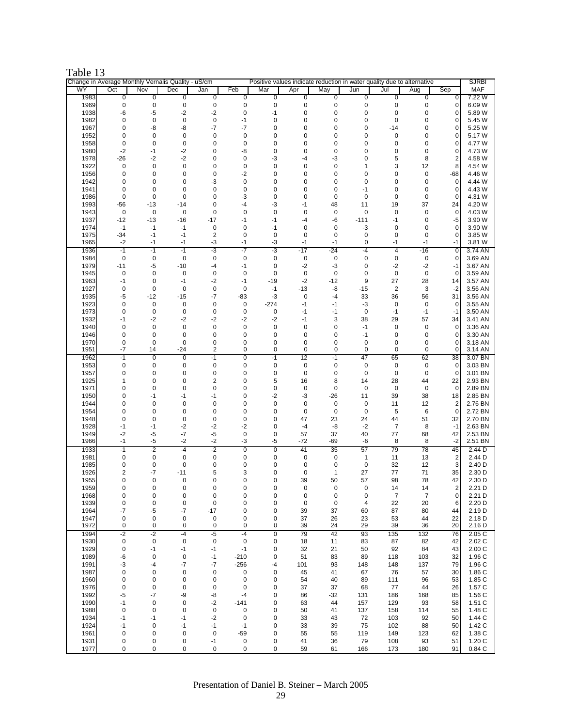| Table |
|-------|
|-------|

|              |                         |                      | Change in Average Monthly Vernalis Quality - uS/cm |                                        |                  |                             |                     |                  |                   |                   | Positive values indicate reduction in water quality due to alternative |                         | <b>SJRBI</b>         |
|--------------|-------------------------|----------------------|----------------------------------------------------|----------------------------------------|------------------|-----------------------------|---------------------|------------------|-------------------|-------------------|------------------------------------------------------------------------|-------------------------|----------------------|
| WY<br>1983   | Oct<br>0                | Nov<br>0             | Dec<br>$\overline{0}$                              | Jan<br>0                               | Feb<br>0         | Mar<br>0                    | Apr<br>0            | May<br>0         | Jun<br>0          | Jul<br>0          | Aug<br>0                                                               | Sep<br>0                | <b>MAF</b><br>7.22 W |
| 1969         | 0                       | 0                    | $\pmb{0}$                                          | $\pmb{0}$                              | $\pmb{0}$        | $\pmb{0}$                   | $\pmb{0}$           | $\pmb{0}$        | 0                 | $\mathbf 0$       | $\pmb{0}$                                                              | $\mathbf 0$             | 6.09 W               |
| 1938         | -6                      | -5                   | $-2$                                               | $-2$                                   | $\mathbf 0$      | -1                          | 0                   | 0                | 0                 | 0                 | 0                                                                      | $\overline{0}$          | 5.89 W               |
| 1982         | 0                       | 0                    | $\mathbf 0$                                        | $\pmb{0}$                              | $-1$             | 0                           | $\mathbf 0$         | $\mathbf 0$      | 0                 | $\mathbf 0$       | $\mathbf 0$                                                            | 0                       | 5.45 W               |
| 1967         | 0                       | -8                   | -8                                                 | $-7$                                   | -7               | 0                           | 0                   | 0                | 0                 | $-14$             | 0                                                                      | $\mathbf 0$             | 5.25 W               |
| 1952         | 0                       | 0                    | $\mathbf 0$                                        | 0                                      | 0                | 0                           | 0                   | 0                | 0                 | $\mathbf 0$       | 0                                                                      | $\overline{0}$          | 5.17 W               |
| 1958         | $\pmb{0}$               | 0                    | $\mathbf 0$                                        | 0                                      | $\mathbf 0$      | 0                           | 0                   | 0                | 0                 | $\mathbf 0$       | 0                                                                      | $\mathbf 0$             | 4.77 W               |
| 1980         | $-2$                    | $-1$                 | $-2$                                               | 0                                      | -8               | 0                           | 0                   | 0                | 0                 | 0                 | 0                                                                      | $\mathbf 0$             | 4.73 W               |
| 1978         | $-26$                   | $-2$                 | $-2$                                               | 0                                      | 0                | -3                          | -4                  | -3               | 0                 | 5                 | 8                                                                      | $\overline{\mathbf{c}}$ | 4.58 W               |
| 1922         | 0                       | 0                    | $\mathbf 0$                                        | 0                                      | $\mathbf 0$      | $\mathbf 0$                 | 0                   | 0                | 1                 | 3                 | 12                                                                     | 8                       | 4.54 W               |
| 1956         | 0                       | 0                    | 0                                                  | 0                                      | $-2$             | 0                           | 0                   | 0                | 0                 | 0                 | $\mathbf 0$                                                            | -68                     | 4.46 W               |
| 1942         | 0                       | 0                    | 0                                                  | -3                                     | $\mathbf 0$      | 0                           | 0                   | 0                | 0                 | 0                 | 0                                                                      | $\mathbf 0$             | 4.44 W               |
| 1941         | 0                       | 0                    | 0                                                  | $\mathbf 0$                            | $\mathbf 0$      | 0                           | 0                   | 0                | -1                | $\mathbf 0$       | 0                                                                      | $\mathbf 0$             | 4.43 W               |
| 1986         | $\mathbf 0$             | $\mathbf 0$<br>$-13$ | $\mathbf 0$<br>$-14$                               | 0<br>0                                 | -3<br>-4         | $\mathbf 0$                 | $\mathbf 0$<br>-1   | $\mathbf 0$      | $\mathbf 0$<br>11 | $\mathbf 0$<br>19 | $\mathbf 0$<br>37                                                      | $\mathbf{O}$<br>24      | 4.31 W               |
| 1993<br>1943 | $-56$<br>$\pmb{0}$      | 0                    | $\mathbf 0$                                        | $\mathbf 0$                            | $\pmb{0}$        | -3<br>$\mathbf 0$           | $\mathbf 0$         | 48<br>0          | $\mathbf 0$       | $\mathbf 0$       | 0                                                                      | $\mathbf 0$             | 4.20 W<br>4.03 W     |
| 1937         | $-12$                   | $-13$                | $-16$                                              | $-17$                                  | -1               | -1                          | -4                  | -6               | $-111$            | $-1$              | 0                                                                      | -5                      | 3.90 W               |
| 1974         | $-1$                    | $-1$                 | $-1$                                               | $\pmb{0}$                              | $\mathbf 0$      | -1                          | 0                   | 0                | $-3$              | $\mathbf 0$       | $\mathbf 0$                                                            | $\mathbf 0$             | 3.90 W               |
| 1975         | $-34$                   | $-1$                 | $-1$                                               | $\overline{2}$                         | 0                | $\mathbf 0$                 | 0                   | 0                | 0                 | $\mathbf 0$       | 0                                                                      | $\mathbf{0}$            | 3.85 W               |
| 1965         | $-2$                    | $-1$                 | $-1$                                               | -3                                     | $-1$             | -3                          | $-1$                | $-1$             | 0                 | $-1$              | $-1$                                                                   | $-1$                    | 3.81 W               |
| 1936         | -1                      | -1                   | -1                                                 | -3                                     | -7               | -3                          | -17                 | -24              | -4                | 4                 | -16                                                                    | 0                       | 3.74 AN              |
| 1984         | $\mathbf 0$             | 0                    | $\mathbf 0$                                        | 0                                      | 0                | 0                           | 0                   | 0                | 0                 | $\mathbf 0$       | 0                                                                      | $\mathbf 0$             | 3.69 AN              |
| 1979         | $-11$                   | $-5$                 | $-10$                                              | -4                                     | $-1$             | $\pmb{0}$                   | $-2$                | -3               | $\mathbf 0$       | $-2$              | $-2$                                                                   | $-1$                    | 3.67 AN              |
| 1945         | 0                       | 0                    | $\mathbf 0$                                        | 0                                      | $\mathbf 0$      | 0                           | 0                   | 0                | 0                 | $\mathbf 0$       | 0                                                                      | $\mathbf 0$             | 3.59 AN              |
| 1963         | -1                      | 0                    | $-1$                                               | $-2$                                   | $-1$             | $-19$                       | $-2$                | $-12$            | 9                 | 27                | 28                                                                     | 14                      | 3.57 AN              |
| 1927         | $\pmb{0}$               | 0                    | $\mathbf 0$                                        | $\pmb{0}$                              | 0                | $-1$                        | $-13$               | -8               | $-15$             | $\overline{2}$    | 3                                                                      | $-2$                    | 3.56 AN<br>3.56 AN   |
| 1935<br>1923 | -5<br>0                 | $-12$<br>0           | $-15$<br>$\mathbf 0$                               | $-7$<br>0                              | $-83$<br>0       | $-3$<br>$-274$              | $\mathbf 0$<br>$-1$ | $-4$<br>-1       | 33<br>-3          | 36<br>$\mathbf 0$ | 56<br>$\mathbf 0$                                                      | 31<br>$\mathbf 0$       | 3.55 AN              |
| 1973         | 0                       | 0                    | $\pmb{0}$                                          | 0                                      | 0                | 0                           | $-1$                | -1               | $\pmb{0}$         | $-1$              | $-1$                                                                   | -1                      | 3.50 AN              |
| 1932         | -1                      | $-2$                 | $-2$                                               | $-2$                                   | $-2$             | $-2$                        | $-1$                | 3                | 38                | 29                | 57                                                                     | 34                      | 3.41 AN              |
| 1940         | 0                       | 0                    | $\mathbf 0$                                        | 0                                      | 0                | 0                           | 0                   | 0                | $-1$              | $\mathbf 0$       | 0                                                                      | $\mathbf 0$             | 3.36 AN              |
| 1946         | 0                       | 0                    | $\mathbf 0$                                        | 0                                      | 0                | $\mathbf 0$                 | 0                   | $\mathbf 0$      | $-1$              | $\mathbf 0$       | $\mathbf 0$                                                            | $\mathbf{0}$            | 3.30 AN              |
| 1970         | $\pmb{0}$               | 0                    | $\mathbf 0$                                        | 0                                      | 0                | 0                           | 0                   | 0                | 0                 | 0                 | 0                                                                      | $\mathbf 0$             | 3.18 AN              |
| 1951         | $-7$                    | 14                   | $-24$                                              | 2                                      | 0                | 0                           | 0                   | 0                | $\mathbf 0$       | $\mathbf 0$       | 0                                                                      | 0                       | 3.14 AN              |
| 1962         | -1                      | 0                    | $\overline{0}$                                     | -1                                     | $\overline{0}$   | -1                          | 12                  | -1               | 47                | 65                | 62                                                                     | 38                      | 3.07 BN              |
| 1953         | 0                       | 0                    | $\pmb{0}$                                          | $\pmb{0}$                              | 0                | $\pmb{0}$                   | $\mathbf 0$         | $\mathbf 0$      | 0                 | $\mathbf 0$       | $\mathbf 0$                                                            | 0                       | 3.03 BN              |
| 1957         | 0                       | 0                    | $\mathbf 0$                                        | 0                                      | 0                | $\mathbf 0$                 | $\mathbf 0$         | 0                | 0                 | $\mathbf 0$       | $\mathbf 0$                                                            | $\mathbf{0}$            | 3.01 BN              |
| 1925<br>1971 | 1                       | 0<br>$\mathbf 0$     | $\mathbf 0$<br>$\mathbf 0$                         | $\overline{\mathbf{c}}$<br>$\mathbf 0$ | 0<br>$\mathbf 0$ | 5                           | 16<br>$\mathbf 0$   | 8<br>$\mathbf 0$ | 14<br>$\mathbf 0$ | 28                | 44                                                                     | 22                      | 2.93 BN<br>2.89 BN   |
| 1950         | 0<br>0                  | -1                   | $-1$                                               | -1                                     | 0                | $\pmb{0}$<br>$-2$           | -3                  | $-26$            | 11                | $\mathbf 0$<br>39 | 0<br>38                                                                | $\mathbf 0$<br>18       | 2.85 BN              |
| 1944         | 0                       | 0                    | $\mathbf 0$                                        | $\mathbf 0$                            | 0                | $\pmb{0}$                   | $\mathbf 0$         | 0                | $\mathbf 0$       | 11                | 12                                                                     | $\overline{\mathbf{c}}$ | 2.76 BN              |
| 1954         | 0                       | 0                    | 0                                                  | 0                                      | 0                | 0                           | 0                   | 0                | 0                 | 5                 | 6                                                                      | $\mathbf 0$             | 2.72 BN              |
| 1948         | 0                       | 0                    | $\pmb{0}$                                          | $\pmb{0}$                              | $\mathbf 0$      | $\mathbf 0$                 | 47                  | 23               | 24                | 44                | 51                                                                     | 32                      | 2.70 BN              |
| 1928         | -1                      | $-1$                 | $-2$                                               | $-2$                                   | $-2$             | 0                           | $-4$                | -8               | $-2$              | $\overline{7}$    | 8                                                                      | $-1$                    | 2.63 BN              |
| 1949         | $-2$                    | -5                   | $-7$                                               | -5                                     | 0                | $\pmb{0}$                   | 57                  | 37               | 40                | 77                | 68                                                                     | 42                      | 2.53 BN              |
| 1966         | -1                      | -5                   | -2                                                 | -2                                     | -3               | -5                          | -72                 | -69              | -6                | 8                 | 8                                                                      | -2                      | 2.51 BN              |
| 1933         | -1                      | -2                   | $-4$                                               | -2                                     | $\overline{0}$   | $\overline{0}$              | 41                  | 35               | 57                | 79                | 78                                                                     | 45                      | 2.44 <sub>D</sub>    |
| 1981<br>1985 | 0<br>0                  | 0<br>0               | $\mathbf 0$<br>0                                   | $\pmb{0}$<br>0                         | 0<br>0           | $\pmb{0}$<br>0              | $\pmb{0}$<br>0      | 0<br>0           | $\mathbf{1}$<br>0 | 11<br>32          | 13<br>12                                                               | 2<br>3                  | 2.44 D<br>2.40 D     |
| 1926         | $\overline{\mathbf{c}}$ | $-7$                 | $-11$                                              | 5                                      | 3                | 0                           | 0                   | $\mathbf{1}$     | 27                | 77                | 71                                                                     | 35                      | 2.30 D               |
| 1955         | 0                       | 0                    | 0                                                  | $\mathbf 0$                            | 0                | 0                           | 39                  | 50               | 57                | 98                | 78                                                                     | 42                      | 2.30 D               |
| 1959         | 0                       | 0                    | $\mathbf 0$                                        | $\mathbf 0$                            | $\mathbf 0$      | 0                           | 0                   | $\mathbf 0$      | $\mathbf 0$       | 14                | 14                                                                     | $\overline{2}$          | 2.21 D               |
| 1968         | 0                       | 0                    | 0                                                  | 0                                      | 0                | 0                           | 0                   | 0                | 0                 | $\overline{7}$    | $\overline{7}$                                                         | $\mathbf 0$             | 2.21 D               |
| 1939         | 0                       | 0                    | $\pmb{0}$                                          | $\pmb{0}$                              | 0                | 0                           | 0                   | $\pmb{0}$        | 4                 | 22                | 20                                                                     | 6                       | 2.20 D               |
| 1964         | $-7$                    | -5                   | $-7$                                               | $-17$                                  | 0                | 0                           | 39                  | 37               | 60                | 87                | 80                                                                     | 44                      | 2.19 D               |
| 1947         | 0                       | 0                    | 0                                                  | 0                                      | 0                | 0                           | 37                  | 26               | 23                | 53                | 44                                                                     | 22                      | 2.18 D               |
| 1972         | 0                       | 0                    | 0                                                  | 0                                      | 0                | 0                           | 39                  | 24               | 29                | 39                | 36                                                                     | 20                      | 2.16 D               |
| 1994<br>1930 | -2<br>$\pmb{0}$         | $-2$<br>$\pmb{0}$    | -4<br>$\pmb{0}$                                    | $-5$<br>$\pmb{0}$                      | -4<br>$\pmb{0}$  | $\overline{0}$<br>$\pmb{0}$ | 79<br>18            | 42<br>11         | 93<br>83          | 135<br>87         | 132<br>82                                                              | 76<br>42                | 2.05C<br>2.02 C      |
| 1929         | 0                       | -1                   | $-1$                                               | -1                                     | $-1$             | 0                           | 32                  | 21               | 50                | 92                | 84                                                                     | 43                      | 2.00C                |
| 1989         | -6                      | 0                    | $\pmb{0}$                                          | $-1$                                   | $-210$           | 0                           | 51                  | 83               | 89                | 118               | 103                                                                    | 32                      | 1.96 C               |
| 1991         | -3                      | -4                   | -7                                                 | -7                                     | $-256$           | -4                          | 101                 | 93               | 148               | 148               | 137                                                                    | 79                      | 1.96 C               |
| 1987         | 0                       | 0                    | 0                                                  | 0                                      | 0                | 0                           | 45                  | 41               | 67                | 76                | 57                                                                     | 30                      | 1.86 C               |
| 1960         | 0                       | 0                    | 0                                                  | 0                                      | 0                | 0                           | 54                  | 40               | 89                | 111               | 96                                                                     | 53                      | 1.85 C               |
| 1976         | 0                       | 0                    | $\mathbf 0$                                        | 0                                      | 0                | 0                           | 37                  | 37               | 68                | 77                | 44                                                                     | 26                      | 1.57 C               |
| 1992         | -5                      | -7                   | -9                                                 | -8                                     | -4               | 0                           | 86                  | -32              | 131               | 186               | 168                                                                    | 85                      | 1.56 C               |
| 1990         | $-1$                    | 0                    | 0                                                  | -2                                     | $-141$           | 0                           | 63                  | 44               | 157               | 129               | 93                                                                     | 58                      | 1.51 C               |
| 1988         | 0                       | 0                    | $\mathbf 0$                                        | $\mathbf 0$                            | 0                | 0                           | 50                  | 41               | 137               | 158               | 114                                                                    | 55                      | 1.48 C               |
| 1934<br>1924 | $-1$<br>-1              | -1<br>0              | -1<br>$-1$                                         | $-2$<br>-1                             | 0<br>$-1$        | 0<br>0                      | 33<br>33            | 43<br>39         | 72<br>75          | 103<br>102        | 92<br>88                                                               | 50<br>50                | 1.44 C<br>1.42 C     |
| 1961         | 0                       | 0                    | $\pmb{0}$                                          | 0                                      | $-59$            | 0                           | 55                  | 55               | 119               | 149               | 123                                                                    | 62                      | 1.38 C               |
| 1931         | 0                       | 0                    | 0                                                  | -1                                     | 0                | 0                           | 41                  | 36               | 79                | 108               | 93                                                                     | 51                      | 1.20 C               |
| 1977         | 0                       | 0                    | $\mathbf 0$                                        | $\pmb{0}$                              | 0                | $\pmb{0}$                   | 59                  | 61               | 166               | 173               | 180                                                                    | 91                      | 0.84C                |
|              |                         |                      |                                                    |                                        |                  |                             |                     |                  |                   |                   |                                                                        |                         |                      |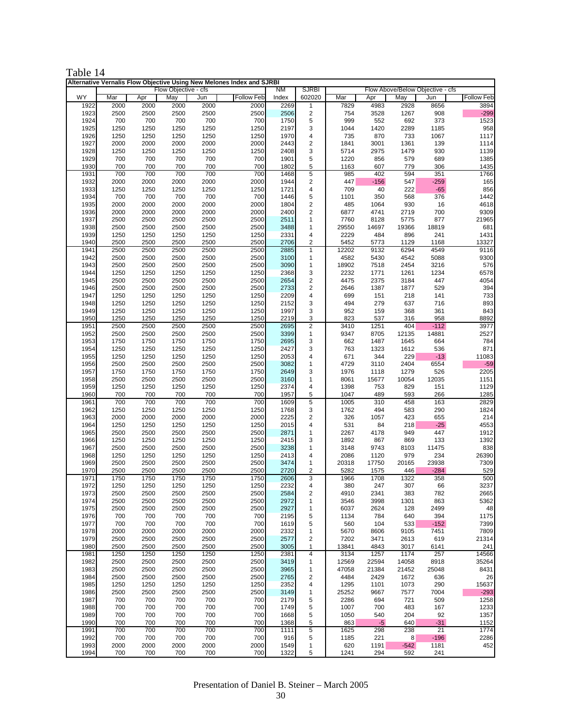| Table 14 |  |
|----------|--|
|----------|--|

| Alternative Vernalis Flow Objective Using New Melones Index and SJRBI<br>Flow Objective - cfs<br><b>SJRBI</b><br>Flow Above/Below Objective - cfs<br>ΝM |              |              |              |              |                   |              |                              |               |               |               |               |                   |
|---------------------------------------------------------------------------------------------------------------------------------------------------------|--------------|--------------|--------------|--------------|-------------------|--------------|------------------------------|---------------|---------------|---------------|---------------|-------------------|
| <b>WY</b>                                                                                                                                               | Mar          | Apr          | May          | Jun          | <b>Follow Feb</b> | Index        | 602020                       | Mar           | Apr           | May           | Jun           | <b>Follow Feb</b> |
| 1922                                                                                                                                                    | 2000         | 2000         | 2000         | 2000         | 2000              | 2269         | $\mathbf{1}$                 | 7829          | 4983          | 2928          | 8656          | 3894              |
| 1923                                                                                                                                                    | 2500         | 2500         | 2500         | 2500         | 2500              | 2506         | $\mathbf 2$                  | 754           | 3528          | 1267          | 908           | $-299$            |
| 1924                                                                                                                                                    | 700          | 700          | 700          | 700          | 700               | 1750         | 5                            | 999           | 552           | 692           | 373           | 1523              |
| 1925<br>1926                                                                                                                                            | 1250<br>1250 | 1250<br>1250 | 1250<br>1250 | 1250<br>1250 | 1250<br>1250      | 2197<br>1970 | 3<br>4                       | 1044<br>735   | 1420<br>870   | 2289<br>733   | 1185<br>1067  | 958<br>1117       |
| 1927                                                                                                                                                    | 2000         | 2000         | 2000         | 2000         | 2000              | 2443         | 2                            | 1841          | 3001          | 1361          | 139           | 1114              |
| 1928                                                                                                                                                    | 1250         | 1250         | 1250         | 1250         | 1250              | 2408         | 3                            | 5714          | 2975          | 1479          | 930           | 1139              |
| 1929                                                                                                                                                    | 700          | 700          | 700          | 700          | 700               | 1901         | 5                            | 1220          | 856           | 579           | 689           | 1385              |
| 1930                                                                                                                                                    | 700          | 700          | 700          | 700          | 700               | 1802         | 5                            | 1163          | 607           | 779           | 306           | 1435              |
| 1931<br>1932                                                                                                                                            | 700<br>2000  | 700<br>2000  | 700<br>2000  | 700<br>2000  | 700<br>2000       | 1468<br>1944 | 5<br>$\overline{\mathbf{c}}$ | 985<br>447    | 402<br>$-156$ | 594<br>547    | 351<br>$-259$ | 1766<br>165       |
| 1933                                                                                                                                                    | 1250         | 1250         | 1250         | 1250         | 1250              | 1721         | 4                            | 709           | 40            | 222           | $-65$         | 856               |
| 1934                                                                                                                                                    | 700          | 700          | 700          | 700          | 700               | 1446         | 5                            | 1101          | 350           | 568           | 376           | 1442              |
| 1935                                                                                                                                                    | 2000         | 2000         | 2000         | 2000         | 2000              | 1804         | $\mathbf 2$                  | 485           | 1064          | 930           | 16            | 4618              |
| 1936<br>1937                                                                                                                                            | 2000<br>2500 | 2000<br>2500 | 2000<br>2500 | 2000<br>2500 | 2000<br>2500      | 2400<br>2511 | 2<br>1                       | 6877<br>7760  | 4741<br>8128  | 2719<br>5775  | 700<br>877    | 9309<br>21965     |
| 1938                                                                                                                                                    | 2500         | 2500         | 2500         | 2500         | 2500              | 3488         | 1                            | 29550         | 14697         | 19366         | 18819         | 681               |
| 1939                                                                                                                                                    | 1250         | 1250         | 1250         | 1250         | 1250              | 2331         | 4                            | 2229          | 484           | 896           | 241           | 1431              |
| 1940                                                                                                                                                    | 2500         | 2500         | 2500         | 2500         | 2500              | 2706         | 2                            | 5452          | 5773          | 1129          | 1168          | 13327             |
| 1941                                                                                                                                                    | 2500         | 2500         | 2500         | 2500         | 2500              | 2885         | 1<br>1                       | 12202         | 9132          | 6294          | 4549          | 9116              |
| 1942<br>1943                                                                                                                                            | 2500<br>2500 | 2500<br>2500 | 2500<br>2500 | 2500<br>2500 | 2500<br>2500      | 3100<br>3090 | 1                            | 4582<br>18902 | 5430<br>7518  | 4542<br>2454  | 5088<br>3216  | 9300<br>576       |
| 1944                                                                                                                                                    | 1250         | 1250         | 1250         | 1250         | 1250              | 2368         | 3                            | 2232          | 1771          | 1261          | 1234          | 6578              |
| 1945                                                                                                                                                    | 2500         | 2500         | 2500         | 2500         | 2500              | 2654         | 2                            | 4475          | 2375          | 3184          | 447           | 4054              |
| 1946                                                                                                                                                    | 2500         | 2500         | 2500         | 2500         | 2500              | 2733         | $\overline{\mathbf{c}}$      | 2646          | 1387          | 1877          | 529           | 394               |
| 1947<br>1948                                                                                                                                            | 1250<br>1250 | 1250<br>1250 | 1250<br>1250 | 1250<br>1250 | 1250<br>1250      | 2209<br>2152 | 4<br>3                       | 699<br>494    | 151<br>279    | 218<br>637    | 141<br>716    | 733<br>893        |
| 1949                                                                                                                                                    | 1250         | 1250         | 1250         | 1250         | 1250              | 1997         | 3                            | 952           | 159           | 368           | 361           | 843               |
| 1950                                                                                                                                                    | 1250         | 1250         | 1250         | 1250         | 1250              | 2219         | 3                            | 823           | 537           | 316           | 958           | 8892              |
| 1951                                                                                                                                                    | 2500         | 2500         | 2500         | 2500         | 2500              | 2695         | $\overline{2}$               | 3410          | 1251          | 404           | $-112$        | 3977              |
| 1952<br>1953                                                                                                                                            | 2500<br>1750 | 2500<br>1750 | 2500<br>1750 | 2500<br>1750 | 2500<br>1750      | 3399<br>2695 | 1<br>3                       | 9347<br>662   | 8705<br>1487  | 12135<br>1645 | 14881<br>664  | 2527<br>784       |
| 1954                                                                                                                                                    | 1250         | 1250         | 1250         | 1250         | 1250              | 2427         | 3                            | 763           | 1323          | 1612          | 536           | 871               |
| 1955                                                                                                                                                    | 1250         | 1250         | 1250         | 1250         | 1250              | 2053         | 4                            | 671           | 344           | 229           | $-13$         | 11083             |
| 1956                                                                                                                                                    | 2500         | 2500         | 2500         | 2500         | 2500              | 3082         | 1                            | 4729          | 3110          | 2404          | 6554          | $-59$             |
| 1957                                                                                                                                                    | 1750         | 1750         | 1750         | 1750         | 1750              | 2649         | 3                            | 1976          | 1118          | 1279          | 526           | 2205              |
| 1958<br>1959                                                                                                                                            | 2500<br>1250 | 2500<br>1250 | 2500<br>1250 | 2500<br>1250 | 2500<br>1250      | 3160<br>2374 | 1<br>4                       | 8061<br>1398  | 15677<br>753  | 10054<br>829  | 12035<br>151  | 1151<br>1129      |
| 1960                                                                                                                                                    | 700          | 700          | 700          | 700          | 700               | 1957         | 5                            | 1047          | 489           | 593           | 266           | 1285              |
| 1961                                                                                                                                                    | 700          | 700          | 700          | 700          | 700               | 1609         | 5                            | 1005          | 310           | 458           | 163           | 2829              |
| 1962                                                                                                                                                    | 1250         | 1250         | 1250         | 1250         | 1250              | 1768         | 3                            | 1762          | 494           | 583           | 290           | 1824              |
| 1963<br>1964                                                                                                                                            | 2000<br>1250 | 2000<br>1250 | 2000<br>1250 | 2000<br>1250 | 2000<br>1250      | 2225<br>2015 | 2<br>4                       | 326<br>531    | 1057<br>84    | 423<br>218    | 655<br>$-25$  | 214<br>4553       |
| 1965                                                                                                                                                    | 2500         | 2500         | 2500         | 2500         | 2500              | 2871         | 1                            | 2267          | 4178          | 949           | 447           | 1912              |
| 1966                                                                                                                                                    | 1250         | 1250         | 1250         | 1250         | 1250              | 2415         | 3                            | 1892          | 867           | 869           | 133           | 1392              |
| 1967                                                                                                                                                    | 2500         | 2500         | 2500         | 2500         | 2500              | 3238         | 1                            | 3148          | 9743          | 8103          | 11475         | 838               |
| 1968<br>1969                                                                                                                                            | 1250<br>2500 | 1250<br>2500 | 1250<br>2500 | 1250<br>2500 | 1250<br>2500      | 2413<br>3474 | 4<br>1                       | 2086<br>20318 | 1120<br>17750 | 979<br>20165  | 234<br>23938  | 26390<br>7309     |
| 1970                                                                                                                                                    | 2500         | 2500         | 2500         | 2500         | 2500              | 2720         | 2                            | 5282          | 1575          | 446           | $-284$        | 529               |
| 1971                                                                                                                                                    | 1750         | 1750         | 1750         | 1750         | 1750              | 2606         | 3                            | 1966          | 1708          | 1322          | 358           | 500               |
| 1972                                                                                                                                                    | 1250         | 1250         | 1250         | 1250         | 1250              | 2232         | 4                            | 380           | 247           | 307           | 66            | 3237              |
| 1973                                                                                                                                                    | 2500         | 2500         | 2500         | 2500         | 2500              | 2584         | $\overline{\mathbf{z}}$      | 4910          | 2341          | 383           | 782           | 2665              |
| 1974<br>1975                                                                                                                                            | 2500<br>2500 | 2500<br>2500 | 2500<br>2500 | 2500<br>2500 | 2500<br>2500      | 2972<br>2927 | 1<br>1                       | 3546<br>6037  | 3998<br>2624  | 1301<br>128   | 863<br>2499   | 5362<br>48        |
| 1976                                                                                                                                                    | 700          | 700          | 700          | 700          | 700               | 2195         | 5                            | 1134          | 784           | 640           | 394           | 1175              |
| 1977                                                                                                                                                    | 700          | 700          | 700          | 700          | 700               | 1619         | 5                            | 560           | 104           | 533           | $-152$        | 7399              |
| 1978                                                                                                                                                    | 2000         | 2000         | 2000         | 2000         | 2000              | 2332         | 1                            | 5670          | 8606          | 9105          | 7451          | 7809              |
| 1979<br>1980                                                                                                                                            | 2500<br>2500 | 2500<br>2500 | 2500<br>2500 | 2500<br>2500 | 2500<br>2500      | 2577<br>3005 | $\sqrt{2}$<br>$\mathbf{1}$   | 7202<br>13841 | 3471<br>4843  | 2613<br>3017  | 619<br>6141   | 21314<br>241      |
| 1981                                                                                                                                                    | 1250         | 1250         | 1250         | 1250         | 1250              | 2381         | 4                            | 3134          | 1257          | 1174          | 257           | 14566             |
| 1982                                                                                                                                                    | 2500         | 2500         | 2500         | 2500         | 2500              | 3419         | 1                            | 12569         | 22594         | 14058         | 8918          | 35264             |
| 1983                                                                                                                                                    | 2500         | 2500         | 2500         | 2500         | 2500              | 3965         | $\mathbf{1}$                 | 47058         | 21384         | 21452         | 25048         | 8431              |
| 1984<br>1985                                                                                                                                            | 2500<br>1250 | 2500<br>1250 | 2500<br>1250 | 2500<br>1250 | 2500<br>1250      | 2765<br>2352 | $\overline{\mathbf{c}}$<br>4 | 4484<br>1295  | 2429<br>1101  | 1672<br>1073  | 636<br>290    | 26<br>15637       |
| 1986                                                                                                                                                    | 2500         | 2500         | 2500         | 2500         | 2500              | 3149         | $\mathbf{1}$                 | 25252         | 9667          | 7577          | 7004          | $-293$            |
| 1987                                                                                                                                                    | 700          | 700          | 700          | 700          | 700               | 2179         | 5                            | 2286          | 694           | 721           | 509           | 1258              |
| 1988                                                                                                                                                    | 700          | 700          | 700          | 700          | 700               | 1749         | $\mathbf 5$                  | 1007          | 700           | 483           | 167           | 1233              |
| 1989                                                                                                                                                    | 700          | 700          | 700          | 700          | 700               | 1668         | 5                            | 1050          | 540           | 204           | 92            | 1357              |
| 1990<br>1991                                                                                                                                            | 700<br>700   | 700<br>700   | 700<br>700   | 700<br>700   | 700<br>700        | 1368<br>1111 | 5<br>5                       | 863<br>1625   | $-5$<br>298   | 640<br>238    | $-31$<br>21   | 1152<br>1774      |
| 1992                                                                                                                                                    | 700          | 700          | 700          | 700          | 700               | 916          | $\sqrt{5}$                   | 1185          | 221           | 8             | $-196$        | 2286              |
| 1993                                                                                                                                                    | 2000         | 2000         | 2000         | 2000         | 2000              | 1549         | $\mathbf{1}$                 | 620           | 1191          | $-542$        | 1181          | 452               |
| 1994                                                                                                                                                    | 700          | 700          | 700          | 700          | 700               | 1322         | 5                            | 1241          | 294           | 592           | 241           |                   |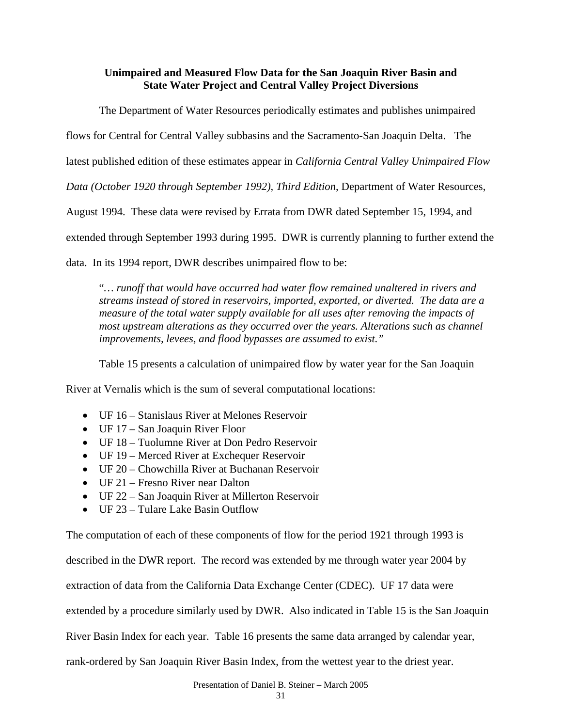## **Unimpaired and Measured Flow Data for the San Joaquin River Basin and State Water Project and Central Valley Project Diversions**

The Department of Water Resources periodically estimates and publishes unimpaired

flows for Central for Central Valley subbasins and the Sacramento-San Joaquin Delta. The

latest published edition of these estimates appear in *California Central Valley Unimpaired Flow* 

*Data (October 1920 through September 1992), Third Edition*, Department of Water Resources,

August 1994. These data were revised by Errata from DWR dated September 15, 1994, and

extended through September 1993 during 1995. DWR is currently planning to further extend the

data. In its 1994 report, DWR describes unimpaired flow to be:

"*… runoff that would have occurred had water flow remained unaltered in rivers and streams instead of stored in reservoirs, imported, exported, or diverted. The data are a measure of the total water supply available for all uses after removing the impacts of most upstream alterations as they occurred over the years. Alterations such as channel improvements, levees, and flood bypasses are assumed to exist."*

Table 15 presents a calculation of unimpaired flow by water year for the San Joaquin

River at Vernalis which is the sum of several computational locations:

- UF 16 Stanislaus River at Melones Reservoir
- UF 17 San Joaquin River Floor
- UF 18 Tuolumne River at Don Pedro Reservoir
- UF 19 Merced River at Exchequer Reservoir
- UF 20 Chowchilla River at Buchanan Reservoir
- UF 21 Fresno River near Dalton
- UF 22 San Joaquin River at Millerton Reservoir
- UF 23 Tulare Lake Basin Outflow

The computation of each of these components of flow for the period 1921 through 1993 is described in the DWR report. The record was extended by me through water year 2004 by extraction of data from the California Data Exchange Center (CDEC). UF 17 data were extended by a procedure similarly used by DWR. Also indicated in Table 15 is the San Joaquin River Basin Index for each year. Table 16 presents the same data arranged by calendar year, rank-ordered by San Joaquin River Basin Index, from the wettest year to the driest year.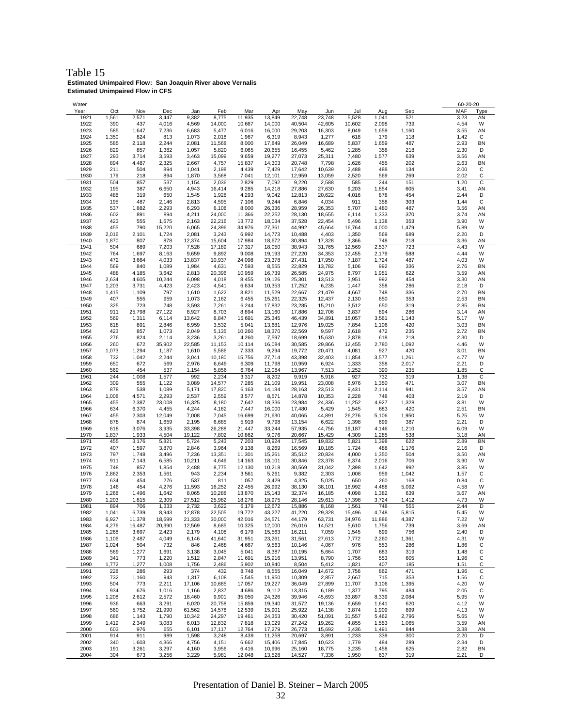Table 15 **Estimated Unimpaired Flow: San Joaquin River above Vernalis Estimated Unimpaired Flow in CFS**

| Water        |       |        |        |        |        |        |        |        |        |        |        |       |      | 60-20-20 |              |
|--------------|-------|--------|--------|--------|--------|--------|--------|--------|--------|--------|--------|-------|------|----------|--------------|
| Year         | Oct   | Nov    | Dec    | Jan    | Feb    | Mar    | Apr    | May    | Jun    | Jul    | Aug    | Sep   | MAF  |          | Type         |
| 1921         | 1,561 | 2,571  | 3,447  | 9,382  | 8,775  | 11,935 | 13,849 | 22,748 | 23,748 | 5,528  | 1,041  | 521   | 3.23 |          | AN           |
|              |       |        |        |        |        |        |        |        |        |        |        |       |      |          |              |
| 1922         | 390   | 437    | 4,016  | 4,569  | 14,000 | 10,667 | 14,000 | 40,504 | 42,605 | 10,602 | 2,098  | 739   | 4.54 |          | W            |
| 1923         | 585   | 1,647  | 7,236  | 6,683  | 5,477  | 6,016  | 16,000 | 29,203 | 16,303 | 8,049  | 1,659  | 1,160 | 3.55 |          | AN           |
| 1924         | 1,350 | 824    | 813    | 1,073  | 2,018  | 1,967  | 6,319  | 8,943  | 1,277  | 618    | 179    | 118   | 1.42 |          | С            |
| 1925         |       |        |        | 2,081  |        | 8,000  | 17,849 | 26,049 |        |        |        | 487   | 2.93 |          | <b>BN</b>    |
|              | 585   | 2,118  | 2,244  |        | 11,568 |        |        |        | 16,689 | 5,837  | 1,659  |       |      |          |              |
| 1926         | 829   | 857    | 1,382  | 1,057  | 5,820  | 6,065  | 20,655 | 16,455 | 5,462  | 1,285  | 358    | 218   | 2.30 |          | D            |
| 1927         | 293   | 3,714  | 3,593  | 3,463  | 15,099 | 9,659  | 19,277 | 27,073 | 25,311 | 7,480  | 1,577  | 639   | 3.56 |          | AN           |
| 1928         | 894   | 4,487  | 2,325  | 2,667  | 4,757  | 15,837 | 14,303 | 20,748 | 7,798  | 1,626  | 455    | 202   | 2.63 |          | <b>BN</b>    |
|              |       |        |        |        |        |        |        |        |        |        |        |       |      |          |              |
| 1929         | 211   | 504    | 894    | 1,041  | 2,198  | 4,439  | 7,429  | 17,642 | 10,639 | 2,488  | 488    | 134   | 2.00 |          | C            |
| 1930         | 179   | 218    | 894    | 1,870  | 3,568  | 7,041  | 12,101 | 12,959 | 13,059 | 2,520  | 569    | 269   | 2.02 |          | C            |
| 1931         | 504   | 857    | 537    | 1,154  | 2,036  | 2,829  | 7,092  | 9,220  | 2,588  | 585    | 244    | 151   | 1.20 |          | С            |
|              |       |        |        |        |        |        |        |        |        |        |        |       |      |          |              |
| 1932         | 195   | 387    | 6,650  | 4,943  | 16,414 | 9,285  | 14,218 | 27,886 | 27,630 | 9,203  | 1,854  | 605   | 3.41 |          | AN           |
| 1933         | 488   | 319    | 650    | 1,545  | 1,928  | 4,293  | 9,042  | 12,813 | 20,622 | 4,016  | 878    | 454   | 2.44 |          | D            |
| 1934         | 195   | 487    | 2,146  | 2,813  | 4,595  | 7,106  | 9,244  | 6,846  | 4,034  | 911    | 358    | 303   | 1.44 |          | C            |
|              |       | 1,882  |        |        |        |        |        |        |        |        |        |       |      |          |              |
| 1935         | 537   |        | 2,293  | 6,293  | 6,108  | 8,000  | 26,336 | 28,959 | 26,353 | 5,707  | 1,480  | 487   | 3.56 |          | AN           |
| 1936         | 602   | 891    | 894    | 4,211  | 24,000 | 11,366 | 22,252 | 28,130 | 18,655 | 6,114  | 1,333  | 370   | 3.74 |          | AN           |
| 1937         | 423   | 555    | 1,675  | 2,163  | 22,216 | 13,772 | 18,034 | 37,528 | 22,454 | 5,496  | 1,138  | 353   | 3.90 |          | W            |
| 1938         | 455   | 790    | 15,220 | 6,065  | 24,396 | 34,976 | 27,361 | 44,992 | 45,664 | 16,764 | 4,000  | 1,479 | 5.89 |          | W            |
|              |       |        |        |        |        |        |        |        |        |        |        |       |      |          |              |
| 1939         | 2,016 | 2,101  | 1,724  | 2,081  | 3,243  | 6,992  | 14,773 | 10,488 | 4,403  | 1,350  | 569    | 689   | 2.20 |          | D            |
| 1940         | 1,870 | 807    | 878    | 12,374 | 15,604 | 17,984 | 18,672 | 30,894 | 17,328 | 3,366  | 748    | 218   | 3.36 |          | AN           |
| 1941         | 504   | 689    | 7,203  | 7,528  | 17,189 | 17,317 | 18,050 | 38,943 | 31,765 | 12,569 | 2,537  | 723   | 4.43 |          | W            |
|              |       |        |        |        |        |        |        |        |        |        |        |       |      |          |              |
| 1942         | 764   | 1,697  | 8,163  | 9,659  | 9,892  | 9,008  | 19,193 | 27,220 | 34,353 | 12,455 | 2,179  | 588   | 4.44 |          | W            |
| 1943         | 472   | 3,664  | 4,033  | 13,837 | 10,937 | 24,098 | 23,378 | 27,431 | 17,950 | 7,187  | 1,724  | 487   | 4.03 |          | W            |
| 1944         | 569   | 840    | 1,089  | 1,984  | 4,631  | 7,593  | 8,555  | 22,829 | 13,782 | 5,106  | 992    | 336   | 2.76 |          | <b>BN</b>    |
|              |       |        |        |        |        |        |        |        |        |        |        |       |      |          |              |
| 1945         | 488   | 4,185  | 3,642  | 2,813  | 20,396 | 10,959 | 16,739 | 26,585 | 24,975 | 8,797  | 1,951  | 622   | 3.59 |          | AN           |
| 1946         | 2,634 | 4,605  | 10,244 | 6,098  | 4,018  | 8,455  | 19,126 | 25,301 | 13,513 | 3,951  | 992    | 454   | 3.30 |          | AN           |
| 1947         | 1,203 | 3,731  | 4,423  | 2,423  | 4,541  | 6,634  | 10,353 | 17,252 | 6,235  | 1,447  | 358    | 286   | 2.18 |          | D            |
|              |       |        |        |        |        |        |        |        |        |        |        |       |      |          |              |
| 1948         | 1,415 | 1,109  | 797    | 1,610  | 1,622  | 3,821  | 11,529 | 22,667 | 21,479 | 4,667  | 748    | 336   | 2.70 |          | <b>BN</b>    |
| 1949         | 407   | 555    | 959    | 1,073  | 2,162  | 6,455  | 15,261 | 22,325 | 12,437 | 2,130  | 650    | 353   | 2.53 |          | <b>BN</b>    |
| 1950         | 325   | 723    | 748    | 3,593  | 7,261  | 6,244  | 17,832 | 23,285 | 15,210 | 3,512  | 650    | 319   | 2.85 |          | <b>BN</b>    |
| 1951         | 911   | 25,798 | 27,122 | 8,927  | 8,703  | 8,894  | 13,160 |        | 12,706 | 3,837  | 894    | 286   | 3.14 |          | AN           |
|              |       |        |        |        |        |        |        | 17,886 |        |        |        |       |      |          |              |
| 1952         | 569   | 1,311  | 6,114  | 13,642 | 8,847  | 15,691 | 25,345 | 46,439 | 34,891 | 15,057 | 3,561  | 1,143 | 5.17 |          | W            |
| 1953         | 618   | 891    | 2,846  | 6,959  | 3,532  | 5,041  | 13,681 | 12,976 | 19,025 | 7,854  | 1,106  | 420   | 3.03 |          | BN           |
| 1954         | 423   | 857    | 1,073  | 2,049  | 5,135  | 10,260 | 18,370 | 22,569 | 9,597  | 2,618  | 472    | 235   | 2.72 |          | <b>BN</b>    |
|              |       |        |        |        |        |        |        |        |        |        |        |       |      |          |              |
| 1955         | 276   | 824    | 2,114  | 3,236  | 3,261  | 4,260  | 7,597  | 18,699 | 15,630 | 2,878  | 618    | 218   | 2.30 |          | D            |
| 1956         | 260   | 672    | 35,902 | 22,585 | 11,153 | 10,114 | 16,084 | 30,585 | 29,866 | 12,455 | 2,780  | 1,092 | 4.46 |          | W            |
| 1957         | 1,073 | 1,294  | 1,187  | 1,610  | 5,586  | 7,333  | 9,294  | 19,772 | 20,471 | 4,081  | 927    | 420   | 3.01 |          | <b>BN</b>    |
|              |       |        |        |        |        |        |        |        |        |        |        |       |      |          |              |
| 1958         | 732   | 1,042  | 2,244  | 3,041  | 10,180 | 15,756 | 27,714 | 43,398 | 32,403 | 11,854 | 3,577  | 1,261 | 4.77 |          | W            |
| 1959         | 650   | 672    | 569    | 2,976  | 6,649  | 6,309  | 11,798 | 10,959 | 6,924  | 1,333  | 358    | 2,017 | 2.21 |          | D            |
| 1960         | 569   | 454    | 537    | 1,154  | 5,856  | 6,764  | 12,084 | 13,967 | 7,513  | 1,252  | 390    | 235   | 1.85 |          | C            |
|              |       |        |        |        |        |        |        |        |        |        |        |       |      |          |              |
| 1961         | 244   | 1,008  | 1,577  | 992    | 2,234  | 3,317  | 8,202  | 9,919  | 5,916  | 927    | 732    | 319   | 1.38 |          | С            |
| 1962         | 309   | 555    | 1,122  | 3,089  | 14,577 | 7,285  | 21,109 | 19,951 | 23,008 | 6,976  | 1,350  | 471   | 3.07 |          | <b>BN</b>    |
| 1963         | 878   | 538    | 1,089  | 5,171  | 17,820 | 6,163  | 14,134 | 28,163 | 23,513 | 9,431  | 2,114  | 941   | 3.57 |          | AN           |
| 1964         | 1,008 | 4,571  | 2,293  | 2,537  | 2,559  | 3,577  | 8,571  | 14,878 | 10,353 | 2,228  | 748    | 403   | 2.19 |          | D            |
|              |       |        |        |        |        |        |        |        |        |        |        |       |      |          |              |
| 1965         | 455   | 2,387  | 23,008 | 16,325 | 8,180  | 7,642  | 18,336 | 23,984 | 24,336 | 11,252 | 4,927  | 1,328 | 3.81 |          | W            |
| 1966         | 634   | 6,370  | 4,455  | 4,244  | 4,162  | 7,447  | 16,000 | 17,480 | 5,429  | 1,545  | 683    | 420   | 2.51 |          | <b>BN</b>    |
| 1967         | 455   | 2,303  | 12,049 | 7,008  | 7,045  | 16,699 | 21,630 | 40,065 | 44,891 | 26,276 | 5,106  | 1,950 | 5.25 |          | W            |
|              |       |        |        |        |        |        |        |        |        |        |        |       |      |          |              |
| 1968         | 878   | 874    | 1,659  | 2,195  | 6,685  | 5,919  | 9,798  | 13,154 | 6,622  | 1,398  | 699    | 387   | 2.21 |          | D            |
| 1969         | 618   | 3,076  | 3,935  | 33,398 | 26,288 | 21,447 | 33,244 | 57,935 | 44,756 | 19,187 | 4,146  | 1,210 | 6.09 |          | W            |
| 1970         | 1,837 | 1,933  | 4,504  | 19,122 | 7,802  | 10,862 | 9,076  | 20,667 | 15,429 | 4,309  | 1,285  | 538   | 3.18 |          | AN           |
|              |       |        |        |        |        |        |        |        |        |        |        |       |      |          |              |
| 1971         | 455   | 3,176  | 5,821  | 5,724  | 5,243  | 7,203  | 10,924 | 17,545 | 19,832 | 5,821  | 1,398  | 622   | 2.89 |          | <b>BN</b>    |
| 1972         | 407   | 1,597  | 3,870  | 2,846  | 3,964  | 9,138  | 8,269  | 16,569 | 10,185 | 1,724  | 488    | 1,176 | 2.16 |          | D            |
| 1973         | 797   | 1,748  | 3,496  | 7,236  | 13,351 | 11,301 | 15,261 | 35,512 | 20,824 | 4,000  | 1,350  | 504   | 3.50 |          | AN           |
|              |       |        |        |        |        |        |        |        |        |        |        |       |      |          |              |
| 1974         | 911   | 7,143  | 6,585  | 10,211 | 4,649  | 14,163 | 18,101 | 30,846 | 23,378 | 6,374  | 2,016  | 706   | 3.90 |          | W            |
| 1975         | 748   | 857    | 1,854  | 2,488  | 8,775  | 12,130 | 10,218 | 30,569 | 31,042 | 7,398  | 1,642  | 992   | 3.85 |          | W            |
| 1976         | 2,862 | 2,353  | 1,561  | 943    | 2,234  | 3,561  | 5,261  | 9,382  | 2,303  | 1,008  | 959    | 1,042 | 1.57 |          | C            |
|              |       |        |        |        |        |        |        |        |        |        |        |       |      |          |              |
| 1977         | 634   | 454    | 276    | 537    | 811    | 1,057  | 3,429  | 4,325  | 5,025  | 650    | 260    | 168   | 0.84 |          | C            |
| 1978         | 146   | 454    | 4,276  | 11,593 | 16,252 | 22,455 | 26,992 | 38,130 | 38,101 | 16,992 | 4,488  | 5,092 | 4.58 |          | W            |
| 1979         | 1,268 | 1,496  | 1,642  | 8,065  | 10,288 | 13,870 | 15,143 | 32,374 | 16,185 | 4,098  | 1,382  | 639   | 3.67 |          | AN           |
| 1980         | 1,203 | 1,815  | 2,309  | 27,512 | 25,982 | 18,276 | 18,975 | 28,146 | 29,613 | 17,398 | 3,724  | 1,412 | 4.73 |          | W            |
|              |       |        |        |        |        |        |        |        |        |        |        |       |      |          | D            |
| 1981         | 894   | 706    | 1,333  | 2,732  | 3,622  | 6,179  | 12,672 | 15,886 | 8,168  | 1,561  | 748    | 555   | 2.44 |          |              |
| 1982         | 1,041 | 6,739  | 8,943  | 12,878 | 22,505 | 19,772 | 43,227 | 41,220 | 29,328 | 15,496 | 4,748  | 5,815 | 5.45 |          | W            |
| 1983         | 6,927 | 11,378 | 18,699 | 21,333 | 30,000 | 42,016 | 24,571 | 44,179 | 63,731 | 34,976 | 11,886 | 4,387 | 7.22 |          | W            |
| 1984         |       |        |        |        |        | 10,325 | 12,000 | 26,016 |        |        |        | 739   | 3.69 |          | AN           |
|              | 4,276 | 16,487 | 20,390 | 12,569 | 8,685  |        |        |        | 14,521 | 5,610  | 1,756  |       |      |          |              |
| 1985         | 1,268 | 3,697  | 2,423  | 2,179  | 4,108  | 6,179  | 15,563 | 16,211 | 7,059  | 1,545  | 699    | 756   | 2.40 |          | D            |
| 1986         | 1,106 | 2,487  | 4,049  | 6,146  | 41,640 | 31,951 | 23,261 | 31,561 | 27,613 | 7,772  | 2,260  | 1,361 | 4.31 |          | W            |
| 1987         | 1,024 | 504    | 732    | 846    | 2,468  | 4,667  | 9,563  | 10,146 | 4,067  | 976    | 553    | 286   | 1.86 |          | С            |
|              |       |        |        |        |        |        |        |        |        |        |        |       |      |          |              |
| 1988         | 569   | 1,277  | 1,691  | 3,138  | 3,045  | 5,041  | 8,387  | 10,195 | 5,664  | 1,707  | 683    | 319   | 1.48 |          | С            |
| 1989         | 341   | 773    | 1,220  | 1,512  | 2,847  | 11,691 | 15,916 | 13,951 | 8,790  | 1,756  | 553    | 605   | 1.96 |          | C            |
| 1990         | 1,772 | 1,277  | 1,008  | 1,756  | 2,486  | 5,902  | 10,840 | 8,504  | 5,412  | 1,821  | 407    | 185   | 1.51 |          | $\mathsf{C}$ |
|              |       |        |        |        |        |        |        |        |        |        |        |       |      |          |              |
| 1991         | 228   | 286    | 293    | 374    | 432    | 8,748  | 8,555  | 16,049 | 14,672 | 3,756  | 862    | 471   | 1.96 |          | C            |
| 1992         | 732   | 1,160  | 943    | 1,317  | 6,108  | 5,545  | 11,950 | 10,309 | 2,857  | 2,667  | 715    | 353   | 1.56 |          | C            |
| 1993         | 504   | 773    | 2,211  | 17,106 | 10,685 | 17,057 | 19,227 | 36,049 | 27,899 | 11,707 | 3,106  | 1,395 | 4.20 |          | W            |
|              |       |        |        |        |        |        |        |        |        |        |        |       |      |          |              |
| 1994         | 934   | 676    | 1,016  | 1,166  | 2,837  | 4,686  | 9,112  | 13,315 | 6,189  | 1,377  | 795    | 484   | 2.05 |          | C            |
| 1995         | 1,208 | 2,612  | 2,572  | 18,460 | 9,901  | 35,050 | 24,326 | 39,946 | 45,693 | 33,897 | 8,339  | 2,084 | 5.95 |          | W            |
| 1996         | 936   | 663    | 3,291  | 6,020  | 20,758 | 15,859 | 19,340 | 31,572 | 19,136 | 6,659  | 1,641  | 620   | 4.12 |          | W            |
|              |       |        |        |        |        |        |        |        |        |        |        |       |      |          |              |
| 1997         | 560   | 5,752  | 21,990 | 61,562 | 14,578 | 12,539 | 15,901 | 25,922 | 14,138 | 3,874  | 1,909  | 899   | 4.13 |          | W            |
| 1998         | 686   | 1,143  | 1,790  | 10,342 | 24,297 | 19,461 | 24,353 | 30,420 | 51,091 | 31,557 | 5,462  | 2,796 | 5.65 |          | W            |
| 1999         | 1,419 | 2,349  | 3,083  | 6,013  | 12,832 | 7,818  | 13,029 | 27,242 | 19,262 | 4,855  | 1,553  | 1,065 | 3.59 |          | AN           |
|              |       |        |        |        |        |        |        |        |        |        |        |       |      |          |              |
| 2000         | 603   | 976    | 655    | 6,101  | 17,117 | 12,764 | 17,279 | 26,773 | 15,692 | 3,436  | 1,491  | 844   | 3.38 |          | AN           |
| 2001         | 914   | 911    | 989    | 1,598  | 3,248  | 8,439  | 11,258 | 20,697 | 3,891  | 1,233  | 339    | 300   | 2.20 |          | D            |
| 2002         | 340   | 1,603  | 4,366  | 4,756  | 4,151  | 6,662  | 15,406 | 17,845 | 10,623 | 1,779  | 484    | 289   | 2.34 |          | D            |
|              | 191   | 3,261  | 3,297  | 4,160  | 3,956  | 6,416  | 10,996 | 25,160 | 18,775 | 3,235  | 1,458  | 625   | 2.82 |          | <b>BN</b>    |
|              |       |        |        |        |        |        |        |        |        |        |        |       |      |          |              |
| 2003<br>2004 | 304   | 673    | 3,256  | 3,229  | 5,981  | 12,048 | 13,528 | 14,527 | 7,336  | 1,950  | 637    | 319   | 2.21 |          | D            |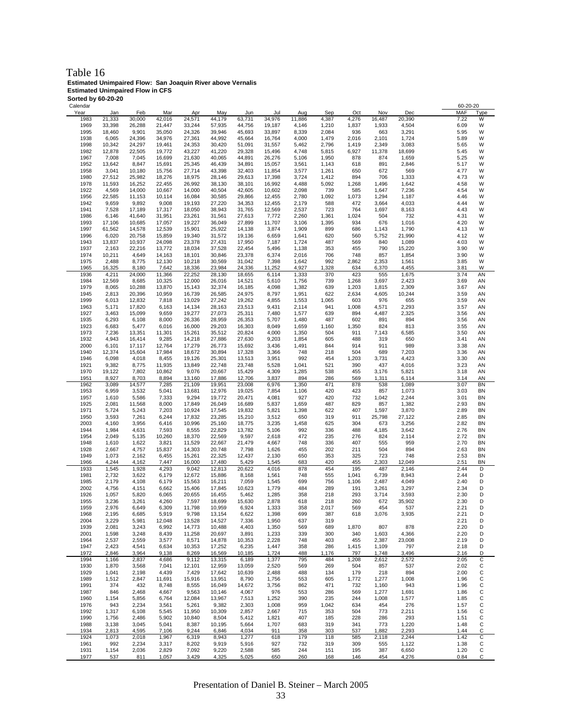### Table 16 **Estimated Unimpaired Flow: San Joaquin River above Vernalis Estimated Unimpaired Flow in CFS**

| Sorted by 60-20-20<br>Calendar |                 |                  |                  |                  |                  |                  |                  |                |                |                |                |                 |            | 60-20-20     |             |
|--------------------------------|-----------------|------------------|------------------|------------------|------------------|------------------|------------------|----------------|----------------|----------------|----------------|-----------------|------------|--------------|-------------|
| Year                           | Jan             | Feb              | Mar              | Apr              | May              | Jun              | Jul              | Aug            | Sep            | Oct            | Nov            | Dec             | <b>MAF</b> |              | <u>Type</u> |
| 1983                           | 21,333          | 30,000           | 42,016           | 24,571           | 44,179           | 63,731           | 34,976           | 11,886         | 4,387          | 4,276          | 16,487         | 20,390          |            | 7.22         | W           |
| 1969                           | 33,398          | 26,288           | 21,447           | 33,244           | 57,935           | 44,756           | 19,187           | 4,146          | 1,210          | 1,837          | 1,933          | 4,504           |            | 6.09         | W           |
| 1995                           | 18,460          | 9,901            | 35,050           | 24,326           | 39,946           | 45,693           | 33,897           | 8,339          | 2,084          | 936            | 663            | 3,291           |            | 5.95         | W           |
| 1938<br>1998                   | 6,065<br>10,342 | 24,396<br>24,297 | 34,976<br>19,461 | 27,361<br>24,353 | 44,992<br>30,420 | 45,664<br>51,091 | 16,764<br>31,557 | 4,000<br>5,462 | 1,479<br>2,796 | 2,016<br>1,419 | 2,101<br>2,349 | 1,724<br>3,083  |            | 5.89<br>5.65 | W<br>W      |
| 1982                           | 12,878          | 22,505           | 19,772           | 43,227           | 41,220           | 29,328           | 15,496           | 4,748          | 5,815          | 6,927          | 11,378         | 18,699          |            | 5.45         | W           |
| 1967                           | 7,008           | 7,045            | 16,699           | 21,630           | 40,065           | 44,891           | 26,276           | 5,106          | 1,950          | 878            | 874            | 1,659           |            | 5.25         | W           |
| 1952                           | 13,642          | 8,847            | 15,691           | 25,345           | 46,439           | 34,891           | 15,057           | 3,561          | 1,143          | 618            | 891            | 2,846           |            | 5.17         | W           |
| 1958                           | 3,041           | 10,180           | 15,756           | 27,714           | 43,398           | 32,403           | 11,854           | 3,577          | 1,261          | 650            | 672            | 569             |            | 4.77         | W           |
| 1980                           | 27,512          | 25,982           | 18,276           | 18,975           | 28,146           | 29,613           | 17,398           | 3,724          | 1,412          | 894            | 706            | 1,333           |            | 4.73         | W           |
| 1978<br>1922                   | 11,593<br>4,569 | 16,252<br>14,000 | 22,455<br>10,667 | 26,992<br>14,000 | 38,130<br>40,504 | 38,101<br>42,605 | 16,992<br>10,602 | 4,488<br>2,098 | 5,092<br>739   | 1,268<br>585   | 1,496<br>1,647 | 1,642<br>7,236  |            | 4.58<br>4.54 | W<br>W      |
| 1956                           | 22,585          | 11,153           | 10,114           | 16,084           | 30,585           | 29,866           | 12,455           | 2,780          | 1,092          | 1,073          | 1,294          | 1,187           |            | 4.46         | W           |
| 1942                           | 9,659           | 9,892            | 9,008            | 19,193           | 27,220           | 34,353           | 12,455           | 2,179          | 588            | 472            | 3,664          | 4,033           |            | 4.44         | W           |
| 1941                           | 7,528           | 17,189           | 17,317           | 18,050           | 38,943           | 31,765           | 12,569           | 2,537          | 723            | 764            | 1,697          | 8,163           |            | 4.43         | W           |
| 1986                           | 6,146           | 41,640           | 31,951           | 23,261           | 31,561           | 27,613           | 7,772            | 2,260          | 1,361          | 1,024          | 504            | 732             |            | 4.31         | W           |
| 1993                           | 17,106          | 10,685           | 17,057           | 19,227           | 36,049           | 27,899           | 11,707           | 3,106          | 1,395          | 934            | 676            | 1,016           |            | 4.20         | W           |
| 1997<br>1996                   | 61,562<br>6,020 | 14,578<br>20,758 | 12,539<br>15,859 | 15,901<br>19,340 | 25,922           | 14,138           | 3,874<br>6,659   | 1,909<br>1,641 | 899<br>620     | 686<br>560     | 1,143          | 1,790           |            | 4.13<br>4.12 | W<br>W      |
| 1943                           | 13,837          | 10,937           | 24,098           | 23,378           | 31,572<br>27,431 | 19,136<br>17,950 | 7,187            | 1,724          | 487            | 569            | 5,752<br>840   | 21,990<br>1,089 |            | 4.03         | W           |
| 1937                           | 2,163           | 22,216           | 13,772           | 18,034           | 37,528           | 22,454           | 5,496            | 1,138          | 353            | 455            | 790            | 15,220          |            | 3.90         | W           |
| 1974                           | 10,211          | 4,649            | 14,163           | 18,101           | 30,846           | 23,378           | 6,374            | 2,016          | 706            | 748            | 857            | 1,854           |            | 3.90         | W           |
| 1975                           | 2,488           | 8,775            | 12,130           | 10,218           | 30,569           | 31,042           | 7,398            | 1,642          | 992            | 2,862          | 2,353          | 1,561           |            | 3.85         | W           |
| 1965                           | 16,325          | 8,180            | 7,642            | 18,336           | 23,984           | 24,336           | 11,252           | 4,927          | 1,328          | 634            | 6,370          | 4,455           |            | 3.81         | W           |
| 1936                           | 4,211           | 24,000           | 11,366           | 22,252           | 28,130           | 18,655           | 6,114            | 1,333          | 370            | 423            | 555            | 1,675           |            | 3.74         | AN          |
| 1984<br>1979                   | 12,569<br>8,065 | 8,685<br>10,288  | 10,325<br>13,870 | 12,000<br>15,143 | 26,016<br>32,374 | 14,521<br>16,185 | 5,610<br>4,098   | 1,756<br>1,382 | 739<br>639     | 1,268<br>1,203 | 3,697<br>1,815 | 2,423<br>2,309  |            | 3.69<br>3.67 | AN<br>ΑN    |
| 1945                           | 2,813           | 20,396           | 10,959           | 16,739           | 26,585           | 24,975           | 8,797            | 1,951          | 622            | 2,634          | 4,605          | 10,244          |            | 3.59         | AN          |
| 1999                           | 6,013           | 12,832           | 7,818            | 13,029           | 27,242           | 19,262           | 4,855            | 1,553          | 1,065          | 603            | 976            | 655             |            | 3.59         | AN          |
| 1963                           | 5,171           | 17,820           | 6,163            | 14,134           | 28,163           | 23,513           | 9,431            | 2,114          | 941            | 1,008          | 4,571          | 2,293           |            | 3.57         | AN          |
| 1927                           | 3,463           | 15,099           | 9,659            | 19,277           | 27,073           | 25,311           | 7,480            | 1,577          | 639            | 894            | 4,487          | 2,325           |            | 3.56         | ΑN          |
| 1935                           | 6,293           | 6,108            | 8,000            | 26,336           | 28,959           | 26,353           | 5,707            | 1,480          | 487            | 602            | 891            | 894             |            | 3.56         | ΑN          |
| 1923<br>1973                   | 6,683<br>7,236  | 5,477<br>13,351  | 6,016<br>11,301  | 16,000<br>15,261 | 29,203<br>35,512 | 16,303<br>20,824 | 8,049<br>4,000   | 1,659<br>1,350 | 1,160<br>504   | 1,350<br>911   | 824<br>7,143   | 813<br>6,585    |            | 3.55<br>3.50 | AN<br>AN    |
| 1932                           | 4,943           | 16,414           | 9,285            | 14,218           | 27,886           | 27,630           | 9,203            | 1,854          | 605            | 488            | 319            | 650             |            | 3.41         | AN          |
| 2000                           | 6,101           | 17,117           | 12,764           | 17,279           | 26,773           | 15,692           | 3,436            | 1,491          | 844            | 914            | 911            | 989             |            | 3.38         | AN          |
| 1940                           | 12,374          | 15,604           | 17,984           | 18,672           | 30,894           | 17,328           | 3,366            | 748            | 218            | 504            | 689            | 7,203           |            | 3.36         | AN          |
| 1946                           | 6,098           | 4,018            | 8,455            | 19,126           | 25,301           | 13,513           | 3,951            | 992            | 454            | 1,203          | 3,731          | 4,423           |            | 3.30         | ΑN          |
| 1921                           | 9,382           | 8,775            | 11,935           | 13,849           | 22,748           | 23,748           | 5,528            | 1,041          | 521            | 390            | 437            | 4,016           |            | 3.23         | AN          |
| 1970<br>1951                   | 19,122<br>8,927 | 7,802<br>8,703   | 10,862<br>8,894  | 9,076<br>13,160  | 20,667<br>17,886 | 15,429<br>12,706 | 4,309<br>3,837   | 1,285<br>894   | 538<br>286     | 455<br>569     | 3,176<br>1,311 | 5,821           |            | 3.18<br>3.14 | AN<br>AN    |
| 1962                           | 3,089           | 14,577           | 7,285            | 21,109           | 19,951           | 23,008           | 6,976            | 1,350          | 471            | 878            | 538            | 6,114<br>1,089  |            | 3.07         | BN          |
| 1953                           | 6,959           | 3,532            | 5,041            | 13,681           | 12,976           | 19,025           | 7,854            | 1,106          | 420            | 423            | 857            | 1,073           |            | 3.03         | BN          |
| 1957                           | 1,610           | 5,586            | 7,333            | 9,294            | 19,772           | 20,471           | 4,081            | 927            | 420            | 732            | 1,042          | 2,244           |            | 3.01         | ΒN          |
| 1925                           | 2,081           | 11,568           | 8,000            | 17,849           | 26,049           | 16,689           | 5,837            | 1,659          | 487            | 829            | 857            | 1,382           |            | 2.93         | ΒN          |
| 1971                           | 5,724           | 5,243            | 7,203            | 10,924           | 17,545           | 19,832           | 5,821            | 1,398          | 622            | 407            | 1,597          | 3,870           |            | 2.89         | BN          |
| 1950<br>2003                   | 3,593<br>4,160  | 7,261<br>3,956   | 6,244<br>6,416   | 17,832<br>10,996 | 23,285<br>25,160 | 15,210<br>18,775 | 3,512<br>3,235   | 650<br>1,458   | 319<br>625     | 911<br>304     | 25,798<br>673  | 27,122<br>3,256 |            | 2.85<br>2.82 | BN<br>BN    |
| 1944                           | 1,984           | 4,631            | 7,593            | 8,555            | 22,829           | 13,782           | 5,106            | 992            | 336            | 488            | 4,185          | 3,642           |            | 2.76         | BN          |
| 1954                           | 2,049           | 5,135            | 10,260           | 18,370           | 22,569           | 9,597            | 2,618            | 472            | 235            | 276            | 824            | 2,114           |            | 2.72         | ΒN          |
| 1948                           | 1,610           | 1,622            | 3,821            | 11,529           | 22,667           | 21,479           | 4,667            | 748            | 336            | 407            | 555            | 959             |            | 2.70         | ΒN          |
| 1928                           | 2,667           | 4,757            | 15,837           | 14,303           | 20,748           | 7,798            | 1,626            | 455            | 202            | 211            | 504            | 894             |            | 2.63         | ΒN          |
| 1949                           | 1,073           | 2,162            | 6,455            | 15,261           | 22,325           | 12,437           | 2,130            | 650            | 353            | 325            | 723            | 748             |            | 2.53         | ΒN          |
| 1966<br>1933                   | 4,244<br>1,545  | 4,162<br>1,928   | 7,447<br>4,293   | 16,000<br>9,042  | 17,480<br>12,813 | 5,429<br>20,622  | 1,545<br>4,016   | 683<br>878     | 420<br>454     | 455<br>195     | 2,303<br>487   | 12,049<br>2,146 |            | 2.51<br>2.44 | BN<br>D     |
| 1981                           | 2,732           | 3,622            | 6,179            | 12,672           | 15,886           | 8,168            | 1,561            | 748            | 555            | 1,041          | 6,739          | 8,943           |            | 2.44         | D           |
| 1985                           | 2,179           | 4,108            | 6,179            | 15,563           | 16,211           | 7,059            | 1,545            | 699            | 756            | 1,106          | 2,487          | 4,049           |            | 2.40         | D           |
| 2002                           | 4,756           | 4,151            | 6,662            | 15,406           | 17,845           | 10,623           | 1,779            | 484            | 289            | 191            | 3,261          | 3,297           |            | 2.34         | D           |
| 1926                           | 1,057           | 5,820            | 6,065            | 20,655           | 16,455           | 5,462            | 1,285            | 358            | 218            | 293            | 3,714          | 3,593           |            | 2.30         | D           |
| 1955                           | 3,236           | 3,261            | 4,260            | 7,597            | 18,699           | 15,630           | 2,878            | 618            | 218            | 260            | 672            | 35,902          |            | 2.30<br>2.21 | D<br>D      |
| 1959<br>1968                   | 2,976<br>2,195  | 6,649<br>6,685   | 6,309<br>5,919   | 11,798<br>9,798  | 10,959<br>13,154 | 6,924<br>6,622   | 1,333<br>1,398   | 358<br>699     | 2,017<br>387   | 569<br>618     | 454<br>3,076   | 537<br>3,935    |            | 2.21         | D           |
| 2004                           | 3,229           | 5,981            | 12,048           | 13,528           | 14,527           | 7,336            | 1,950            | 637            | 319            |                |                |                 |            | 2.21         | D           |
| 1939                           | 2,081           | 3,243            | 6,992            | 14,773           | 10,488           | 4,403            | 1,350            | 569            | 689            | 1,870          | 807            | 878             |            | 2.20         | D           |
| 2001                           | 1,598           | 3,248            | 8,439            | 11,258           | 20,697           | 3,891            | 1,233            | 339            | 300            | 340            | 1,603          | 4,366           |            | 2.20         | D           |
| 1964                           | 2,537           | 2,559            | 3,577            | 8,571            | 14,878           | 10,353           | 2,228            | 748            | 403            | 455            | 2,387          | 23,008          |            | 2.19         | D           |
| 1947<br>1972                   | 2,423<br>2,846  | 4,541<br>3,964   | 6,634            | 10,353<br>8,269  | 17,252<br>16,569 | 6,235<br>10,185  | 1,447<br>1,724   | 358<br>488     | 286<br>1,176   | 1,415<br>797   | 1,109<br>1,748 | 797             |            | 2.18<br>2.16 | D<br>D      |
| 1994                           | 1,166           | 2,837            | 9,138<br>4,686   | 9,112            | 13,315           | 6,189            | 1,377            | 795            | 484            | 1,208          | 2,612          | 3,496<br>2,572  |            | 2.05         | C           |
| 1930                           | 1,870           | 3,568            | 7,041            | 12,101           | 12,959           | 13,059           | 2,520            | 569            | 269            | 504            | 857            | 537             |            | 2.02         | С           |
| 1929                           | 1,041           | 2,198            | 4,439            | 7,429            | 17,642           | 10,639           | 2,488            | 488            | 134            | 179            | 218            | 894             |            | 2.00         | С           |
| 1989                           | 1,512           | 2,847            | 11,691           | 15,916           | 13,951           | 8,790            | 1,756            | 553            | 605            | 1,772          | 1,277          | 1,008           |            | 1.96         | С           |
| 1991                           | 374             | 432              | 8,748            | 8,555            | 16,049           | 14,672           | 3,756            | 862            | 471            | 732            | 1,160          | 943             |            | 1.96         | С           |
| 1987                           | 846             | 2,468            | 4,667            | 9,563            | 10,146           | 4,067            | 976              | 553            | 286            | 569            | 1,277          | 1,691           |            | 1.86         | С           |
| 1960<br>1976                   | 1,154<br>943    | 5,856<br>2,234   | 6,764<br>3,561   | 12,084<br>5,261  | 13,967<br>9,382  | 7,513<br>2,303   | 1,252<br>1,008   | 390<br>959     | 235<br>1,042   | 244<br>634     | 1,008<br>454   | 1,577<br>276    |            | 1.85<br>1.57 | С<br>С      |
| 1992                           | 1,317           | 6,108            | 5,545            | 11,950           | 10,309           | 2,857            | 2,667            | 715            | 353            | 504            | 773            | 2,211           |            | 1.56         | С           |
| 1990                           | 1,756           | 2,486            | 5,902            | 10,840           | 8,504            | 5,412            | 1,821            | 407            | 185            | 228            | 286            | 293             |            | 1.51         | С           |
| 1988                           | 3,138           | 3,045            | 5,041            | 8,387            | 10,195           | 5,664            | 1,707            | 683            | 319            | 341            | 773            | 1,220           |            | 1.48         | C           |
| 1934                           | 2,813           | 4,595            | 7,106            | 9,244            | 6,846            | 4,034            | 911              | 358            | 303            | 537            | 1,882          | 2,293           |            | 1.44         | С           |
| 1924                           | 1,073           | 2,018            | 1,967            | 6,319            | 8,943            | 1,277            | 618              | 179            | 118            | 585            | 2,118          | 2,244           |            | 1.42         | С           |
| 1961<br>1931                   | 992<br>1,154    | 2,234<br>2,036   | 3,317<br>2,829   | 8,202<br>7,092   | 9,919<br>9,220   | 5,916<br>2,588   | 927<br>585       | 732<br>244     | 319<br>151     | 309<br>195     | 555<br>387     | 1,122<br>6,650  |            | 1.38<br>1.20 | С<br>C      |
| 1977                           | 537             | 811              | 1,057            | 3,429            | 4,325            | 5,025            | 650              | 260            | 168            | 146            | 454            | 4,276           |            | 0.84         | С           |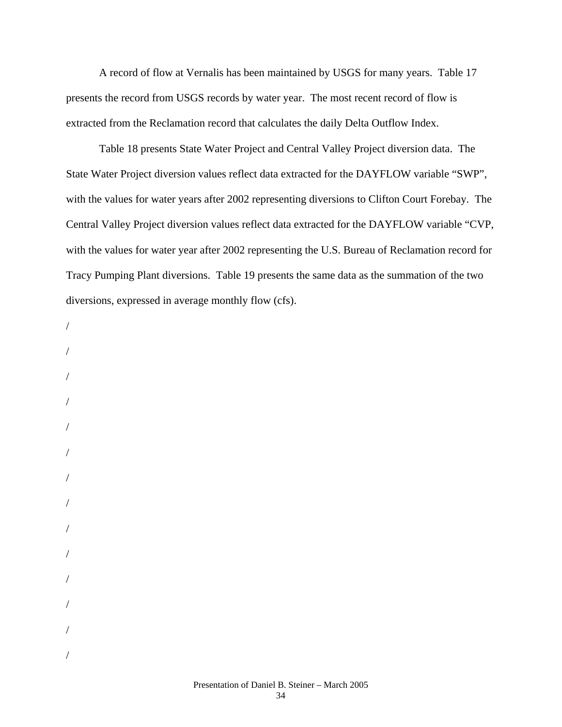A record of flow at Vernalis has been maintained by USGS for many years. Table 17 presents the record from USGS records by water year. The most recent record of flow is extracted from the Reclamation record that calculates the daily Delta Outflow Index.

Table 18 presents State Water Project and Central Valley Project diversion data. The State Water Project diversion values reflect data extracted for the DAYFLOW variable "SWP", with the values for water years after 2002 representing diversions to Clifton Court Forebay. The Central Valley Project diversion values reflect data extracted for the DAYFLOW variable "CVP, with the values for water year after 2002 representing the U.S. Bureau of Reclamation record for Tracy Pumping Plant diversions. Table 19 presents the same data as the summation of the two diversions, expressed in average monthly flow (cfs).

- /
- / / / / / / / / / / / /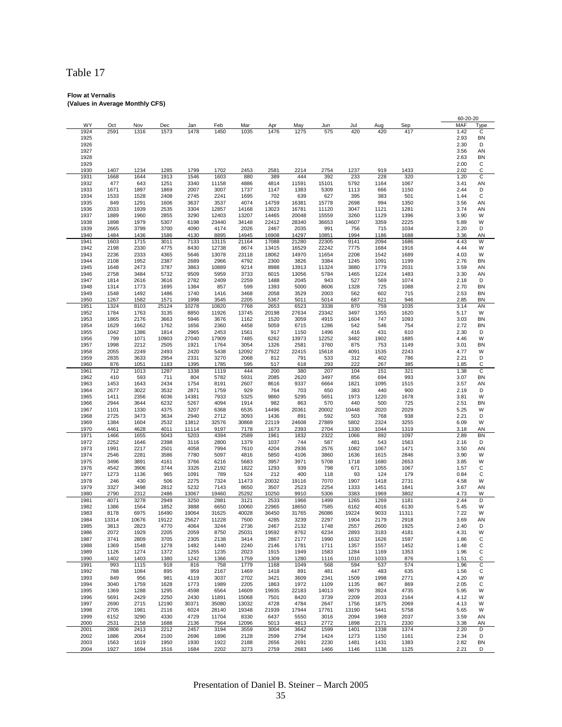# Table 17

#### **Flow at Vernalis (Values in Average Monthly CFS)**

|              |              |              |              |               |               |               |               |               |               |            |             |              | 60-20-20     |         |
|--------------|--------------|--------------|--------------|---------------|---------------|---------------|---------------|---------------|---------------|------------|-------------|--------------|--------------|---------|
| WY           | Oct          | Nov          | Dec          | Jan           | Feb           | Mar           | Apr           | May           | Jun           | Jul        | Aug         | Sep          | MAF          | Type    |
| 1924         | 2591         | 1316         | 1573         | 1478          | 1450          | 1035          | 1476          | 1275          | 575           | 420        | 420         | 417          | 1.42         | С       |
| 1925         |              |              |              |               |               |               |               |               |               |            |             |              | 2.93         | BN      |
| 1926         |              |              |              |               |               |               |               |               |               |            |             |              | 2.30         | D       |
| 1927         |              |              |              |               |               |               |               |               |               |            |             |              | 3.56         | ΑN      |
| 1928         |              |              |              |               |               |               |               |               |               |            |             |              | 2.63         | BN      |
| 1929         |              |              |              |               |               |               |               |               |               |            |             |              | 2.00         | C       |
| 1930         | 1407         | 1234         | 1285         | 1799          | 1702          | 2453          | 2581          | 2214          | 2754          | 1237       | 919         | 1433         | 2.02         | C       |
| 1931         | 1668         | 1644         | 1913         | 1546          | 1603          | 880           | 389           | 444           | 392           | 233        | 228         | 320          | 1.20         | C       |
| 1932         | 477          | 643          | 1251         | 3340          | 11158         | 4886          | 4814          | 11591         | 15101         | 5792       | 1164        | 1067         | 3.41         | AN      |
| 1933         | 1671         | 1897         | 1869         | 2007          | 3007          | 1737          | 1147          | 1383          | 5309          | 1113       | 666         | 1150         | 2.44         | D       |
| 1934         | 1533         | 1528         | 2408         | 2745          | 2241          | 1695          | 702           | 639           | 627           | 395        | 383         | 501          | 1.44         | С       |
| 1935         | 849          | 1291         | 1606         | 3637          | 3537          | 4074          | 14759         | 16381         | 15778         | 2698       | 994         | 1350         | 3.56         | AN      |
| 1936         | 2033         | 1939         | 2535         | 3304          | 12857         | 14168         | 13023         | 16781         | 11120         | 3047       | 1121        | 1281         | 3.74         | AN      |
| 1937         | 1889         | 1960         | 2855         | 3290          | 12403         | 13207         | 14465         | 20048         | 15559         | 3260       | 1129        | 1396         | 3.90         | W       |
| 1938         | 1898         | 1979         | 5307         | 6198          | 23440         | 34148         | 22412         | 28340         | 36653         | 14607      | 3359        | 2225         | 5.89         | W       |
| 1939         | 2665         | 3799         | 3700         | 4090          | 4174          | 2026          | 2467          | 2035          | 991           | 756        | 715         | 1034         | 2.20         | D       |
| 1940         | 1484         | 1436         | 1586         | 4130          | 8895          | 14945         | 16908         | 14297         | 10851         | 1994       | 1186        | 1688         | 3.36         | AN      |
| 1941         | 1603         | 1715         | 3011         | 7133          | 13115         | 21164         | 17088         | 21280         | 22305         | 9141       | 2094        | 1686         | 4.43         | W       |
| 1942         | 2198         | 2330         | 4775         | 8430          | 12738         | 8674          | 13415         | 16529         | 22242         | 7775       | 1684        | 1916         | 4.44         | W       |
| 1943         | 2236         | 2333         | 4365         | 5646          | 13078         | 23118         | 18062         | 14970         | 11654         | 2208       | 1542        | 1689         | 4.03         | W       |
| 1944         | 2108         | 1952         | 2387         | 2689          | 2966          | 4792          | 2300          | 3826          | 3384          | 1245       | 1091        | 1199         | 2.76         | BN      |
| 1945         | 1648         | 2473         | 3787         | 3863          | 10889         | 9214          | 8988          | 13913         | 11324         | 3880       | 1779        | 2031         | 3.59         | AN      |
| 1946         | 2758         | 3484         | 5732         | 9509          | 5959          | 3733          | 6015          | 13056         | 5784          | 1465       | 1224        | 1483         | 3.30         | AN      |
| 1947         | 1814         | 2616         | 3616         | 2782          | 2409          | 2259          | 1488          | 2045          | 943           | 527        | 569         | 1074         | 2.18         | D       |
| 1948         | 1314         | 1773         | 1695         | 1384          | 857           | 599           | 1393          | 5000          | 8606          | 1328       | 725         | 1088         | 2.70         | BN      |
| 1949         | 1548         | 1492         | 1486         | 1740          | 1416          | 3468          | 2058          | 3529          | 2003          | 562        | 602         |              | 2.53         | BN      |
|              |              | 1582         | 1571         |               | 3545          | 2205          |               | 5011          | 5014          |            | 621         | 715<br>946   | 2.85         | BN      |
| 1950<br>1951 | 1267<br>1324 | 8103         | 25124        | 1998<br>10278 | 10820         | 7768          | 5367<br>2653  | 6523          | 3338          | 687<br>870 | 759         | 1035         | 3.14         | AN      |
|              |              |              |              |               |               |               |               |               |               |            |             |              |              |         |
| 1952<br>1953 | 1784         | 1763<br>2176 | 3135<br>3663 | 8850<br>5946  | 11926<br>3676 | 13745<br>1162 | 20198<br>1520 | 27634<br>3059 | 23342<br>4915 | 3497       | 1355<br>747 | 1620<br>1093 | 5.17<br>3.03 | W<br>BN |
|              | 1865         |              |              |               |               |               |               |               |               | 1604       |             |              |              |         |
| 1954         | 1629         | 1662         | 1762         | 1656          | 2360          | 4458          | 5059          | 6715          | 1286          | 542        | 546         | 754          | 2.72         | BN      |
| 1955         | 1042         | 1386         | 1814         | 2965          | 2453          | 1561          | 917           | 1150          | 1496          | 416        | 431         | 610          | 2.30         | D       |
| 1956         | 799          | 1071         | 10903        | 27040         | 17909         | 7485          | 6262          | 13973         | 12252         | 3482       | 1902        | 1885         | 4.46         | W       |
| 1957         | 1998         | 2212         | 2505         | 1921          | 1764          | 3054          | 1326          | 2581          | 3760          | 875        | 753         | 1149         | 3.01         | BN      |
| 1958         | 2055         | 2249         | 2493         | 2420          | 5438          | 12092         | 27922         | 22415         | 15618         | 4091       | 1535        | 2243         | 4.77         | W       |
| 1959         | 2835         | 3633         | 2954         | 2331          | 3270          | 2068          | 812           | 791           | 533           | 312        | 402         | 786          | 2.21         | D       |
| 1960         | 876          | 1051         | 1183         | 1395          | 1785          | 595           | 517           | 618           | 293           | 222        | 267         | 385          | 1.85         | С       |
| 1961         | 712          | 1013         | 1287         | 1338          | 1119          | 444           | 200           | 380           | 207           | 104        | 151         | 321          | 1.38         | C       |
| 1962         | 410          | 593          | 711          | 804           | 5782          | 5931          | 2085          | 2620          | 3497          | 856        | 694         | 993          | 3.07         | BN      |
| 1963         | 1453         | 1643         | 2434         | 1754          | 8191          | 2607          | 8616          | 9337          | 6664          | 1821       | 1095        | 1515         | 3.57         | AN      |
| 1964         | 2677         | 3022         | 3532         | 2871          | 1759          | 929           | 764           | 703           | 650           | 383        | 440         | 900          | 2.19         | D       |
| 1965         | 1411         | 2356         | 6036         | 14381         | 7933          | 5325          | 9860          | 5295          | 5651          | 1973       | 1220        | 1678         | 3.81         | W       |
| 1966         | 2944         | 3644         | 6232         | 5267          | 4094          | 1914          | 982           | 863           | 570           | 440        | 500         | 725          | 2.51         | BN      |
| 1967         | 1101         | 1330         | 4375         | 3207          | 6368          | 6535          | 14496         | 20361         | 20002         | 10448      | 2020        | 2029         | 5.25         | W       |
| 1968         | 2725         | 3473         | 3634         | 2940          | 2712          | 3093          | 1436          | 891           | 592           | 503        | 768         | 938          | 2.21         | D       |
| 1969         | 1384         | 1604         | 2532         | 13812         | 32576         | 30868         | 22119         | 24608         | 27889         | 5802       | 2324        | 3255         | 6.09         | W       |
| 1970         | 4461         | 4628         | 4011         | 11114         | 9197          | 7178          | 1673          | 2393          | 2704          | 1330       | 1044        | 1319         | 3.18         | AN      |
| 1971         | 1466         | 1655         | 5043         | 5203          | 4394          | 2589          | 1961          | 1832          | 2322          | 1066       | 892         | 1097         | 2.89         | BN      |
| 1972         | 2252         | 1646         | 2398         | 3116          | 2800          | 1379          | 1037          | 744           | 587           | 481        | 543         | 1563         | 2.16         | D       |
| 1973         | 1991         | 2217         | 2501         | 4058          | 7994          | 7610          | 4204          | 2936          | 2576          | 1082       | 1067        | 1471         | 3.50         | AN      |
| 1974         | 2546         | 2281         | 3586         | 7780          | 5097          | 4816          | 5850          | 4106          | 3860          | 1636       | 1615        | 2846         | 3.90         | W       |
| 1975         | 3496         | 3891         | 4161         | 3766          | 6216          | 5683          | 3957          | 3971          | 5708          | 1718       | 1680        | 2653         | 3.85         | W       |
| 1976         | 4542         | 3906         | 3744         | 3326          | 2192          | 1822          | 1293          | 939           | 798           | 671        | 1055        | 1067         | 1.57         | С       |
| 1977         | 1273         | 1136         | 965          | 1091          | 789           | 524           | 212           | 400           | 118           | 93         | 124         | 179          | 0.84         | С       |
| 1978         | 246          | 430          | 506          | 2275          | 7324          | 11473         | 20032         | 19116         | 7070          | 1907       | 1418        | 2731         | 4.58         | W       |
| 1979         | 3327         | 3498         | 2812         | 5232          | 7143          | 8650          | 3507          | 2523          | 2254          | 1333       | 1451        | 1841         | 3.67         | AN      |
| 1980         | 2790         | 2312         | 2486         | 13067         | 19460         | 25292         | 10250         | 9910          | 5306          | 3383       | 1969        | 3802         | 4.73         | W       |
| 1981         | 4071         | 3278         | 2949         | 3250          | 2881          | 3121          | 2533          | 1966          | 1499          | 1265       | 1269        | 1181         | 2.44         | D       |
| 1982         | 1386         | 1564         | 1852         | 3888          | 6650          | 10060         | 22965         | 18650         | 7585          | 6162       | 4016        | 6130         | 5.45         | W       |
| 1983         | 8178         | 6975         | 16490        | 19064         | 31625         | 40028         | 36450         | 31765         | 26086         | 19224      | 9033        | 11311        | 7.22         | W       |
| 1984         | 13314        | 10676        | 19122        | 25627         | 11228         | 7500          | 4285          | 3239          | 2297          | 1904       | 2179        | 2918         | 3.69         | AN      |
| 1985         | 3813         | 2823         | 4770         | 4064          | 3244          | 2736          | 2467          | 2132          | 1748          | 2557       | 2600        | 1925         | 2.40         | D       |
| 1986         | 2072         | 1929         | 2205         | 2059          | 8750          | 25031         | 19592         | 8762          | 6234          | 2893       | 3183        | 4181         | 4.31         | W       |
| 1987         | 3741         | 2809         | 3705         | 2305          | 2138          | 3414          | 2867          | 2177          | 1990          | 1632       | 1626        | 1597         | 1.86         | С       |
| 1988         | 1369         | 1548         | 1278         | 1482          | 1440          | 2240          | 2146          | 1781          | 1711          | 1357       | 1557        | 1452         | 1.48         | С       |
| 1989         | 1126         | 1274         | 1372         | 1255          | 1235          | 2023          | 1915          | 1949          | 1583          | 1284       | 1169        | 1353         | 1.96         | С       |
| 1990         | 1402         | 1403         | 1380         | 1242          | 1366          | 1759          | 1309          | 1280          | 1116          | 1010       | 1033        | 876          | 1.51         | С       |
| 1991         | 993          | 1115         | 918          | 816           | 758           | 1779          | 1168          | 1049          | 568           | 594        | 537         | 574          | 1.96         | С       |
| 1992         | 788          | 1084         | 895          | 959           | 2167          | 1469          | 1418          | 891           | 481           | 447        | 483         | 635          | 1.56         | С       |
| 1993         | 849          | 956          | 981          | 4119          | 3037          | 2702          | 3421          | 3609          | 2341          | 1509       | 1998        | 2771         | 4.20         | W       |
| 1994         | 3040         | 1759         | 1628         | 1773          | 1989          | 2205          | 1863          | 1972          | 1109          | 1135       | 867         | 869          | 2.05         | С       |
| 1995         | 1369         | 1288         | 1295         | 4598          | 6564          | 14609         | 19935         | 22183         | 14013         | 9879       | 3924        | 4735         | 5.95         | W       |
| 1996         | 5691         | 2429         | 2250         | 2430          | 11891         | 15068         | 7501          | 8420          | 3739          | 2209       | 2033        | 2164         | 4.12         | W       |
| 1997         | 2690         | 2715         | 12190        | 30371         | 35080         | 13032         | 4728          | 4784          | 2647          | 1756       | 1875        | 2069         | 4.13         | W       |
| 1998         | 2705         | 1981         | 2116         | 6024          | 28140         | 19348         | 21939         | 17944         | 17761         | 13190      | 5441        | 5758         | 5.65         | W       |
| 1999         | 6152         | 3290         | 4330         | 4729          | 11704         | 8330          | 6437          | 5550          | 3016          | 2094       | 1969        | 2037         | 3.59         | ΑN      |
| 2000         | 2531         | 2158         | 1688         | 2136          | 7564          | 12096         | 5013          | 4813          | 2772          | 1898       | 2171        | 2330         | 3.38         | ΑN      |
| 2001         | 2806         | 2413         | 2212         | 2457          | 3194          | 3559          | 3004          | 3642          | 1599          | 1401       | 1338        | 1374         | 2.20         | D       |
| 2002         | 1886         | 2064         | 2100         | 2696          | 1896          | 2128          | 2599          | 2794          | 1424          | 1273       | 1150        | 1161         | 2.34         | D       |
| 2003         | 1563         | 1619         | 1950         | 1930          | 1922          | 2188          | 2656          | 2691          | 2230          | 1481       | 1431        | 1383         | 2.82         | ΒN      |
| 2004         | 1927         | 1694         | 1516         | 1684          | 2202          | 3273          | 2759          | 2683          | 1466          | 1146       | 1136        | 1125         | 2.21         | D       |
|              |              |              |              |               |               |               |               |               |               |            |             |              |              |         |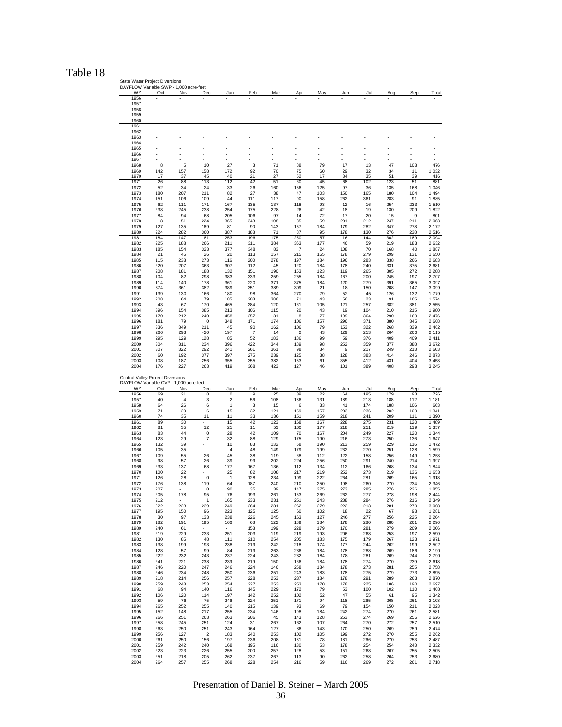## Table 18

State Water Project Diversions DAYFLOW Variable SWP - 1,000 acre-feet

| WY                                                                                | Oct | Nov            | Dec                     | Jan            | Feb | Mar | Apr                     | May | Jun | Jul | Aug | Sep | Total |
|-----------------------------------------------------------------------------------|-----|----------------|-------------------------|----------------|-----|-----|-------------------------|-----|-----|-----|-----|-----|-------|
| 1956                                                                              |     |                |                         |                |     |     |                         |     |     |     |     |     |       |
| 1957                                                                              |     |                |                         |                |     |     |                         |     |     |     |     |     |       |
| 1958                                                                              | Ĭ.  |                |                         | l,             |     |     |                         |     | Ĭ.  |     |     |     |       |
| 1959                                                                              |     |                |                         | J.             |     |     |                         |     |     |     |     |     |       |
| 1960                                                                              |     |                |                         |                |     |     |                         |     |     |     |     |     |       |
| 1961                                                                              |     |                |                         |                |     |     |                         |     |     |     |     |     |       |
| 1962                                                                              |     |                |                         |                |     |     |                         |     |     |     |     |     |       |
| 1963                                                                              |     |                |                         |                |     |     |                         |     |     |     |     |     |       |
| 1964                                                                              |     |                |                         |                |     |     |                         |     |     |     |     |     |       |
| 1965                                                                              |     |                |                         |                |     |     |                         |     |     |     |     |     |       |
| 1966                                                                              |     |                |                         |                |     |     |                         |     |     |     |     |     |       |
| 1967                                                                              |     |                |                         |                |     |     |                         |     |     |     |     |     |       |
| 1968                                                                              | 8   | 5              | 10                      | 27             | 3   | 71  | 88                      | 79  | 17  | 13  | 47  | 108 | 476   |
| 1969                                                                              | 142 | 157            | 158                     | 172            | 92  | 70  | 75                      | 60  | 29  | 32  | 34  | 11  | 1,032 |
| 1970                                                                              | 17  | 37             | 45                      | 40             | 21  | 27  | 52                      | 17  | 34  | 35  | 51  | 39  | 416   |
| 1971                                                                              | 26  | 88             | 113                     | 112            | 42  | 51  | 60                      | 45  | 68  | 102 | 123 | 51  | 881   |
| 1972                                                                              | 52  | 34             | 24                      | 33             | 26  | 160 | 156                     | 125 | 97  | 36  | 135 | 168 | 1,046 |
| 1973                                                                              | 180 | 207            | 211                     | 82             | 27  | 38  | 47                      | 103 | 150 | 165 | 180 | 104 | 1,494 |
| 1974                                                                              | 151 | 106            | 109                     | 44             | 111 | 117 | 90                      | 158 | 262 | 361 | 283 | 91  | 1,885 |
| 1975                                                                              | 62  | 111            | 171                     | 167            | 135 | 137 | 118                     | 93  | 12  | 16  | 254 | 233 | 1,510 |
| 1976                                                                              | 238 | 245            | 238                     | 254            | 175 | 228 | 26                      | 42  | 18  | 19  | 130 | 209 | 1,822 |
| 1977                                                                              | 84  | 94             | 68                      | 205            | 106 | 97  | 14                      | 72  | 17  | 20  | 15  | 9   | 801   |
| 1978                                                                              | 8   | 51             | 224                     | 365            | 343 | 108 | 35                      | 59  | 201 | 212 | 247 | 211 | 2,063 |
| 1979                                                                              | 127 | 135            | 169                     | 81             | 90  | 143 | 157                     | 184 | 179 | 282 | 347 | 278 | 2,172 |
| 1980                                                                              | 224 | 282            | 360                     | 387            | 188 | 71  | 87                      | 95  | 178 | 130 | 276 | 238 | 2,516 |
| 1981                                                                              | 184 | 147            | 181                     | 253            | 196 | 175 | 250                     | 57  | 16  | 144 | 302 | 189 | 2,094 |
| 1982                                                                              | 225 | 188            | 266                     | 211            | 311 | 384 | 363                     | 177 | 46  | 59  | 219 | 183 | 2,632 |
| 1983                                                                              | 185 | 154            | 323                     | 377            | 348 | 83  | 7                       | 24  | 108 | 70  | 168 | 40  | 1,887 |
| 1984                                                                              | 21  | 45             | 26                      | 20             | 113 | 157 | 215                     | 165 | 178 | 279 | 299 | 131 | 1,650 |
| 1985                                                                              | 115 | 238            | 273                     | 116            | 200 | 278 | 197                     | 184 | 196 | 283 | 338 | 266 | 2,683 |
| 1986                                                                              | 220 | 207            | 363                     | 307            | 112 | 45  | 120                     | 184 | 178 | 240 | 331 | 375 | 2,681 |
| 1987                                                                              | 208 | 181            | 188                     | 132            | 151 | 190 | 153                     | 123 | 119 | 265 | 305 | 272 | 2,288 |
| 1988                                                                              | 104 | 82             | 298                     | 383            | 333 | 259 | 255                     | 184 | 167 | 200 | 245 | 197 | 2,707 |
| 1989                                                                              | 114 | 140            | 178                     | 361            | 220 | 371 | 375                     | 184 | 120 | 279 | 391 | 365 | 3,097 |
| 1990                                                                              | 374 | 361            | 382                     | 389            | 351 | 389 | 309                     | 21  | 18  | 150 | 208 | 147 | 3,099 |
| 1991                                                                              | 139 | 130            | 166                     | 180            | 98  | 364 | 270                     | 79  | 52  | 45  | 126 | 132 | 1,779 |
| 1992                                                                              | 208 | 64             | 79                      | 185            | 203 | 386 | 71                      | 43  | 56  | 23  | 91  | 165 | 1,574 |
| 1993                                                                              | 43  | 67             | 170                     | 465            | 284 | 120 | 161                     | 105 | 121 | 257 | 382 | 381 | 2,555 |
| 1994                                                                              | 396 | 154            | 385                     | 213            | 106 | 115 | 20                      | 43  | 19  | 104 | 210 | 215 | 1,980 |
| 1995                                                                              | 170 | 212            | 240                     | 458            | 257 | 31  | 8                       | 77  | 199 | 364 | 290 | 169 | 2,476 |
| 1996                                                                              | 181 | 79             | 0                       | 348            | 171 | 174 | 106                     | 157 | 296 | 371 | 380 | 345 | 2,608 |
| 1997                                                                              | 336 | 349            | 211                     | 45             | 90  | 162 | 106                     | 79  | 153 | 322 | 268 | 339 | 2,462 |
| 1998                                                                              | 266 | 293            | 420                     | 197            | 7   | 14  | $\overline{\mathbf{c}}$ | 43  | 129 | 213 | 264 | 266 | 2,115 |
| 1999                                                                              | 295 | 129            | 128                     | 85             | 52  | 183 | 186                     | 99  | 59  | 376 | 409 | 409 | 2,411 |
| 2000                                                                              | 304 | 311            | 234                     | 396            | 422 | 344 | 189                     | 98  | 252 | 359 | 377 | 388 | 3,672 |
| 2001                                                                              | 307 | 322            | 292                     | 241            | 261 | 361 | 98                      | 34  | 9   | 217 | 249 | 213 | 2,603 |
| 2002                                                                              | 60  | 192            | 377                     | 397            | 275 | 239 | 125                     | 38  | 128 | 383 | 414 | 246 | 2,873 |
| 2003                                                                              | 108 | 187            | 256                     | 355            | 355 | 382 | 153                     | 61  | 355 | 412 | 431 | 404 | 3,458 |
| 2004                                                                              | 176 | 227            | 263                     | 419            | 368 | 423 | 127                     | 46  | 101 | 389 | 408 | 298 | 3,245 |
| Central Valley Project Diversions<br>DAYFLOW Variable CVP - 1,000 acre-feet<br>WY | Oct | Nov            | Dec                     | Jan            | Feb | Mar | Apr                     | May | Jun | Jul | Aug | Sep | Total |
| 1956                                                                              | 69  | 21             | 8                       | 0              | 9   | 25  | 39                      | 22  | 64  | 195 | 179 | 93  | 726   |
| 1957                                                                              | 40  | $\overline{4}$ | 3                       | 2              | 56  | 108 | 136                     | 131 | 189 | 213 | 188 | 112 | 1,181 |
| 1958                                                                              | 64  | 26             | 6                       | 1              | 3   | 15  | 6                       | 33  | 41  | 174 | 188 | 106 | 663   |
| 1959                                                                              | 71  | 29             | 6                       | 15             | 32  | 121 | 159                     | 157 | 203 | 236 | 202 | 109 | 1,341 |
| 1960                                                                              | 74  | 35             | 11                      | 11             | 33  | 136 | 151                     | 159 | 218 | 241 | 209 | 111 | 1,390 |
| 1961                                                                              | 89  | 30             |                         | 15             | 42  | 123 | 168                     | 167 | 228 | 275 | 231 | 120 | 1,489 |
| 1962                                                                              | 81  | 35             | 12                      | 21             | 11  | 53  | 160                     | 177 | 218 | 251 | 219 | 119 | 1,357 |
| 1963                                                                              | 83  | 44             | 0                       | 28             | 42  | 109 | 70                      | 167 | 204 | 249 | 227 | 120 | 1,344 |
| 1964                                                                              | 123 | 29             | 7                       | 32             | 88  | 129 | 175                     | 190 | 216 | 273 | 250 | 136 | 1,647 |
| 1965                                                                              | 132 | 39             |                         | 10             | 83  | 132 | 68                      | 190 | 213 | 259 | 229 | 116 | 1,472 |
| 1966                                                                              | 105 | 35             |                         | 4              | 48  | 149 | 179                     | 199 | 232 | 270 | 251 | 128 | 1,599 |
| 1967                                                                              | 109 | 55             | 26                      | 45             | 38  | 119 | 68                      | 112 | 122 | 158 | 256 | 149 | 1,258 |
| 1968                                                                              | 98  | 57             | 26                      | 39             | 99  | 202 | 224                     | 256 | 250 | 291 | 240 | 214 | 1,997 |
| 1969                                                                              | 233 | 137            | 68                      | 177            | 167 | 136 | 112                     | 134 | 112 | 166 | 268 | 134 | 1,844 |
| 1970                                                                              | 100 | 22             |                         | 25             | 82  | 108 | 217                     | 219 | 252 | 273 | 219 | 136 | 1,653 |
| 1971                                                                              | 126 | 28             | 0                       | $\overline{1}$ | 128 | 234 | 199                     | 222 | 264 | 281 | 269 | 165 | 1,918 |
| 1972                                                                              | 176 | 138            | 119                     | 64             | 187 | 240 | 210                     | 250 | 198 | 260 | 270 | 234 | 2,346 |
| 1973                                                                              | 207 |                | 0                       | 90             | 35  | 39  | 147                     | 275 | 273 | 285 | 276 | 226 | 1,855 |
| 1974                                                                              | 205 | 178            | 95                      | 76             | 193 | 261 | 153                     | 269 | 262 | 277 | 278 | 198 | 2,444 |
| 1975                                                                              | 212 |                |                         | 165            | 233 | 231 | 251                     | 243 | 238 | 284 | 276 | 216 | 2,349 |
| 1976                                                                              | 222 | 228            | 239                     | 249            | 264 | 281 | 262                     | 279 | 222 | 213 | 281 | 270 | 3,008 |
| 1977                                                                              | 195 | 150            | 96                      | 223            | 125 | 125 | 60                      | 102 | 18  | 22  | 67  | 98  | 1,281 |
| 1978                                                                              | 30  | 97             | 133                     | 238            | 226 | 245 | 163                     | 127 | 246 | 277 | 256 | 225 | 2,264 |
| 1979                                                                              | 182 | 191            | 195                     | 166            | 68  | 122 | 189                     | 184 | 178 | 280 | 280 | 261 | 2,296 |
| 1980                                                                              | 240 | 61             |                         |                | 158 | 199 | 228                     | 179 | 170 | 281 | 279 | 209 | 2,006 |
| 1981                                                                              | 219 | 229            | 233                     | 251            | 203 | 119 | 219                     | 193 | 206 | 268 | 253 | 197 | 2,590 |
| 1982                                                                              | 130 | 85             | 48                      | 111            | 210 | 254 | 205                     | 183 | 175 | 179 | 267 | 123 | 1,971 |
| 1983                                                                              | 138 | 199            | 193                     | 238            | 219 | 242 | 218                     | 174 | 177 | 244 | 262 | 199 | 2,502 |
| 1984                                                                              | 128 | 57             | 99                      | 84             | 219 | 263 | 236                     | 184 | 178 | 288 | 269 | 186 | 2,190 |
| 1985                                                                              | 222 | 232            | 243                     | 237            | 224 | 243 | 232                     | 184 | 178 | 281 | 269 | 244 | 2,790 |
| 1986                                                                              | 241 | 221            | 238                     | 239            | 219 | 150 | 166                     | 184 | 178 | 274 | 270 | 239 | 2,618 |
| 1987                                                                              | 246 | 220            | 247                     | 246            | 224 | 146 | 258                     | 184 | 178 | 273 | 281 | 255 | 2,758 |
| 1988                                                                              | 246 | 234            | 248                     | 250            | 236 | 251 | 243                     | 183 | 178 | 275 | 279 | 273 | 2,895 |
| 1989                                                                              | 218 | 214            | 256                     | 257            | 228 | 253 | 237                     | 184 | 178 | 291 | 289 | 263 | 2,870 |
| 1990                                                                              | 259 | 248            | 253                     | 254            | 227 | 253 | 253                     | 170 | 178 | 225 | 186 | 190 | 2,697 |
| 1991                                                                              | 68  | 94             | 140                     | 116            | 145 | 229 | 172                     | 79  | 53  | 100 | 102 | 110 | 1,408 |
| 1992                                                                              | 106 | 120            | 114                     | 197            | 142 | 252 | 102                     | 52  | 47  | 55  | 61  | 95  | 1,342 |
| 1993                                                                              | 59  | 76             | 75                      | 246            | 224 | 251 | 171                     | 94  | 118 | 265 | 268 | 261 | 2,108 |
| 1994                                                                              | 265 | 252            | 255                     | 140            | 215 | 139 | 93                      | 69  | 79  | 154 | 150 | 211 | 2,023 |
| 1995                                                                              | 152 | 148            | 217                     | 255            | 234 | 146 | 198                     | 184 | 242 | 274 | 270 | 261 | 2,581 |
| 1996                                                                              | 266 | 251            | 263                     | 263            | 206 | 45  | 143                     | 128 | 263 | 274 | 269 | 256 | 2,626 |
| 1997                                                                              | 258 | 245            | 251                     | 124            | 31  | 267 | 162                     | 107 | 264 | 270 | 272 | 257 | 2,510 |
| 1998                                                                              | 263 | 250            | 251                     | 243            | 164 | 127 | 86                      | 143 | 170 | 250 | 269 | 259 | 2,474 |
| 1999                                                                              | 256 | 127            | $\overline{\mathbf{c}}$ | 183            | 240 | 253 | 102                     | 105 | 199 | 272 | 270 | 255 | 2,262 |
| 2000                                                                              | 261 | 250            | 156                     | 197            | 236 | 208 | 131                     | 78  | 181 | 266 | 270 | 253 | 2,487 |
| 2001                                                                              | 259 | 242            | 240                     | 168            | 195 | 116 | 130                     | 53  | 178 | 254 | 254 | 243 | 2,332 |
| 2002                                                                              | 223 | 223            | 226                     | 255            | 200 | 257 | 128                     | 53  | 151 | 268 | 267 | 255 | 2,505 |
| 2003                                                                              | 251 | 218            | 205                     | 262            | 237 | 267 | 113                     | 90  | 262 | 258 | 264 | 253 | 2,680 |
| 2004                                                                              | 264 | 257            | 255                     | 268            | 228 | 254 | 216                     | 59  | 116 | 269 | 272 | 261 | 2,718 |
|                                                                                   |     |                |                         |                |     |     |                         |     |     |     |     |     |       |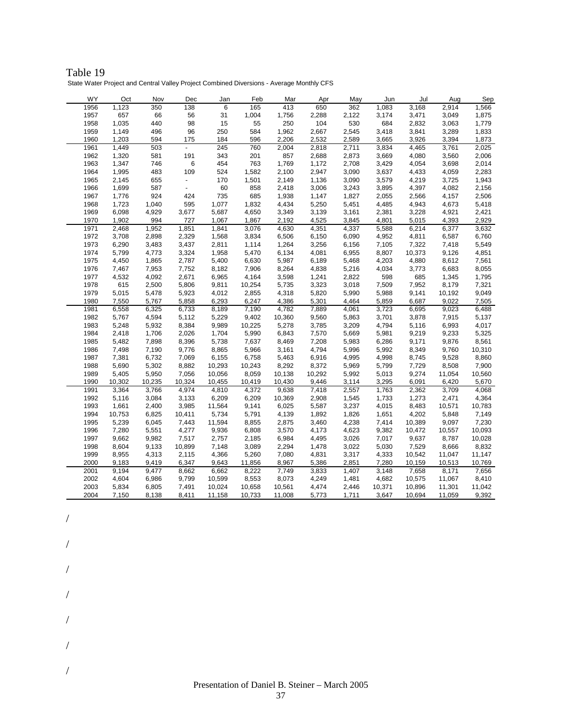| Table 19                                                                                 |
|------------------------------------------------------------------------------------------|
| State Water Project and Central Valley Project Combined Diversions - Average Monthly CFS |

| WY   | Oct    | Nov    | Dec                      | Jan    | Feb    | Mar    | Apr    | May   | Jun    | Jul    | Aug    | Sep    |
|------|--------|--------|--------------------------|--------|--------|--------|--------|-------|--------|--------|--------|--------|
| 1956 | 1,123  | 350    | 138                      | 6      | 165    | 413    | 650    | 362   | 1,083  | 3,168  | 2,914  | 1,566  |
| 1957 | 657    | 66     | 56                       | 31     | 1,004  | 1,756  | 2,288  | 2,122 | 3,174  | 3,471  | 3,049  | 1,875  |
| 1958 | 1,035  | 440    | 98                       | 15     | 55     | 250    | 104    | 530   | 684    | 2,832  | 3,063  | 1,779  |
| 1959 | 1,149  | 496    | 96                       | 250    | 584    | 1,962  | 2,667  | 2,545 | 3,418  | 3,841  | 3,289  | 1,833  |
| 1960 | 1,203  | 594    | 175                      | 184    | 596    | 2,206  | 2,532  | 2,589 | 3,665  | 3,926  | 3,394  | 1,873  |
| 1961 | 1,449  | 503    | $\mathcal{L}^{\pm}$      | 245    | 760    | 2,004  | 2,818  | 2,711 | 3,834  | 4,465  | 3,761  | 2,025  |
| 1962 | 1,320  | 581    | 191                      | 343    | 201    | 857    | 2,688  | 2,873 | 3,669  | 4,080  | 3,560  | 2,006  |
| 1963 | 1,347  | 746    | 6                        | 454    | 763    | 1,769  | 1,172  | 2,708 | 3,429  | 4,054  | 3,698  | 2,014  |
| 1964 | 1,995  | 483    | 109                      | 524    | 1,582  | 2,100  | 2,947  | 3,090 | 3,637  | 4,433  | 4,059  | 2,283  |
| 1965 | 2,145  | 655    | $\blacksquare$           | 170    | 1,501  | 2,149  | 1,136  | 3,090 | 3,579  | 4,219  | 3,725  | 1,943  |
| 1966 | 1,699  | 587    | $\overline{\phantom{a}}$ | 60     | 858    | 2,418  | 3,006  | 3,243 | 3,895  | 4,397  | 4,082  | 2,156  |
| 1967 | 1,776  | 924    | 424                      | 735    | 685    | 1,938  | 1,147  | 1,827 | 2,055  | 2,566  | 4,157  | 2,506  |
| 1968 | 1,723  | 1,040  | 595                      | 1,077  | 1,832  | 4,434  | 5,250  | 5,451 | 4,485  | 4,943  | 4,673  | 5,418  |
| 1969 | 6,098  | 4,929  | 3,677                    | 5,687  | 4,650  | 3,349  | 3,139  | 3,161 | 2,381  | 3,228  | 4,921  | 2,421  |
| 1970 | 1,902  | 994    | 727                      | 1,067  | 1,867  | 2.192  | 4,525  | 3,845 | 4,801  | 5,015  | 4,393  | 2,929  |
| 1971 | 2,468  | 1,952  | 1,851                    | 1,841  | 3,076  | 4,630  | 4,351  | 4,337 | 5,588  | 6,214  | 6,377  | 3,632  |
| 1972 | 3,708  | 2,898  | 2,329                    | 1,568  | 3,834  | 6,506  | 6,150  | 6,090 | 4,952  | 4,811  | 6,587  | 6,760  |
| 1973 | 6,290  | 3,483  | 3,437                    | 2,811  | 1,114  | 1,264  | 3,256  | 6,156 | 7,105  | 7,322  | 7,418  | 5,549  |
| 1974 | 5,799  | 4,773  | 3,324                    | 1,958  | 5,470  | 6,134  | 4,081  | 6,955 | 8,807  | 10,373 | 9,126  | 4,851  |
| 1975 | 4,450  | 1,865  | 2,787                    | 5,400  | 6,630  | 5,987  | 6,189  | 5,468 | 4,203  | 4,880  | 8,612  | 7,561  |
| 1976 | 7,467  | 7,953  | 7,752                    | 8,182  | 7,906  | 8,264  | 4,838  | 5,216 | 4,034  | 3,773  | 6,683  | 8,055  |
| 1977 | 4,532  | 4,092  | 2,671                    | 6,965  | 4,164  | 3,598  | 1,241  | 2,822 | 598    | 685    | 1,345  | 1,795  |
| 1978 | 615    | 2,500  | 5,806                    | 9,811  | 10,254 | 5,735  | 3,323  | 3,018 | 7,509  | 7,952  | 8,179  | 7,321  |
| 1979 | 5,015  | 5,478  | 5,923                    | 4,012  | 2,855  | 4,318  | 5,820  | 5,990 | 5,988  | 9,141  | 10,192 | 9,049  |
| 1980 | 7,550  | 5,767  | 5,858                    | 6,293  | 6,247  | 4,386  | 5,301  | 4,464 | 5,859  | 6,687  | 9,022  | 7,505  |
| 1981 | 6,558  | 6,325  | 6,733                    | 8,189  | 7,190  | 4,782  | 7,889  | 4,061 | 3,723  | 6,695  | 9,023  | 6,488  |
| 1982 | 5,767  | 4,594  | 5,112                    | 5,229  | 9,402  | 10,360 | 9,560  | 5,863 | 3,701  | 3,878  | 7,915  | 5,137  |
| 1983 | 5,248  | 5,932  | 8,384                    | 9,989  | 10,225 | 5,278  | 3,785  | 3,209 | 4,794  | 5,116  | 6,993  | 4,017  |
| 1984 | 2,418  | 1,706  | 2,026                    | 1,704  | 5,990  | 6,843  | 7,570  | 5,669 | 5,981  | 9,219  | 9,233  | 5,325  |
| 1985 | 5,482  | 7,898  | 8,396                    | 5,738  | 7,637  | 8,469  | 7,208  | 5,983 | 6,286  | 9,171  | 9,876  | 8,561  |
| 1986 | 7,498  | 7,190  | 9,776                    | 8,865  | 5,966  | 3,161  | 4,794  | 5,996 | 5,992  | 8,349  | 9,760  | 10,310 |
| 1987 | 7,381  | 6,732  | 7,069                    | 6,155  | 6,758  | 5,463  | 6,916  | 4,995 | 4,998  | 8,745  | 9,528  | 8,860  |
| 1988 | 5,690  | 5,302  | 8,882                    | 10,293 | 10,243 | 8,292  | 8,372  | 5,969 | 5,799  | 7,729  | 8,508  | 7,900  |
| 1989 | 5,405  | 5,950  | 7,056                    | 10,056 | 8,059  | 10,138 | 10,292 | 5,992 | 5,013  | 9,274  | 11,054 | 10,560 |
| 1990 | 10,302 | 10,235 | 10,324                   | 10,455 | 10,419 | 10,430 | 9,446  | 3,114 | 3,295  | 6,091  | 6,420  | 5,670  |
| 1991 | 3,364  | 3,766  | 4,974                    | 4,810  | 4,372  | 9,638  | 7,418  | 2,557 | 1,763  | 2,362  | 3,709  | 4,068  |
| 1992 | 5,116  | 3,084  | 3,133                    | 6,209  | 6,209  | 10,369 | 2,908  | 1,545 | 1,733  | 1,273  | 2,471  | 4,364  |
| 1993 | 1,661  | 2,400  | 3,985                    | 11,564 | 9,141  | 6,025  | 5,587  | 3,237 | 4,015  | 8,483  | 10,571 | 10,783 |
| 1994 | 10,753 | 6,825  | 10,411                   | 5,734  | 5,791  | 4,139  | 1,892  | 1,826 | 1,651  | 4,202  | 5,848  | 7,149  |
| 1995 | 5,239  | 6,045  | 7,443                    | 11,594 | 8,855  | 2,875  | 3,460  | 4,238 | 7,414  | 10,389 | 9,097  | 7,230  |
| 1996 | 7,280  | 5,551  | 4,277                    | 9,936  | 6,808  | 3,570  | 4,173  | 4,623 | 9,382  | 10,472 | 10,557 | 10,093 |
| 1997 | 9,662  | 9,982  | 7,517                    | 2,757  | 2,185  | 6,984  | 4,495  | 3,026 | 7,017  | 9,637  | 8,787  | 10,028 |
| 1998 | 8,604  | 9,133  | 10,899                   | 7,148  | 3,089  | 2,294  | 1,478  | 3,022 | 5,030  | 7,529  | 8,666  | 8,832  |
| 1999 | 8,955  | 4,313  | 2,115                    | 4,366  | 5,260  | 7,080  | 4,831  | 3,317 | 4,333  | 10,542 | 11,047 | 11,147 |
| 2000 | 9,183  | 9,419  | 6,347                    | 9,643  | 11,856 | 8,967  | 5,386  | 2,851 | 7,280  | 10,159 | 10,513 | 10,769 |
| 2001 | 9,194  | 9,477  | 8,662                    | 6,662  | 8,222  | 7,749  | 3,833  | 1,407 | 3,148  | 7,658  | 8,171  | 7,656  |
| 2002 | 4,604  | 6,986  | 9,799                    | 10,599 | 8,553  | 8,073  | 4,249  | 1,481 | 4,682  | 10,575 | 11,067 | 8,410  |
| 2003 | 5,834  | 6,805  | 7,491                    | 10,024 | 10,658 | 10,561 | 4,474  | 2,446 | 10,371 | 10,896 | 11,301 | 11,042 |
| 2004 | 7,150  | 8,138  | 8,411                    | 11,158 | 10,733 | 11,008 | 5,773  | 1,711 | 3,647  | 10,694 | 11,059 | 9,392  |

/

/

/

/

/

/

/

Presentation of Daniel B. Steiner – March 2005 37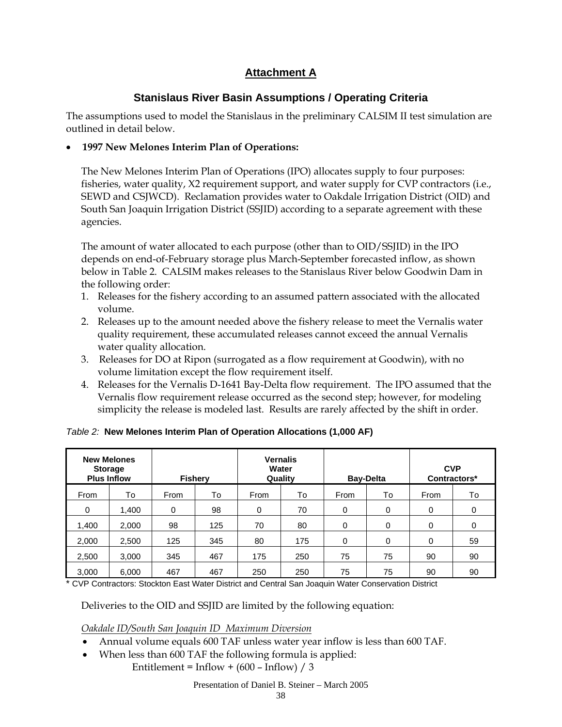# **Attachment A**

# **Stanislaus River Basin Assumptions / Operating Criteria**

The assumptions used to model the Stanislaus in the preliminary CALSIM II test simulation are outlined in detail below.

# • **1997 New Melones Interim Plan of Operations:**

The New Melones Interim Plan of Operations (IPO) allocates supply to four purposes: fisheries, water quality, X2 requirement support, and water supply for CVP contractors (i.e., SEWD and CSJWCD). Reclamation provides water to Oakdale Irrigation District (OID) and South San Joaquin Irrigation District (SSJID) according to a separate agreement with these agencies.

The amount of water allocated to each purpose (other than to OID/SSJID) in the IPO depends on end-of-February storage plus March-September forecasted inflow, as shown below in Table 2. CALSIM makes releases to the Stanislaus River below Goodwin Dam in the following order:

- 1. Releases for the fishery according to an assumed pattern associated with the allocated volume.
- 2. Releases up to the amount needed above the fishery release to meet the Vernalis water quality requirement, these accumulated releases cannot exceed the annual Vernalis water quality allocation.
- 3. Releases for DO at Ripon (surrogated as a flow requirement at Goodwin), with no volume limitation except the flow requirement itself.
- 4. Releases for the Vernalis D-1641 Bay-Delta flow requirement. The IPO assumed that the Vernalis flow requirement release occurred as the second step; however, for modeling simplicity the release is modeled last. Results are rarely affected by the shift in order.

|          | <b>New Melones</b><br><b>Storage</b><br><b>Plus Inflow</b> |     | <b>Fishery</b> |      | <b>Vernalis</b><br>Water<br>Quality |      | <b>Bay-Delta</b> |      | <b>CVP</b><br>Contractors* |
|----------|------------------------------------------------------------|-----|----------------|------|-------------------------------------|------|------------------|------|----------------------------|
| From     | To                                                         |     | To             | From | To                                  | From | To               | From | To                         |
| $\Omega$ | 1.400                                                      | 0   | 98             | 0    | 70                                  | 0    | 0                | 0    | $\Omega$                   |
| 1,400    | 2,000                                                      | 98  | 125            | 70   | 80                                  | 0    | 0                | 0    | $\Omega$                   |
| 2,000    | 2,500                                                      | 125 | 345            | 80   | 175                                 | 0    | 0                | 0    | 59                         |
| 2,500    | 3,000                                                      | 345 | 467            | 175  | 250                                 | 75   | 75               | 90   | 90                         |
| 3,000    | 6,000                                                      | 467 | 467            | 250  | 250                                 | 75   | 75               | 90   | 90                         |

# *Table 2:* **New Melones Interim Plan of Operation Allocations (1,000 AF)**

\* CVP Contractors: Stockton East Water District and Central San Joaquin Water Conservation District

Deliveries to the OID and SSJID are limited by the following equation:

*Oakdale ID/South San Joaquin ID Maximum Diversion*

- Annual volume equals 600 TAF unless water year inflow is less than 600 TAF.
- When less than 600 TAF the following formula is applied: Entitlement = Inflow +  $(600 - Inflow) / 3$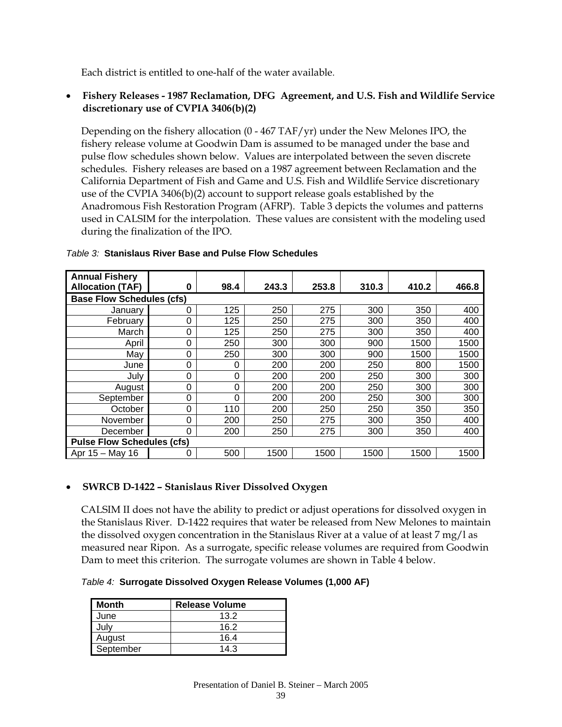Each district is entitled to one-half of the water available.

## • **Fishery Releases - 1987 Reclamation, DFG Agreement, and U.S. Fish and Wildlife Service discretionary use of CVPIA 3406(b)(2)**

Depending on the fishery allocation (0 - 467 TAF/yr) under the New Melones IPO, the fishery release volume at Goodwin Dam is assumed to be managed under the base and pulse flow schedules shown below. Values are interpolated between the seven discrete schedules. Fishery releases are based on a 1987 agreement between Reclamation and the California Department of Fish and Game and U.S. Fish and Wildlife Service discretionary use of the CVPIA 3406(b)(2) account to support release goals established by the Anadromous Fish Restoration Program (AFRP). Table 3 depicts the volumes and patterns used in CALSIM for the interpolation. These values are consistent with the modeling used during the finalization of the IPO.

| <b>Annual Fishery</b><br><b>Allocation (TAF)</b> | 0 | 98.4     | 243.3 | 253.8 | 310.3 | 410.2 | 466.8 |
|--------------------------------------------------|---|----------|-------|-------|-------|-------|-------|
| <b>Base Flow Schedules (cfs)</b>                 |   |          |       |       |       |       |       |
| Januarv                                          | 0 | 125      | 250   | 275   | 300   | 350   | 400   |
| February                                         | 0 | 125      | 250   | 275   | 300   | 350   | 400   |
| March                                            | 0 | 125      | 250   | 275   | 300   | 350   | 400   |
| April                                            | 0 | 250      | 300   | 300   | 900   | 1500  | 1500  |
| Mav                                              | 0 | 250      | 300   | 300   | 900   | 1500  | 1500  |
| June                                             | 0 | 0        | 200   | 200   | 250   | 800   | 1500  |
| July                                             | 0 | $\Omega$ | 200   | 200   | 250   | 300   | 300   |
| August                                           | 0 | 0        | 200   | 200   | 250   | 300   | 300   |
| September                                        | 0 | 0        | 200   | 200   | 250   | 300   | 300   |
| October                                          | 0 | 110      | 200   | 250   | 250   | 350   | 350   |
| November                                         | 0 | 200      | 250   | 275   | 300   | 350   | 400   |
| December                                         | 0 | 200      | 250   | 275   | 300   | 350   | 400   |
| <b>Pulse Flow Schedules (cfs)</b>                |   |          |       |       |       |       |       |
| Apr 15 - May 16                                  | 0 | 500      | 1500  | 1500  | 1500  | 1500  | 1500  |

### *Table 3:* **Stanislaus River Base and Pulse Flow Schedules**

## • **SWRCB D-1422 – Stanislaus River Dissolved Oxygen**

CALSIM II does not have the ability to predict or adjust operations for dissolved oxygen in the Stanislaus River. D-1422 requires that water be released from New Melones to maintain the dissolved oxygen concentration in the Stanislaus River at a value of at least 7 mg/l as measured near Ripon. As a surrogate, specific release volumes are required from Goodwin Dam to meet this criterion. The surrogate volumes are shown in Table 4 below.

*Table 4:* **Surrogate Dissolved Oxygen Release Volumes (1,000 AF)**

| <b>Month</b> | <b>Release Volume</b> |
|--------------|-----------------------|
| June         | 13.2                  |
| July         | 16.2                  |
| August       | 16.4                  |
| September    | 14.3                  |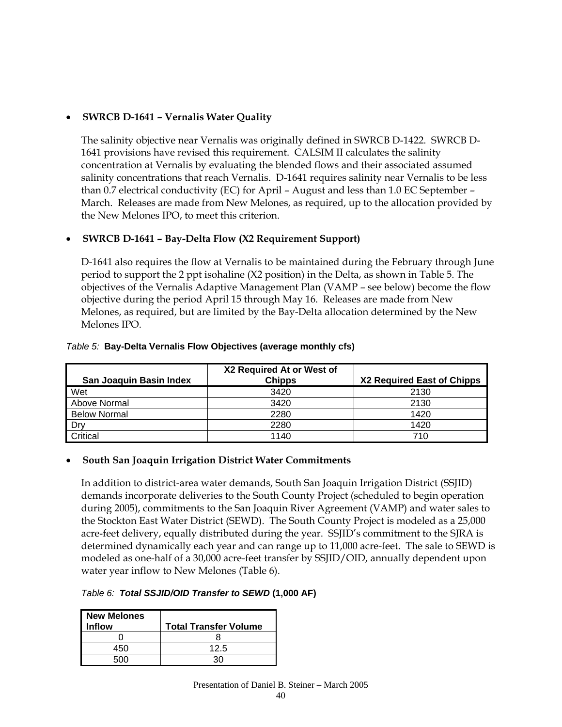## • **SWRCB D-1641 – Vernalis Water Quality**

The salinity objective near Vernalis was originally defined in SWRCB D-1422. SWRCB D-1641 provisions have revised this requirement. CALSIM II calculates the salinity concentration at Vernalis by evaluating the blended flows and their associated assumed salinity concentrations that reach Vernalis. D-1641 requires salinity near Vernalis to be less than 0.7 electrical conductivity (EC) for April – August and less than 1.0 EC September – March. Releases are made from New Melones, as required, up to the allocation provided by the New Melones IPO, to meet this criterion.

## • **SWRCB D-1641 – Bay-Delta Flow (X2 Requirement Support)**

D-1641 also requires the flow at Vernalis to be maintained during the February through June period to support the 2 ppt isohaline (X2 position) in the Delta, as shown in Table 5. The objectives of the Vernalis Adaptive Management Plan (VAMP – see below) become the flow objective during the period April 15 through May 16. Releases are made from New Melones, as required, but are limited by the Bay-Delta allocation determined by the New Melones IPO.

| San Joaquin Basin Index | X2 Required At or West of<br><b>Chipps</b> | X2 Required East of Chipps |
|-------------------------|--------------------------------------------|----------------------------|
| Wet                     | 3420                                       | 2130                       |
| Above Normal            | 3420                                       | 2130                       |
| <b>Below Normal</b>     | 2280                                       | 1420                       |
| Drv                     | 2280                                       | 1420                       |
| Critical                | 1140                                       | 710                        |

## *Table 5:* **Bay-Delta Vernalis Flow Objectives (average monthly cfs)**

## • **South San Joaquin Irrigation District Water Commitments**

In addition to district-area water demands, South San Joaquin Irrigation District (SSJID) demands incorporate deliveries to the South County Project (scheduled to begin operation during 2005), commitments to the San Joaquin River Agreement (VAMP) and water sales to the Stockton East Water District (SEWD). The South County Project is modeled as a 25,000 acre-feet delivery, equally distributed during the year. SSJID's commitment to the SJRA is determined dynamically each year and can range up to 11,000 acre-feet. The sale to SEWD is modeled as one-half of a 30,000 acre-feet transfer by SSJID/OID, annually dependent upon water year inflow to New Melones (Table 6).

## *Table 6: Total SSJID/OID Transfer to SEWD* **(1,000 AF)**

| <b>New Melones</b><br><b>Inflow</b> | <b>Total Transfer Volume</b> |
|-------------------------------------|------------------------------|
|                                     |                              |
| 450                                 | 12.5                         |
| ∩∩                                  |                              |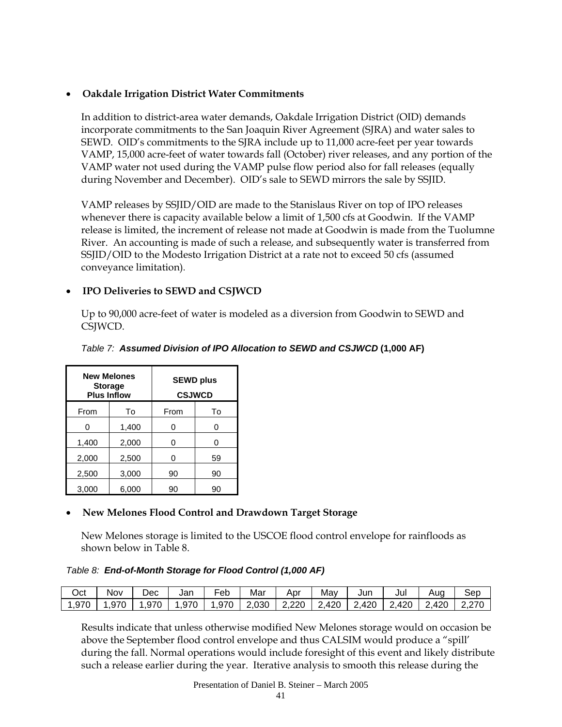## • **Oakdale Irrigation District Water Commitments**

In addition to district-area water demands, Oakdale Irrigation District (OID) demands incorporate commitments to the San Joaquin River Agreement (SJRA) and water sales to SEWD. OID's commitments to the SJRA include up to 11,000 acre-feet per year towards VAMP, 15,000 acre-feet of water towards fall (October) river releases, and any portion of the VAMP water not used during the VAMP pulse flow period also for fall releases (equally during November and December). OID's sale to SEWD mirrors the sale by SSJID.

VAMP releases by SSJID/OID are made to the Stanislaus River on top of IPO releases whenever there is capacity available below a limit of 1,500 cfs at Goodwin. If the VAMP release is limited, the increment of release not made at Goodwin is made from the Tuolumne River. An accounting is made of such a release, and subsequently water is transferred from SSJID/OID to the Modesto Irrigation District at a rate not to exceed 50 cfs (assumed conveyance limitation).

## • **IPO Deliveries to SEWD and CSJWCD**

Up to 90,000 acre-feet of water is modeled as a diversion from Goodwin to SEWD and CSJWCD.

|       | <b>New Melones</b><br><b>Storage</b><br><b>Plus Inflow</b> |      | <b>SEWD plus</b><br><b>CSJWCD</b> |
|-------|------------------------------------------------------------|------|-----------------------------------|
| From  | To                                                         | From | To                                |
| ი     | 1,400                                                      | ი    | ი                                 |
| 1,400 | 2,000                                                      | ი    | ∩                                 |
| 2,000 | 2,500                                                      | 0    | 59                                |
| 2,500 | 3,000                                                      | 90   | 90                                |
| 3,000 | 6,000                                                      | 90   | 90                                |

## *Table 7: Assumed Division of IPO Allocation to SEWD and CSJWCD* **(1,000 AF)**

## • **New Melones Flood Control and Drawdown Target Storage**

New Melones storage is limited to the USCOE flood control envelope for rainfloods as shown below in Table 8.

## *Table 8: End-of-Month Storage for Flood Control (1,000 AF)*

| Oct   | Nov  | Dec  | Jan  | - -<br>Feb | Mar   | Apr   | May   | Jun                 | Jul   | Aug   | sep   |
|-------|------|------|------|------------|-------|-------|-------|---------------------|-------|-------|-------|
| 1,970 | .970 | .970 | .970 | 1,970      | 2,030 | 2,220 | 2,420 | 2,420<br><u>. .</u> | 2,420 | 2,420 | 2,270 |

Results indicate that unless otherwise modified New Melones storage would on occasion be above the September flood control envelope and thus CALSIM would produce a "spill' during the fall. Normal operations would include foresight of this event and likely distribute such a release earlier during the year. Iterative analysis to smooth this release during the